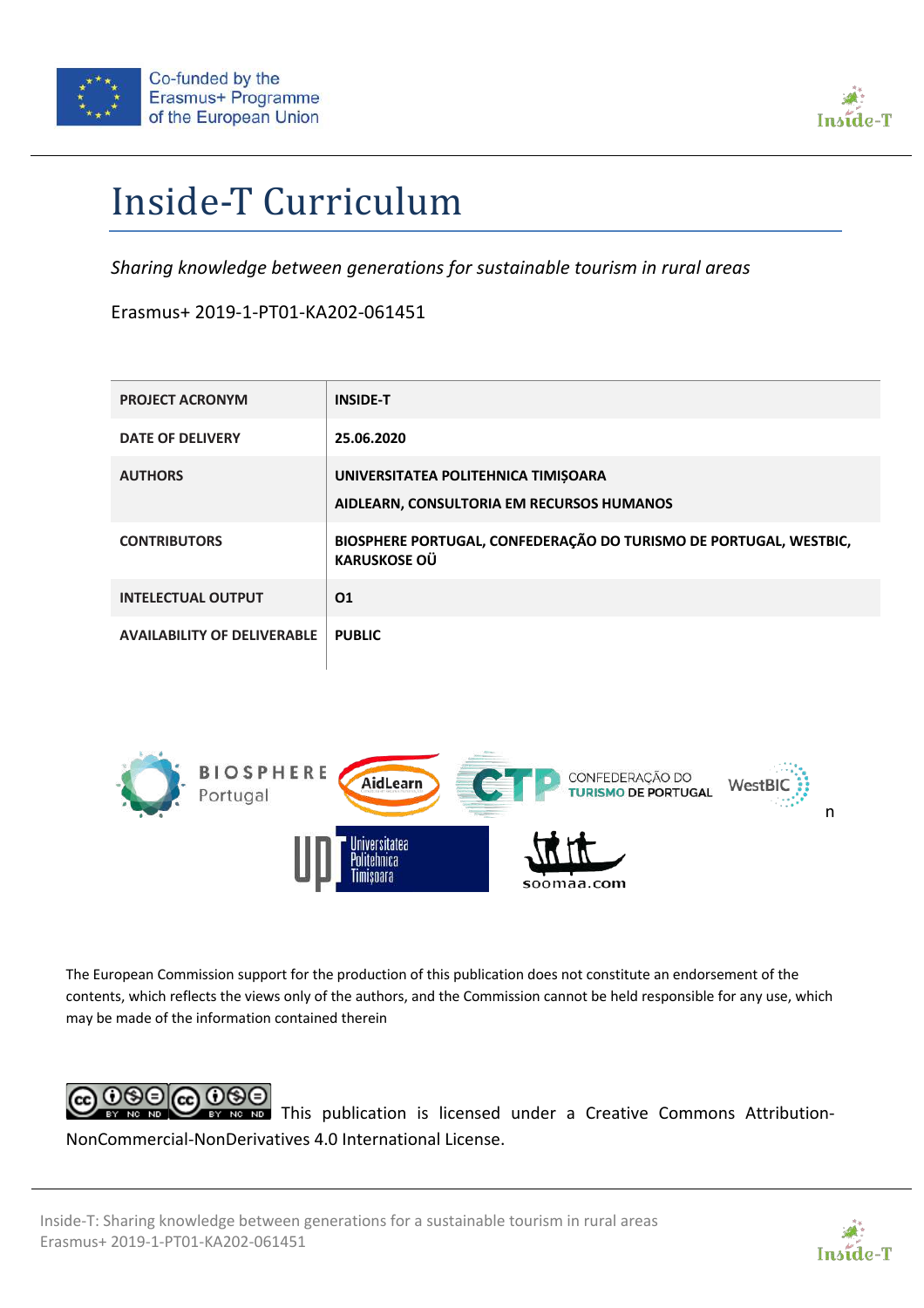



# Inside-T Curriculum

*Sharing knowledge between generations for sustainable tourism in rural areas*

Erasmus+ 2019-1-PT01-KA202-061451

| <b>PROJECT ACRONYM</b>             | <b>INSIDE-T</b>                                                                          |
|------------------------------------|------------------------------------------------------------------------------------------|
| <b>DATE OF DELIVERY</b>            | 25.06.2020                                                                               |
| <b>AUTHORS</b>                     | UNIVERSITATEA POLITEHNICA TIMISOARA<br>AIDLEARN, CONSULTORIA EM RECURSOS HUMANOS         |
| <b>CONTRIBUTORS</b>                | BIOSPHERE PORTUGAL, CONFEDERAÇÃO DO TURISMO DE PORTUGAL, WESTBIC,<br><b>KARUSKOSE OÜ</b> |
| <b>INTELECTUAL OUTPUT</b>          | 01                                                                                       |
| <b>AVAILABILITY OF DELIVERABLE</b> | <b>PUBLIC</b>                                                                            |



The European Commission support for the production of this publication does not constitute an endorsement of the contents, which reflects the views only of the authors, and the Commission cannot be held responsible for any use, which may be made of the information contained therein



**EX NG NG** This publication is licensed under a Creative Commons Attribution-NonCommercial-NonDerivatives 4.0 International License.

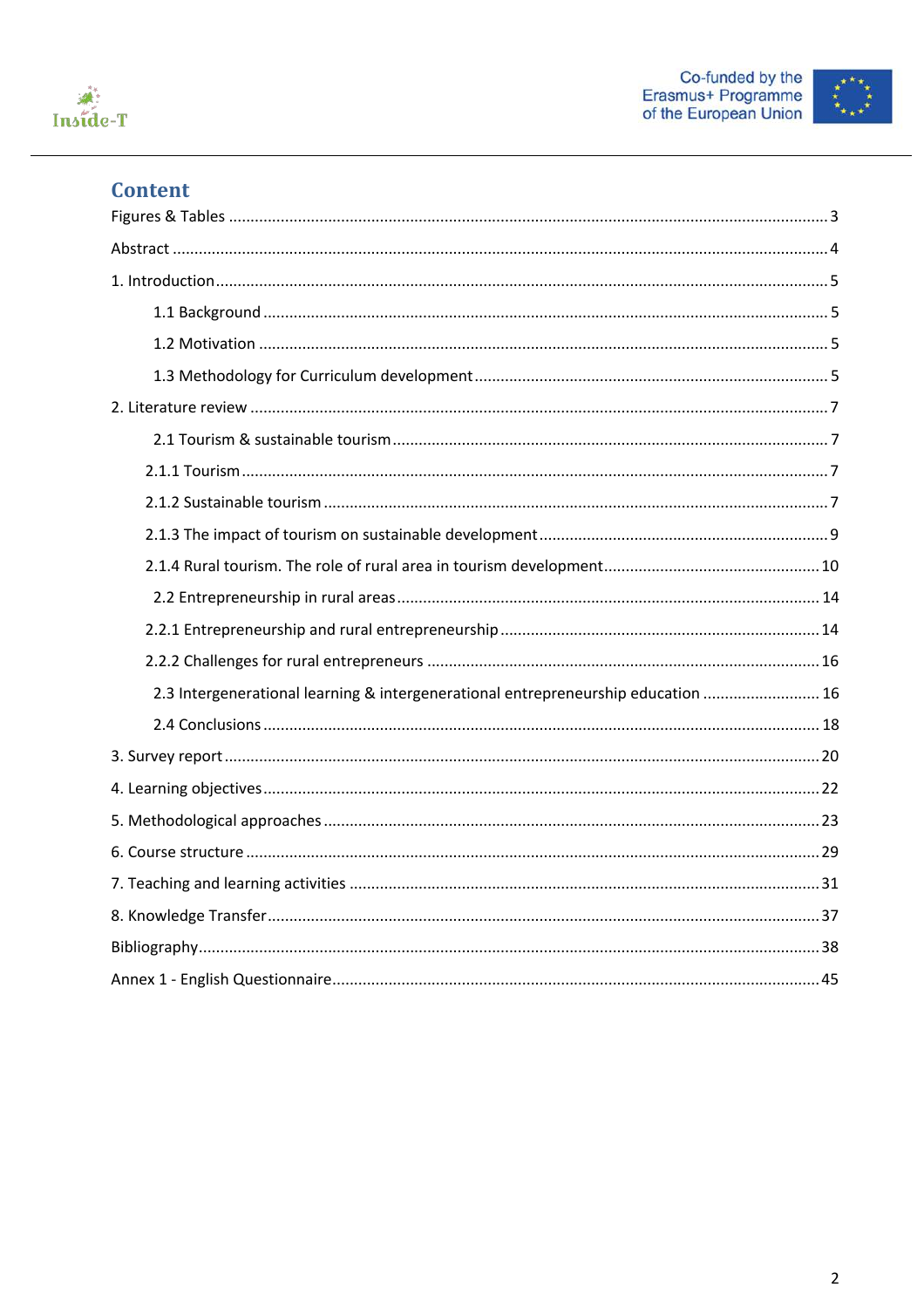





# **Content**

| 2.3 Intergenerational learning & intergenerational entrepreneurship education  16 |
|-----------------------------------------------------------------------------------|
|                                                                                   |
|                                                                                   |
|                                                                                   |
|                                                                                   |
|                                                                                   |
|                                                                                   |
|                                                                                   |
|                                                                                   |
|                                                                                   |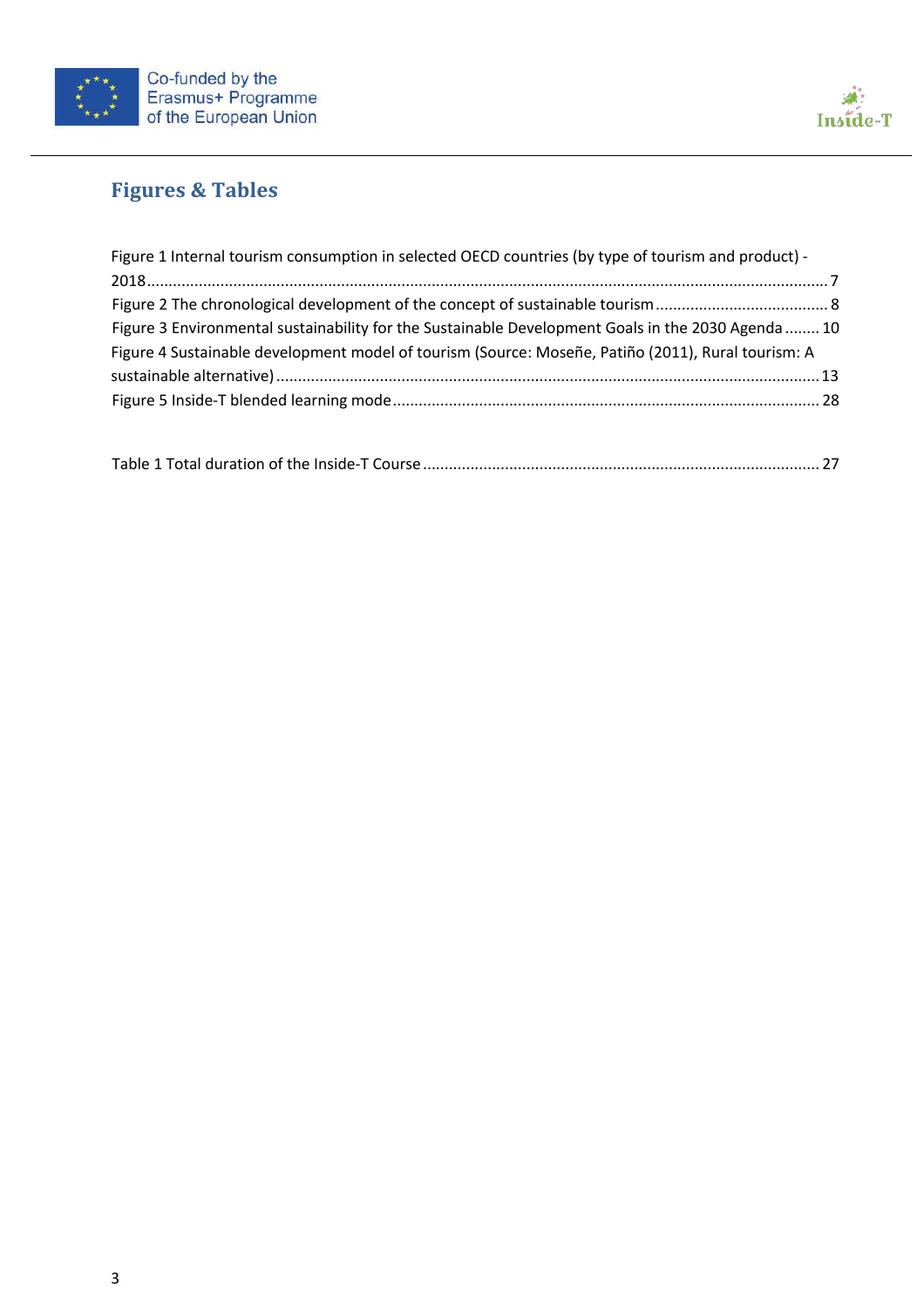



# **Figures & Tables**

| Figure 1 Internal tourism consumption in selected OECD countries (by type of tourism and product) - |  |
|-----------------------------------------------------------------------------------------------------|--|
|                                                                                                     |  |
|                                                                                                     |  |
| Figure 3 Environmental sustainability for the Sustainable Development Goals in the 2030 Agenda  10  |  |
| Figure 4 Sustainable development model of tourism (Source: Moseñe, Patiño (2011), Rural tourism: A  |  |
|                                                                                                     |  |
|                                                                                                     |  |
|                                                                                                     |  |

|--|--|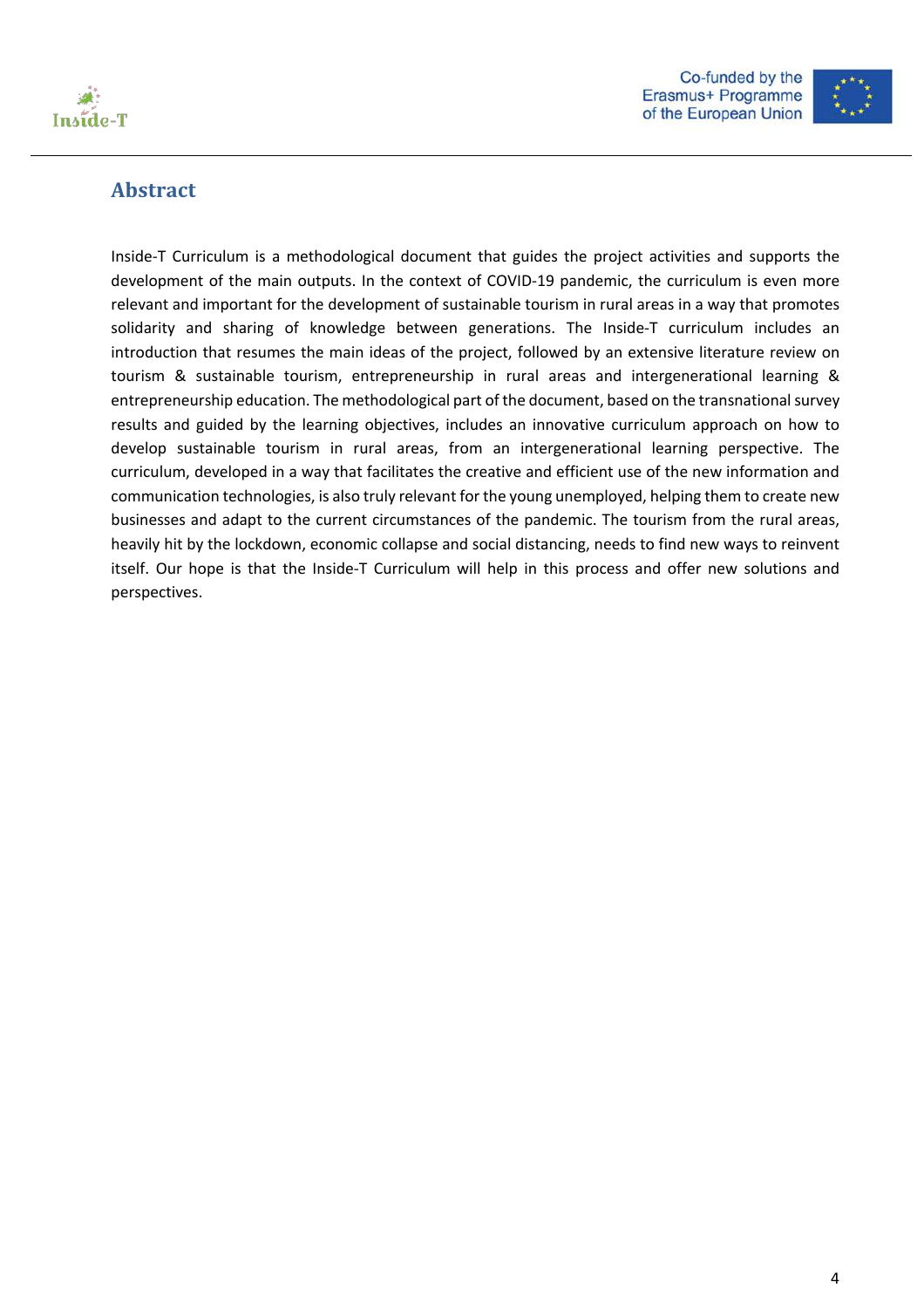



# **Abstract**

Inside-T Curriculum is a methodological document that guides the project activities and supports the development of the main outputs. In the context of COVID-19 pandemic, the curriculum is even more relevant and important for the development of sustainable tourism in rural areas in a way that promotes solidarity and sharing of knowledge between generations. The Inside-T curriculum includes an introduction that resumes the main ideas of the project, followed by an extensive literature review on tourism & sustainable tourism, entrepreneurship in rural areas and intergenerational learning & entrepreneurship education. The methodological part of the document, based on the transnational survey results and guided by the learning objectives, includes an innovative curriculum approach on how to develop sustainable tourism in rural areas, from an intergenerational learning perspective. The curriculum, developed in a way that facilitates the creative and efficient use of the new information and communication technologies, is also truly relevant for the young unemployed, helping them to create new businesses and adapt to the current circumstances of the pandemic. The tourism from the rural areas, heavily hit by the lockdown, economic collapse and social distancing, needs to find new ways to reinvent itself. Our hope is that the Inside-T Curriculum will help in this process and offer new solutions and perspectives.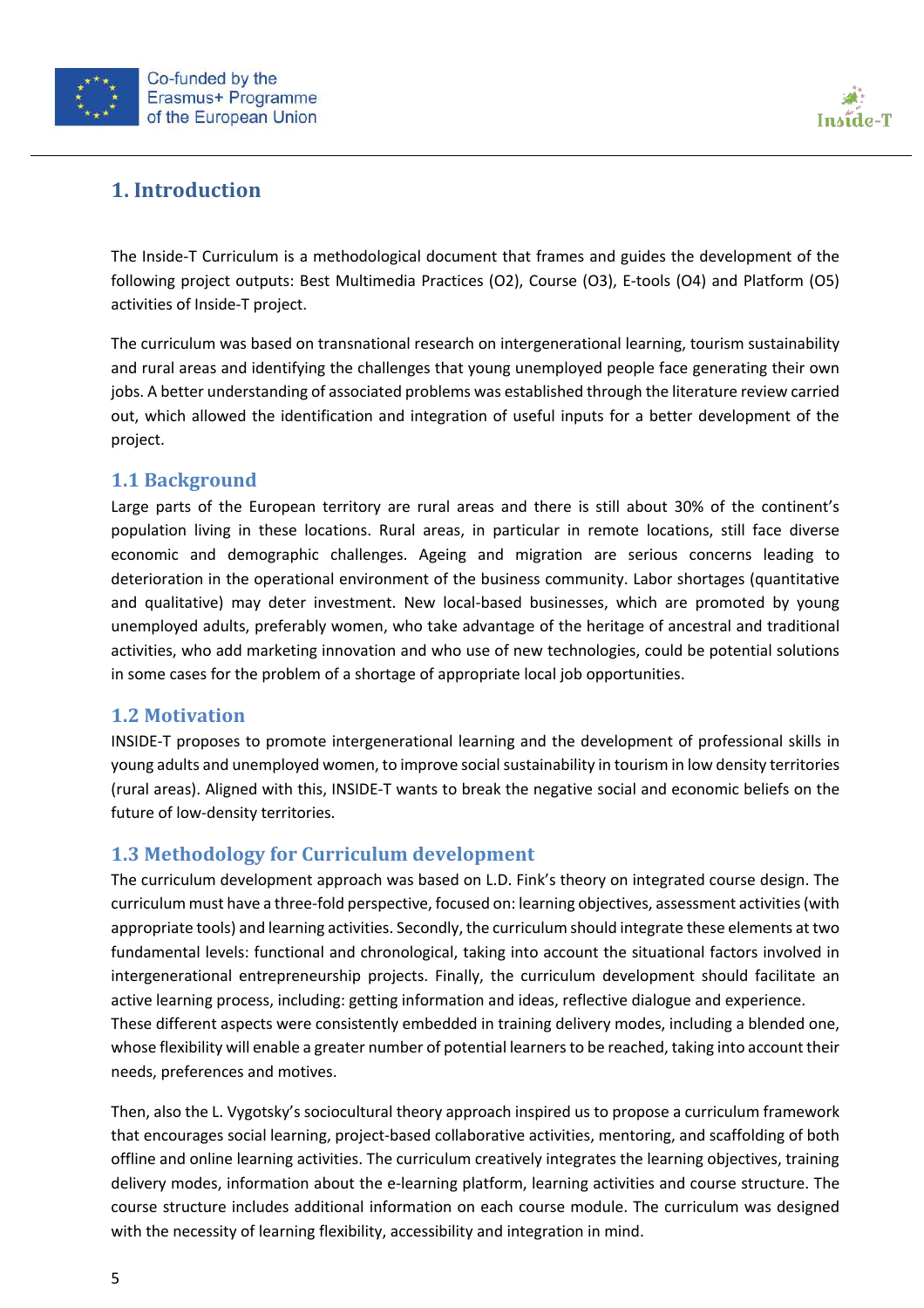



# **1. Introduction**

The Inside-T Curriculum is a methodological document that frames and guides the development of the following project outputs: Best Multimedia Practices (O2), Course (O3), E-tools (O4) and Platform (O5) activities of Inside-T project.

The curriculum was based on transnational research on intergenerational learning, tourism sustainability and rural areas and identifying the challenges that young unemployed people face generating their own jobs. A better understanding of associated problems was established through the literature review carried out, which allowed the identification and integration of useful inputs for a better development of the project.

### **1.1 Background**

Large parts of the European territory are rural areas and there is still about 30% of the continent's population living in these locations. Rural areas, in particular in remote locations, still face diverse economic and demographic challenges. Ageing and migration are serious concerns leading to deterioration in the operational environment of the business community. Labor shortages (quantitative and qualitative) may deter investment. New local-based businesses, which are promoted by young unemployed adults, preferably women, who take advantage of the heritage of ancestral and traditional activities, who add marketing innovation and who use of new technologies, could be potential solutions in some cases for the problem of a shortage of appropriate local job opportunities.

#### **1.2 Motivation**

INSIDE-T proposes to promote intergenerational learning and the development of professional skills in young adults and unemployed women, to improve social sustainability in tourism in low density territories (rural areas). Aligned with this, INSIDE-T wants to break the negative social and economic beliefs on the future of low-density territories.

### **1.3 Methodology for Curriculum development**

The curriculum development approach was based on L.D. Fink's theory on integrated course design. The curriculum must have a three-fold perspective, focused on: learning objectives, assessment activities (with appropriate tools) and learning activities. Secondly, the curriculum should integrate these elements at two fundamental levels: functional and chronological, taking into account the situational factors involved in intergenerational entrepreneurship projects. Finally, the curriculum development should facilitate an active learning process, including: getting information and ideas, reflective dialogue and experience. These different aspects were consistently embedded in training delivery modes, including a blended one, whose flexibility will enable a greater number of potential learnersto be reached, taking into account their needs, preferences and motives.

Then, also the L. Vygotsky's sociocultural theory approach inspired us to propose a curriculum framework that encourages social learning, project-based collaborative activities, mentoring, and scaffolding of both offline and online learning activities. The curriculum creatively integrates the learning objectives, training delivery modes, information about the e-learning platform, learning activities and course structure. The course structure includes additional information on each course module. The curriculum was designed with the necessity of learning flexibility, accessibility and integration in mind.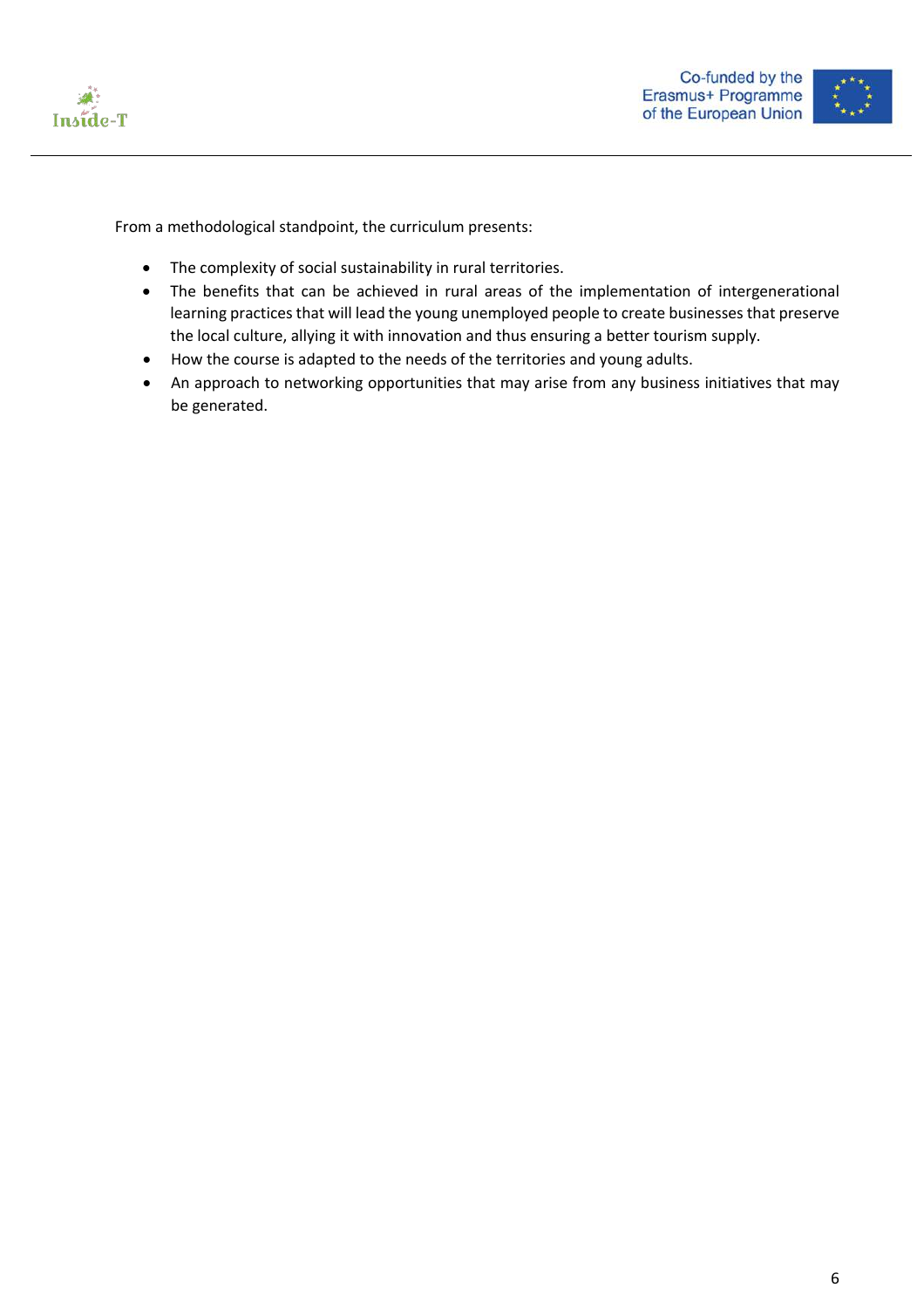



From a methodological standpoint, the curriculum presents:

- The complexity of social sustainability in rural territories.
- The benefits that can be achieved in rural areas of the implementation of intergenerational learning practices that will lead the young unemployed people to create businesses that preserve the local culture, allying it with innovation and thus ensuring a better tourism supply.
- How the course is adapted to the needs of the territories and young adults.
- An approach to networking opportunities that may arise from any business initiatives that may be generated.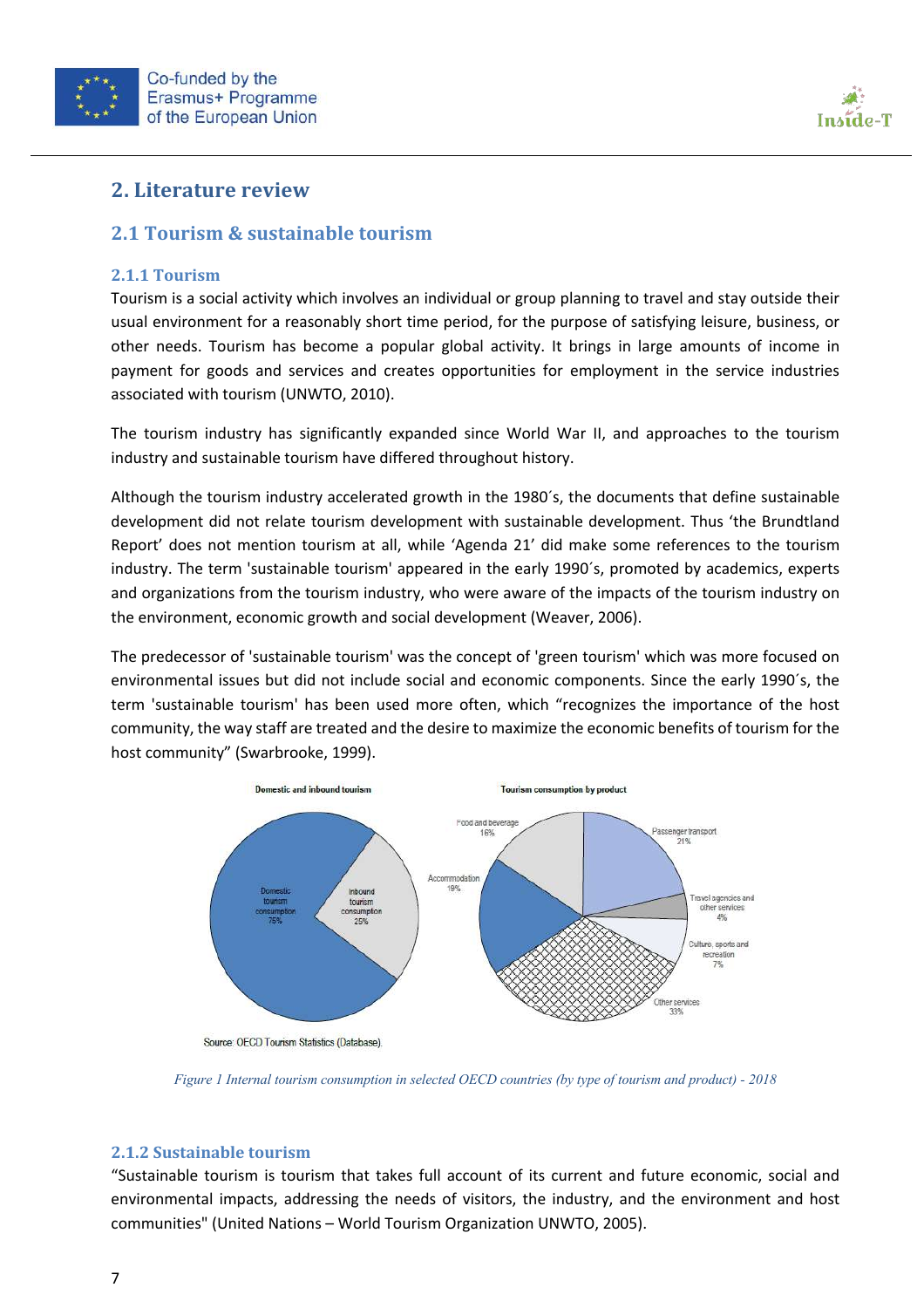



### **2. Literature review**

#### **2.1 Tourism & sustainable tourism**

#### **2.1.1 Tourism**

Tourism is a social activity which involves an individual or group planning to travel and stay outside their usual environment for a reasonably short time period, for the purpose of satisfying leisure, business, or other needs. Tourism has become a popular global activity. It brings in large amounts of income in payment for goods and services and creates opportunities for employment in the service industries associated with tourism (UNWTO, 2010).

The tourism industry has significantly expanded since World War II, and approaches to the tourism industry and sustainable tourism have differed throughout history.

Although the tourism industry accelerated growth in the 1980´s, the documents that define sustainable development did not relate tourism development with sustainable development. Thus 'the Brundtland Report' does not mention tourism at all, while 'Agenda 21' did make some references to the tourism industry. The term 'sustainable tourism' appeared in the early 1990´s, promoted by academics, experts and organizations from the tourism industry, who were aware of the impacts of the tourism industry on the environment, economic growth and social development (Weaver, 2006).

The predecessor of 'sustainable tourism' was the concept of 'green tourism' which was more focused on environmental issues but did not include social and economic components. Since the early 1990´s, the term 'sustainable tourism' has been used more often, which "recognizes the importance of the host community, the way staff are treated and the desire to maximize the economic benefits of tourism for the host community" (Swarbrooke, 1999).



Source: OECD Tourism Statistics (Database).

*Figure 1 Internal tourism consumption in selected OECD countries (by type of tourism and product) - 2018*

#### **2.1.2 Sustainable tourism**

"Sustainable tourism is tourism that takes full account of its current and future economic, social and environmental impacts, addressing the needs of visitors, the industry, and the environment and host communities" (United Nations – World Tourism Organization UNWTO, 2005).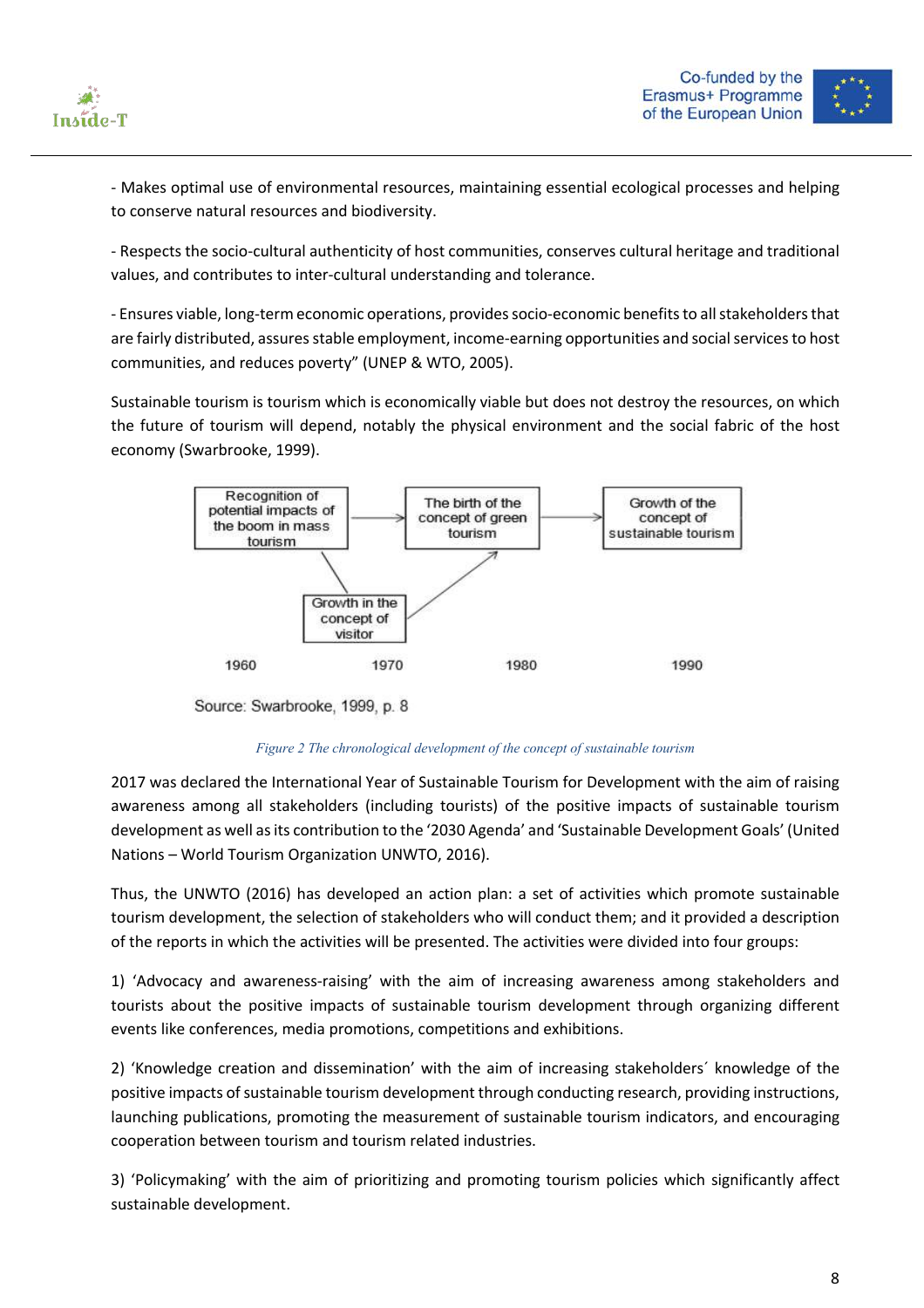



- Makes optimal use of environmental resources, maintaining essential ecological processes and helping to conserve natural resources and biodiversity.

- Respects the socio-cultural authenticity of host communities, conserves cultural heritage and traditional values, and contributes to inter-cultural understanding and tolerance.

- Ensures viable, long-term economic operations, provides socio-economic benefits to all stakeholders that are fairly distributed, assures stable employment, income-earning opportunities and social services to host communities, and reduces poverty" (UNEP & WTO, 2005).

Sustainable tourism is tourism which is economically viable but does not destroy the resources, on which the future of tourism will depend, notably the physical environment and the social fabric of the host economy (Swarbrooke, 1999).



Source: Swarbrooke, 1999, p. 8

#### *Figure 2 The chronological development of the concept of sustainable tourism*

2017 was declared the International Year of Sustainable Tourism for Development with the aim of raising awareness among all stakeholders (including tourists) of the positive impacts of sustainable tourism development as well as its contribution to the '2030 Agenda' and 'Sustainable Development Goals' (United Nations – World Tourism Organization UNWTO, 2016).

Thus, the UNWTO (2016) has developed an action plan: a set of activities which promote sustainable tourism development, the selection of stakeholders who will conduct them; and it provided a description of the reports in which the activities will be presented. The activities were divided into four groups:

1) 'Advocacy and awareness-raising' with the aim of increasing awareness among stakeholders and tourists about the positive impacts of sustainable tourism development through organizing different events like conferences, media promotions, competitions and exhibitions.

2) 'Knowledge creation and dissemination' with the aim of increasing stakeholders´ knowledge of the positive impacts of sustainable tourism development through conducting research, providing instructions, launching publications, promoting the measurement of sustainable tourism indicators, and encouraging cooperation between tourism and tourism related industries.

3) 'Policymaking' with the aim of prioritizing and promoting tourism policies which significantly affect sustainable development.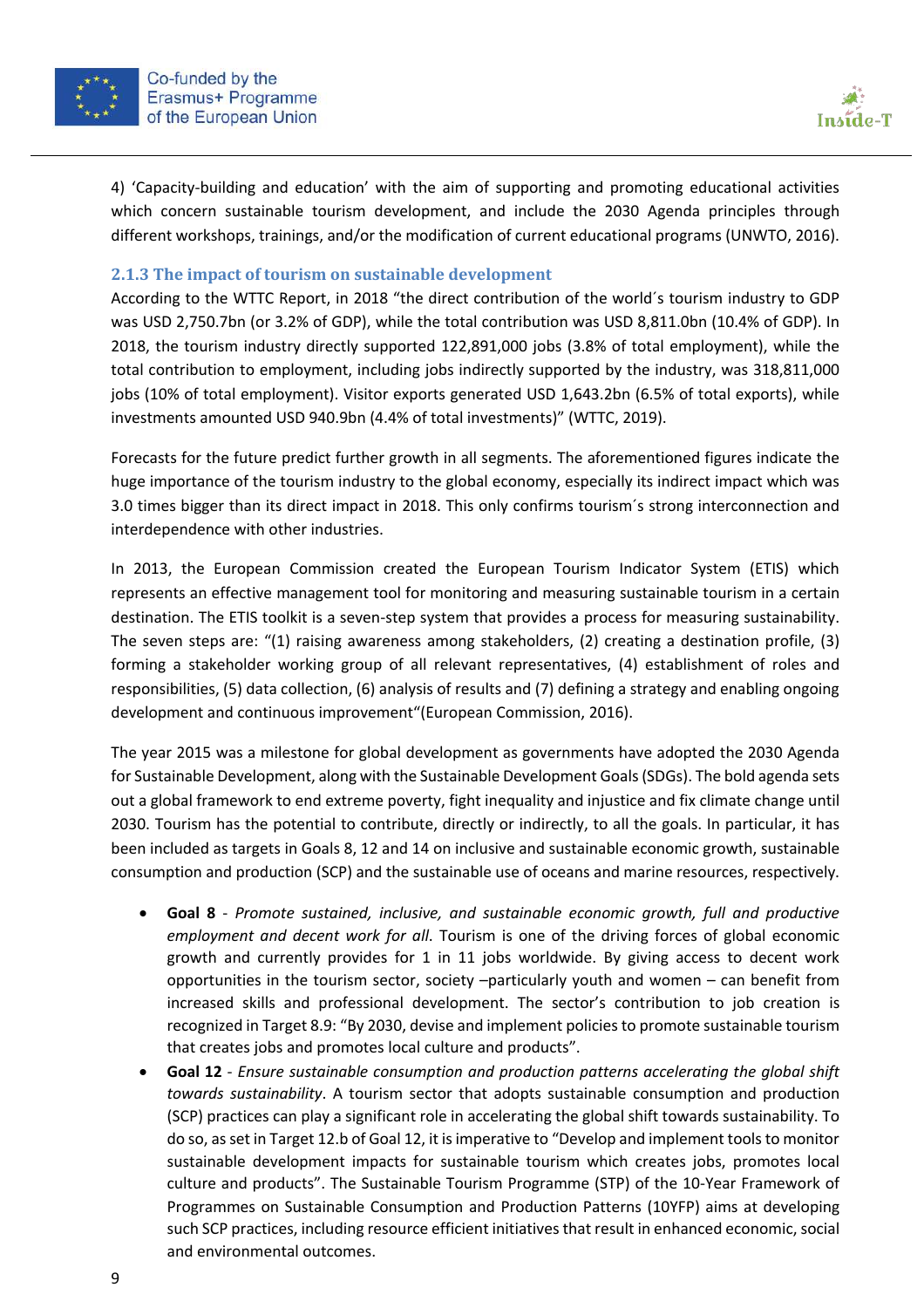



4) 'Capacity-building and education' with the aim of supporting and promoting educational activities which concern sustainable tourism development, and include the 2030 Agenda principles through different workshops, trainings, and/or the modification of current educational programs (UNWTO, 2016).

#### **2.1.3** The impact of tourism on sustainable development

According to the WTTC Report, in 2018 "the direct contribution of the world´s tourism industry to GDP was USD 2,750.7bn (or 3.2% of GDP), while the total contribution was USD 8,811.0bn (10.4% of GDP). In 2018, the tourism industry directly supported 122,891,000 jobs (3.8% of total employment), while the total contribution to employment, including jobs indirectly supported by the industry, was 318,811,000 jobs (10% of total employment). Visitor exports generated USD 1,643.2bn (6.5% of total exports), while investments amounted USD 940.9bn (4.4% of total investments)" (WTTC, 2019).

Forecasts for the future predict further growth in all segments. The aforementioned figures indicate the huge importance of the tourism industry to the global economy, especially its indirect impact which was 3.0 times bigger than its direct impact in 2018. This only confirms tourism´s strong interconnection and interdependence with other industries.

In 2013, the European Commission created the European Tourism Indicator System (ETIS) which represents an effective management tool for monitoring and measuring sustainable tourism in a certain destination. The ETIS toolkit is a seven-step system that provides a process for measuring sustainability. The seven steps are: "(1) raising awareness among stakeholders, (2) creating a destination profile, (3) forming a stakeholder working group of all relevant representatives, (4) establishment of roles and responsibilities, (5) data collection, (6) analysis of results and (7) defining a strategy and enabling ongoing development and continuous improvement"(European Commission, 2016).

The year 2015 was a milestone for global development as governments have adopted the 2030 Agenda for Sustainable Development, along with the Sustainable Development Goals (SDGs). The bold agenda sets out a global framework to end extreme poverty, fight inequality and injustice and fix climate change until 2030. Tourism has the potential to contribute, directly or indirectly, to all the goals. In particular, it has been included as targets in Goals 8, 12 and 14 on inclusive and sustainable economic growth, sustainable consumption and production (SCP) and the sustainable use of oceans and marine resources, respectively.

- **Goal 8** *Promote sustained, inclusive, and sustainable economic growth, full and productive employment and decent work for all*. Tourism is one of the driving forces of global economic growth and currently provides for 1 in 11 jobs worldwide. By giving access to decent work opportunities in the tourism sector, society –particularly youth and women – can benefit from increased skills and professional development. The sector's contribution to job creation is recognized in Target 8.9: "By 2030, devise and implement policies to promote sustainable tourism that creates jobs and promotes local culture and products".
- **Goal 12** *Ensure sustainable consumption and production patterns accelerating the global shift towards sustainability*. A tourism sector that adopts sustainable consumption and production (SCP) practices can play a significant role in accelerating the global shift towards sustainability. To do so, as set in Target 12.b of Goal 12, it is imperative to "Develop and implement tools to monitor sustainable development impacts for sustainable tourism which creates jobs, promotes local culture and products". The Sustainable Tourism Programme (STP) of the 10-Year Framework of Programmes on Sustainable Consumption and Production Patterns (10YFP) aims at developing such SCP practices, including resource efficient initiatives that result in enhanced economic, social and environmental outcomes.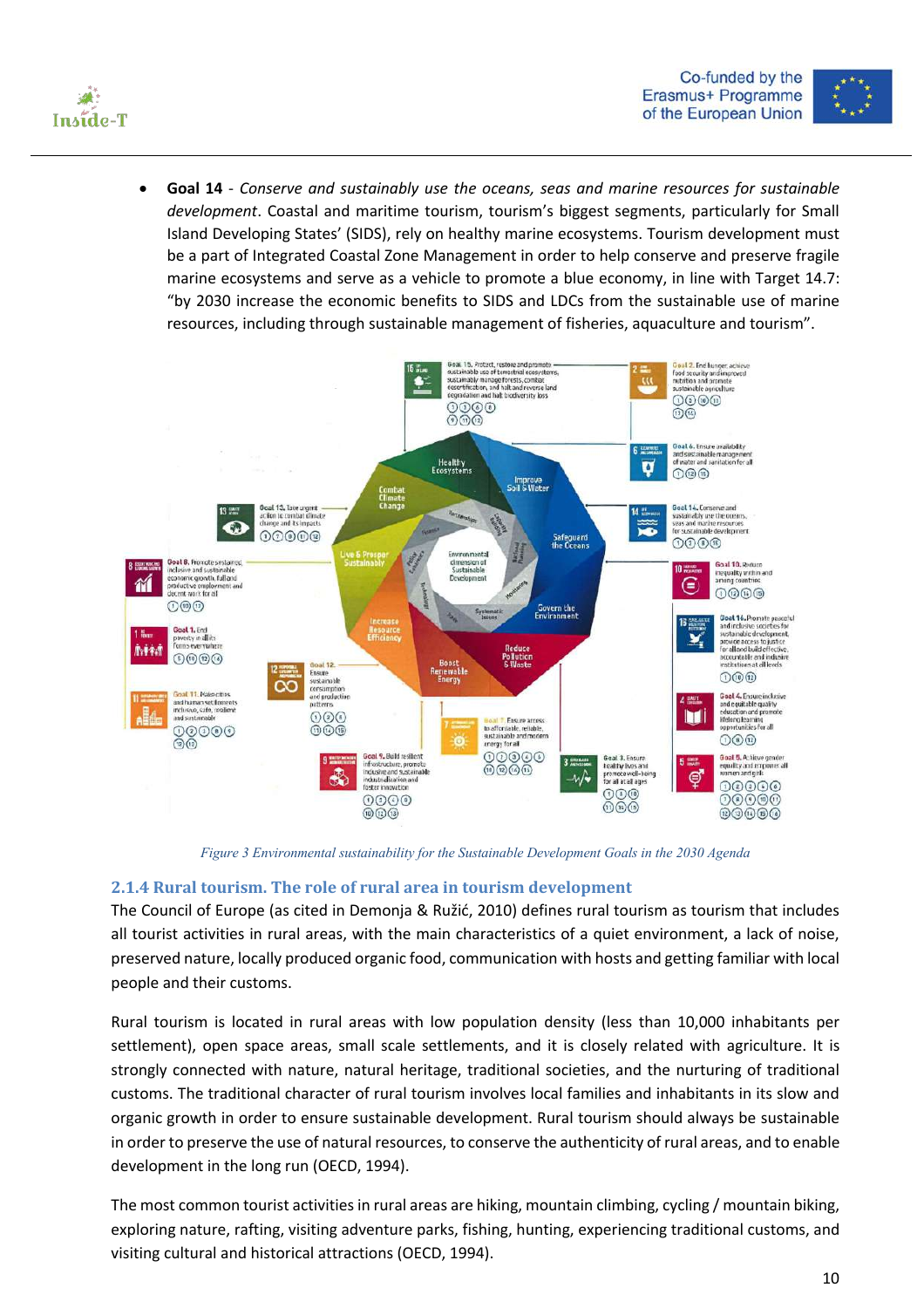



• **Goal 14** - *Conserve and sustainably use the oceans, seas and marine resources for sustainable development*. Coastal and maritime tourism, tourism's biggest segments, particularly for Small Island Developing States' (SIDS), rely on healthy marine ecosystems. Tourism development must be a part of Integrated Coastal Zone Management in order to help conserve and preserve fragile marine ecosystems and serve as a vehicle to promote a blue economy, in line with Target 14.7: "by 2030 increase the economic benefits to SIDS and LDCs from the sustainable use of marine resources, including through sustainable management of fisheries, aquaculture and tourism".



*Figure 3 Environmental sustainability for the Sustainable Development Goals in the 2030 Agenda*

#### **2.1.4 Rural tourism. The role of rural area in tourism development**

The Council of Europe (as cited in Demonja & Ružić, 2010) defines rural tourism as tourism that includes all tourist activities in rural areas, with the main characteristics of a quiet environment, a lack of noise, preserved nature, locally produced organic food, communication with hosts and getting familiar with local people and their customs.

Rural tourism is located in rural areas with low population density (less than 10,000 inhabitants per settlement), open space areas, small scale settlements, and it is closely related with agriculture. It is strongly connected with nature, natural heritage, traditional societies, and the nurturing of traditional customs. The traditional character of rural tourism involves local families and inhabitants in its slow and organic growth in order to ensure sustainable development. Rural tourism should always be sustainable in order to preserve the use of natural resources, to conserve the authenticity of rural areas, and to enable development in the long run (OECD, 1994).

The most common tourist activities in rural areas are hiking, mountain climbing, cycling / mountain biking, exploring nature, rafting, visiting adventure parks, fishing, hunting, experiencing traditional customs, and visiting cultural and historical attractions (OECD, 1994).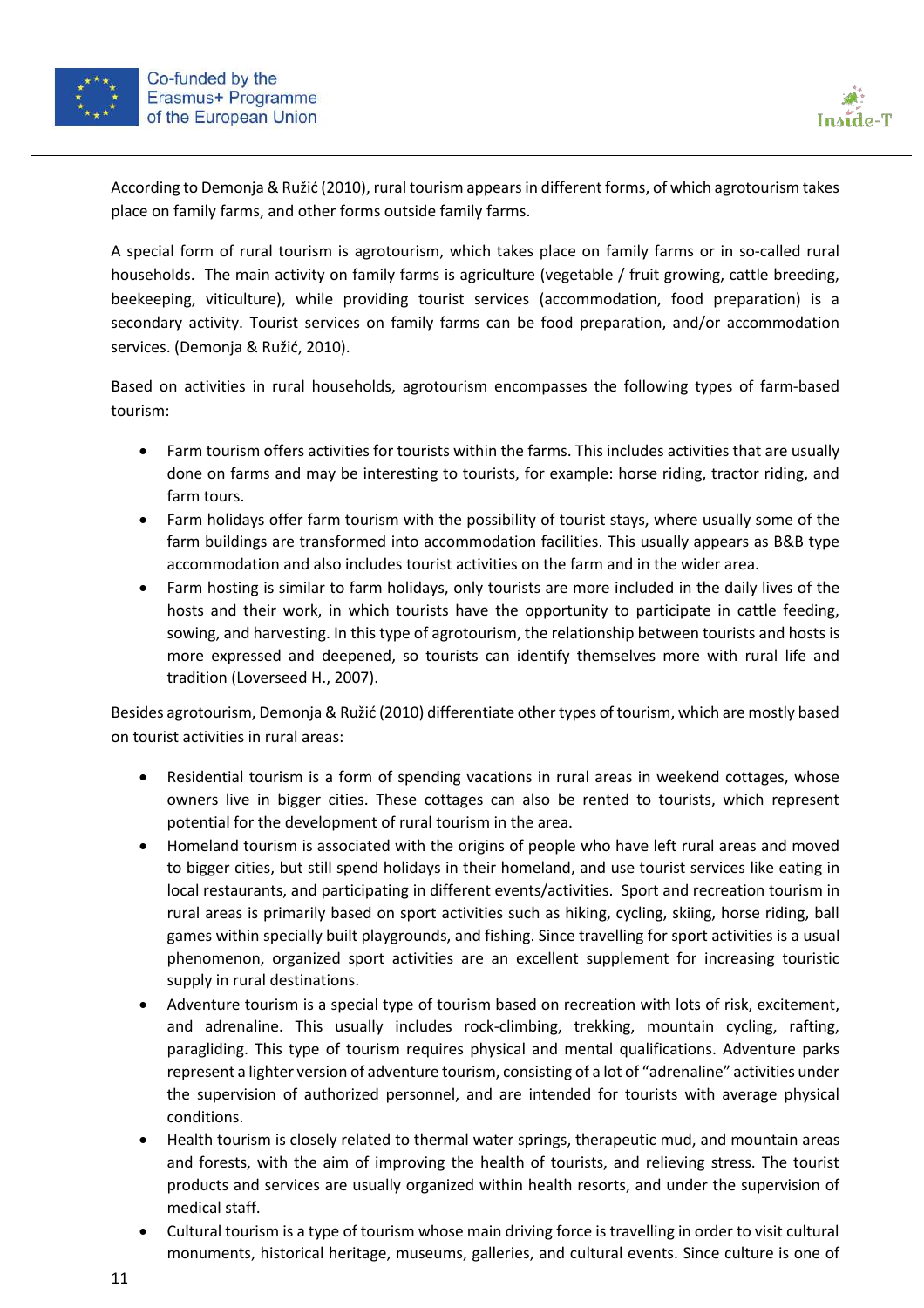



According to Demonja & Ružić (2010), rural tourism appears in different forms, of which agrotourism takes place on family farms, and other forms outside family farms.

A special form of rural tourism is agrotourism, which takes place on family farms or in so-called rural households. The main activity on family farms is agriculture (vegetable / fruit growing, cattle breeding, beekeeping, viticulture), while providing tourist services (accommodation, food preparation) is a secondary activity. Tourist services on family farms can be food preparation, and/or accommodation services. (Demonja & Ružić, 2010).

Based on activities in rural households, agrotourism encompasses the following types of farm-based tourism:

- Farm tourism offers activities for tourists within the farms. This includes activities that are usually done on farms and may be interesting to tourists, for example: horse riding, tractor riding, and farm tours.
- Farm holidays offer farm tourism with the possibility of tourist stays, where usually some of the farm buildings are transformed into accommodation facilities. This usually appears as B&B type accommodation and also includes tourist activities on the farm and in the wider area.
- Farm hosting is similar to farm holidays, only tourists are more included in the daily lives of the hosts and their work, in which tourists have the opportunity to participate in cattle feeding, sowing, and harvesting. In this type of agrotourism, the relationship between tourists and hosts is more expressed and deepened, so tourists can identify themselves more with rural life and tradition (Loverseed H., 2007).

Besides agrotourism, Demonja & Ružić (2010) differentiate other types of tourism, which are mostly based on tourist activities in rural areas:

- Residential tourism is a form of spending vacations in rural areas in weekend cottages, whose owners live in bigger cities. These cottages can also be rented to tourists, which represent potential for the development of rural tourism in the area.
- Homeland tourism is associated with the origins of people who have left rural areas and moved to bigger cities, but still spend holidays in their homeland, and use tourist services like eating in local restaurants, and participating in different events/activities. Sport and recreation tourism in rural areas is primarily based on sport activities such as hiking, cycling, skiing, horse riding, ball games within specially built playgrounds, and fishing. Since travelling for sport activities is a usual phenomenon, organized sport activities are an excellent supplement for increasing touristic supply in rural destinations.
- Adventure tourism is a special type of tourism based on recreation with lots of risk, excitement, and adrenaline. This usually includes rock-climbing, trekking, mountain cycling, rafting, paragliding. This type of tourism requires physical and mental qualifications. Adventure parks represent a lighter version of adventure tourism, consisting of a lot of "adrenaline" activities under the supervision of authorized personnel, and are intended for tourists with average physical conditions.
- Health tourism is closely related to thermal water springs, therapeutic mud, and mountain areas and forests, with the aim of improving the health of tourists, and relieving stress. The tourist products and services are usually organized within health resorts, and under the supervision of medical staff.
- Cultural tourism is a type of tourism whose main driving force is travelling in order to visit cultural monuments, historical heritage, museums, galleries, and cultural events. Since culture is one of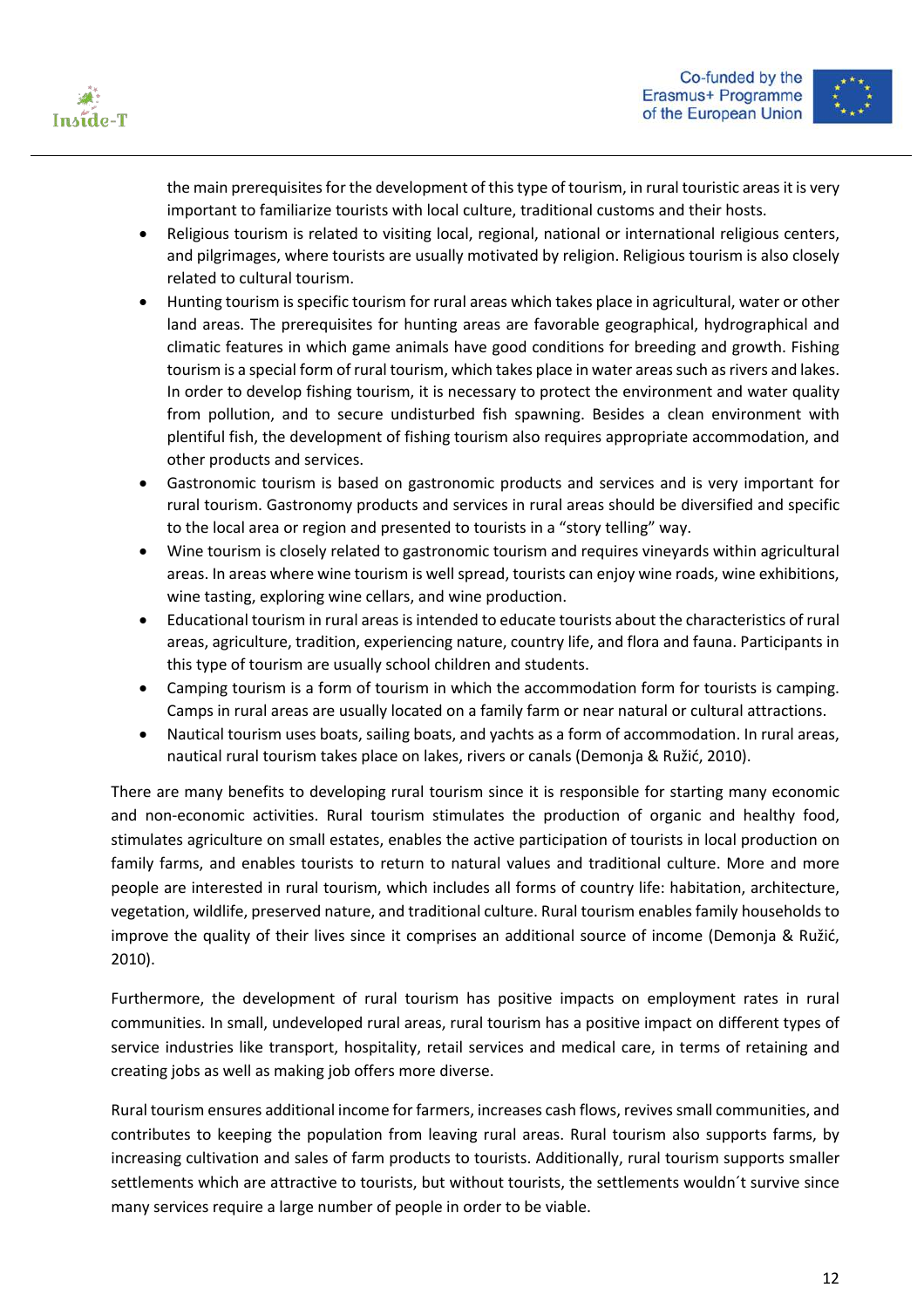



the main prerequisites for the development of this type of tourism, in rural touristic areas it is very important to familiarize tourists with local culture, traditional customs and their hosts.

- Religious tourism is related to visiting local, regional, national or international religious centers, and pilgrimages, where tourists are usually motivated by religion. Religious tourism is also closely related to cultural tourism.
- Hunting tourism is specific tourism for rural areas which takes place in agricultural, water or other land areas. The prerequisites for hunting areas are favorable geographical, hydrographical and climatic features in which game animals have good conditions for breeding and growth. Fishing tourism is a special form of rural tourism, which takes place in water areas such as rivers and lakes. In order to develop fishing tourism, it is necessary to protect the environment and water quality from pollution, and to secure undisturbed fish spawning. Besides a clean environment with plentiful fish, the development of fishing tourism also requires appropriate accommodation, and other products and services.
- Gastronomic tourism is based on gastronomic products and services and is very important for rural tourism. Gastronomy products and services in rural areas should be diversified and specific to the local area or region and presented to tourists in a "story telling" way.
- Wine tourism is closely related to gastronomic tourism and requires vineyards within agricultural areas. In areas where wine tourism is well spread, tourists can enjoy wine roads, wine exhibitions, wine tasting, exploring wine cellars, and wine production.
- Educational tourism in rural areas is intended to educate tourists about the characteristics of rural areas, agriculture, tradition, experiencing nature, country life, and flora and fauna. Participants in this type of tourism are usually school children and students.
- Camping tourism is a form of tourism in which the accommodation form for tourists is camping. Camps in rural areas are usually located on a family farm or near natural or cultural attractions.
- Nautical tourism uses boats, sailing boats, and yachts as a form of accommodation. In rural areas, nautical rural tourism takes place on lakes, rivers or canals (Demonja & Ružić, 2010).

There are many benefits to developing rural tourism since it is responsible for starting many economic and non-economic activities. Rural tourism stimulates the production of organic and healthy food, stimulates agriculture on small estates, enables the active participation of tourists in local production on family farms, and enables tourists to return to natural values and traditional culture. More and more people are interested in rural tourism, which includes all forms of country life: habitation, architecture, vegetation, wildlife, preserved nature, and traditional culture. Rural tourism enables family households to improve the quality of their lives since it comprises an additional source of income (Demonja & Ružić, 2010).

Furthermore, the development of rural tourism has positive impacts on employment rates in rural communities. In small, undeveloped rural areas, rural tourism has a positive impact on different types of service industries like transport, hospitality, retail services and medical care, in terms of retaining and creating jobs as well as making job offers more diverse.

Rural tourism ensures additional income for farmers, increases cash flows, revives small communities, and contributes to keeping the population from leaving rural areas. Rural tourism also supports farms, by increasing cultivation and sales of farm products to tourists. Additionally, rural tourism supports smaller settlements which are attractive to tourists, but without tourists, the settlements wouldn´t survive since many services require a large number of people in order to be viable.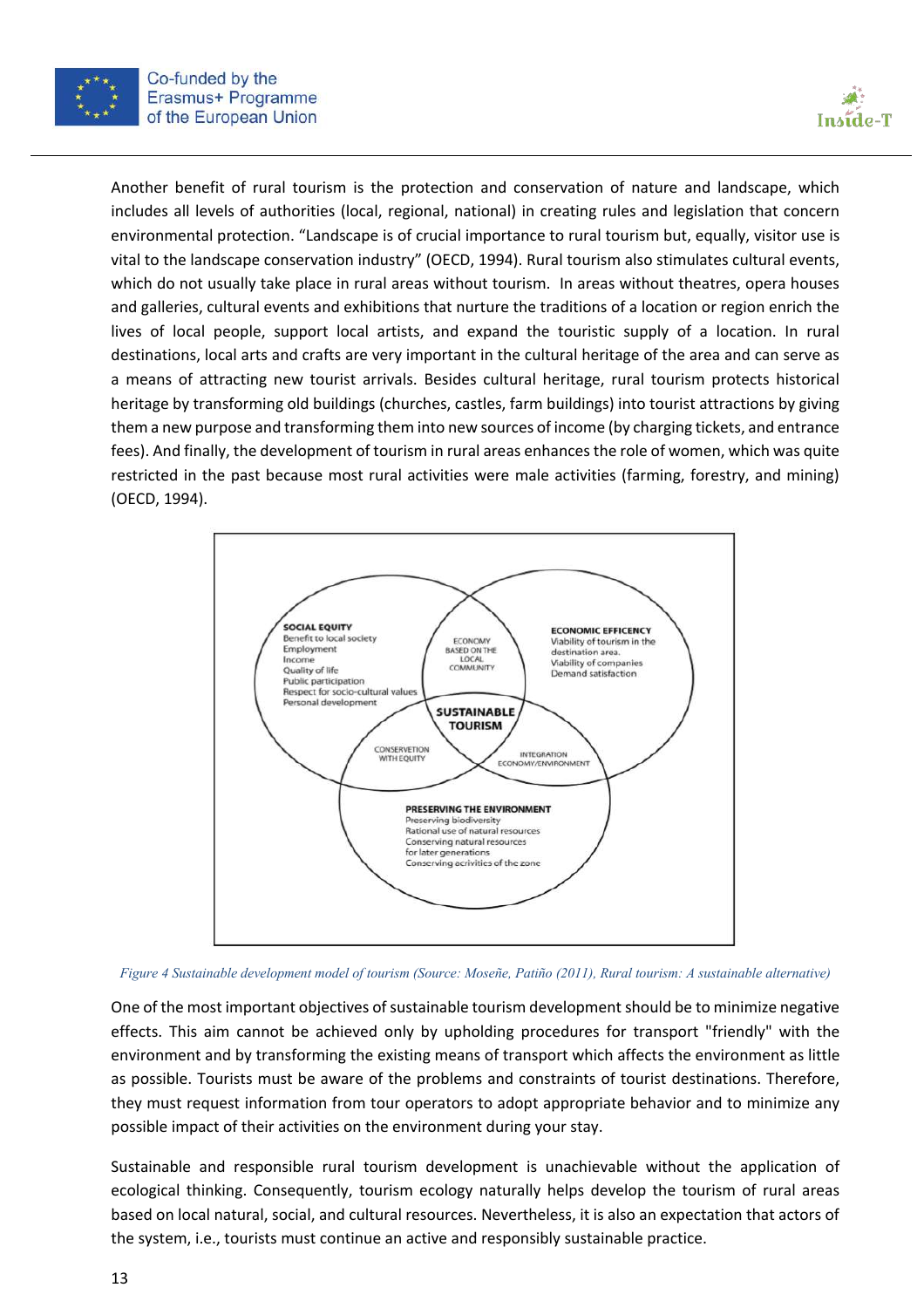



Another benefit of rural tourism is the protection and conservation of nature and landscape, which includes all levels of authorities (local, regional, national) in creating rules and legislation that concern environmental protection. "Landscape is of crucial importance to rural tourism but, equally, visitor use is vital to the landscape conservation industry" (OECD, 1994). Rural tourism also stimulates cultural events, which do not usually take place in rural areas without tourism. In areas without theatres, opera houses and galleries, cultural events and exhibitions that nurture the traditions of a location or region enrich the lives of local people, support local artists, and expand the touristic supply of a location. In rural destinations, local arts and crafts are very important in the cultural heritage of the area and can serve as a means of attracting new tourist arrivals. Besides cultural heritage, rural tourism protects historical heritage by transforming old buildings (churches, castles, farm buildings) into tourist attractions by giving them a new purpose and transforming them into new sources of income (by charging tickets, and entrance fees). And finally, the development of tourism in rural areas enhances the role of women, which was quite restricted in the past because most rural activities were male activities (farming, forestry, and mining) (OECD, 1994).



*Figure 4 Sustainable development model of tourism (Source: Moseñe, Patiño (2011), Rural tourism: A sustainable alternative)*

One of the most important objectives of sustainable tourism development should be to minimize negative effects. This aim cannot be achieved only by upholding procedures for transport "friendly" with the environment and by transforming the existing means of transport which affects the environment as little as possible. Tourists must be aware of the problems and constraints of tourist destinations. Therefore, they must request information from tour operators to adopt appropriate behavior and to minimize any possible impact of their activities on the environment during your stay.

Sustainable and responsible rural tourism development is unachievable without the application of ecological thinking. Consequently, tourism ecology naturally helps develop the tourism of rural areas based on local natural, social, and cultural resources. Nevertheless, it is also an expectation that actors of the system, i.e., tourists must continue an active and responsibly sustainable practice.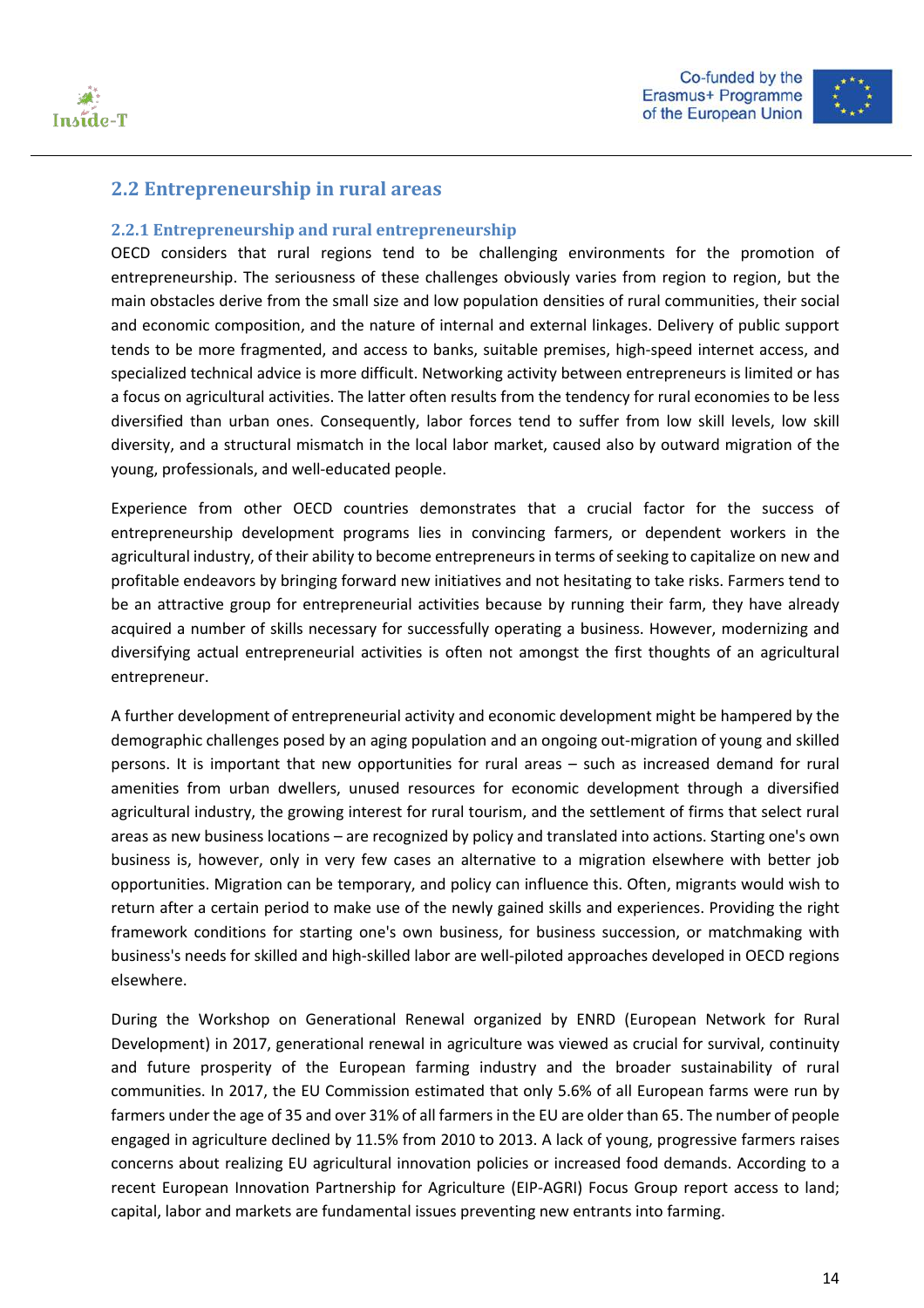



#### **2.2 Entrepreneurship** in rural areas

#### **2.2.1 Entrepreneurship and rural entrepreneurship**

OECD considers that rural regions tend to be challenging environments for the promotion of entrepreneurship. The seriousness of these challenges obviously varies from region to region, but the main obstacles derive from the small size and low population densities of rural communities, their social and economic composition, and the nature of internal and external linkages. Delivery of public support tends to be more fragmented, and access to banks, suitable premises, high-speed internet access, and specialized technical advice is more difficult. Networking activity between entrepreneurs is limited or has a focus on agricultural activities. The latter often results from the tendency for rural economies to be less diversified than urban ones. Consequently, labor forces tend to suffer from low skill levels, low skill diversity, and a structural mismatch in the local labor market, caused also by outward migration of the young, professionals, and well-educated people.

Experience from other OECD countries demonstrates that a crucial factor for the success of entrepreneurship development programs lies in convincing farmers, or dependent workers in the agricultural industry, of their ability to become entrepreneurs in terms of seeking to capitalize on new and profitable endeavors by bringing forward new initiatives and not hesitating to take risks. Farmers tend to be an attractive group for entrepreneurial activities because by running their farm, they have already acquired a number of skills necessary for successfully operating a business. However, modernizing and diversifying actual entrepreneurial activities is often not amongst the first thoughts of an agricultural entrepreneur.

A further development of entrepreneurial activity and economic development might be hampered by the demographic challenges posed by an aging population and an ongoing out-migration of young and skilled persons. It is important that new opportunities for rural areas – such as increased demand for rural amenities from urban dwellers, unused resources for economic development through a diversified agricultural industry, the growing interest for rural tourism, and the settlement of firms that select rural areas as new business locations – are recognized by policy and translated into actions. Starting one's own business is, however, only in very few cases an alternative to a migration elsewhere with better job opportunities. Migration can be temporary, and policy can influence this. Often, migrants would wish to return after a certain period to make use of the newly gained skills and experiences. Providing the right framework conditions for starting one's own business, for business succession, or matchmaking with business's needs for skilled and high-skilled labor are well-piloted approaches developed in OECD regions elsewhere.

During the Workshop on Generational Renewal organized by ENRD (European Network for Rural Development) in 2017, generational renewal in agriculture was viewed as crucial for survival, continuity and future prosperity of the European farming industry and the broader sustainability of rural communities. In 2017, the EU Commission estimated that only 5.6% of all European farms were run by farmers under the age of 35 and over 31% of all farmers in the EU are older than 65. The number of people engaged in agriculture declined by 11.5% from 2010 to 2013. A lack of young, progressive farmers raises concerns about realizing EU agricultural innovation policies or increased food demands. According to a recent European Innovation Partnership for Agriculture (EIP-AGRI) Focus Group report access to land; capital, labor and markets are fundamental issues preventing new entrants into farming.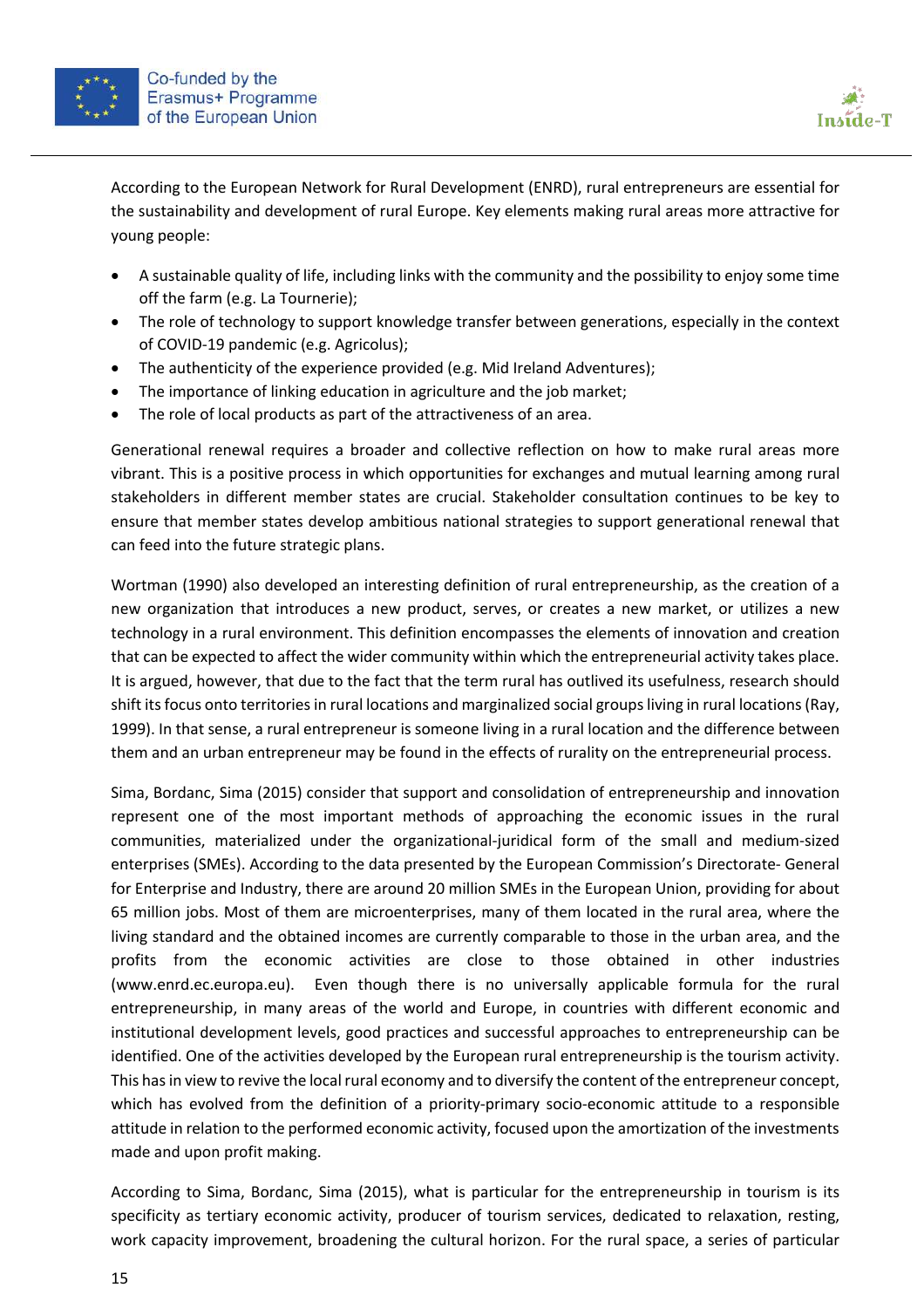



According to the European Network for Rural Development (ENRD), rural entrepreneurs are essential for the sustainability and development of rural Europe. Key elements making rural areas more attractive for young people:

- A sustainable quality of life, including links with the community and the possibility to enjoy some time off the farm (e.g. La Tournerie);
- The role of technology to support knowledge transfer between generations, especially in the context of COVID-19 pandemic (e.g. Agricolus);
- The authenticity of the experience provided (e.g. Mid Ireland Adventures);
- The importance of linking education in agriculture and the job market;
- The role of local products as part of the attractiveness of an area.

Generational renewal requires a broader and collective reflection on how to make rural areas more vibrant. This is a positive process in which opportunities for exchanges and mutual learning among rural stakeholders in different member states are crucial. Stakeholder consultation continues to be key to ensure that member states develop ambitious national strategies to support generational renewal that can feed into the future strategic plans.

Wortman (1990) also developed an interesting definition of rural entrepreneurship, as the creation of a new organization that introduces a new product, serves, or creates a new market, or utilizes a new technology in a rural environment. This definition encompasses the elements of innovation and creation that can be expected to affect the wider community within which the entrepreneurial activity takes place. It is argued, however, that due to the fact that the term rural has outlived its usefulness, research should shift its focus onto territories in rural locations and marginalized social groups living in rural locations (Ray, 1999). In that sense, a rural entrepreneur is someone living in a rural location and the difference between them and an urban entrepreneur may be found in the effects of rurality on the entrepreneurial process.

Sima, Bordanc, Sima (2015) consider that support and consolidation of entrepreneurship and innovation represent one of the most important methods of approaching the economic issues in the rural communities, materialized under the organizational-juridical form of the small and medium-sized enterprises (SMEs). According to the data presented by the European Commission's Directorate- General for Enterprise and Industry, there are around 20 million SMEs in the European Union, providing for about 65 million jobs. Most of them are microenterprises, many of them located in the rural area, where the living standard and the obtained incomes are currently comparable to those in the urban area, and the profits from the economic activities are close to those obtained in other industries (www.enrd.ec.europa.eu). Even though there is no universally applicable formula for the rural entrepreneurship, in many areas of the world and Europe, in countries with different economic and institutional development levels, good practices and successful approaches to entrepreneurship can be identified. One of the activities developed by the European rural entrepreneurship is the tourism activity. This has in view to revive the local rural economy and to diversify the content of the entrepreneur concept, which has evolved from the definition of a priority-primary socio-economic attitude to a responsible attitude in relation to the performed economic activity, focused upon the amortization of the investments made and upon profit making.

According to Sima, Bordanc, Sima (2015), what is particular for the entrepreneurship in tourism is its specificity as tertiary economic activity, producer of tourism services, dedicated to relaxation, resting, work capacity improvement, broadening the cultural horizon. For the rural space, a series of particular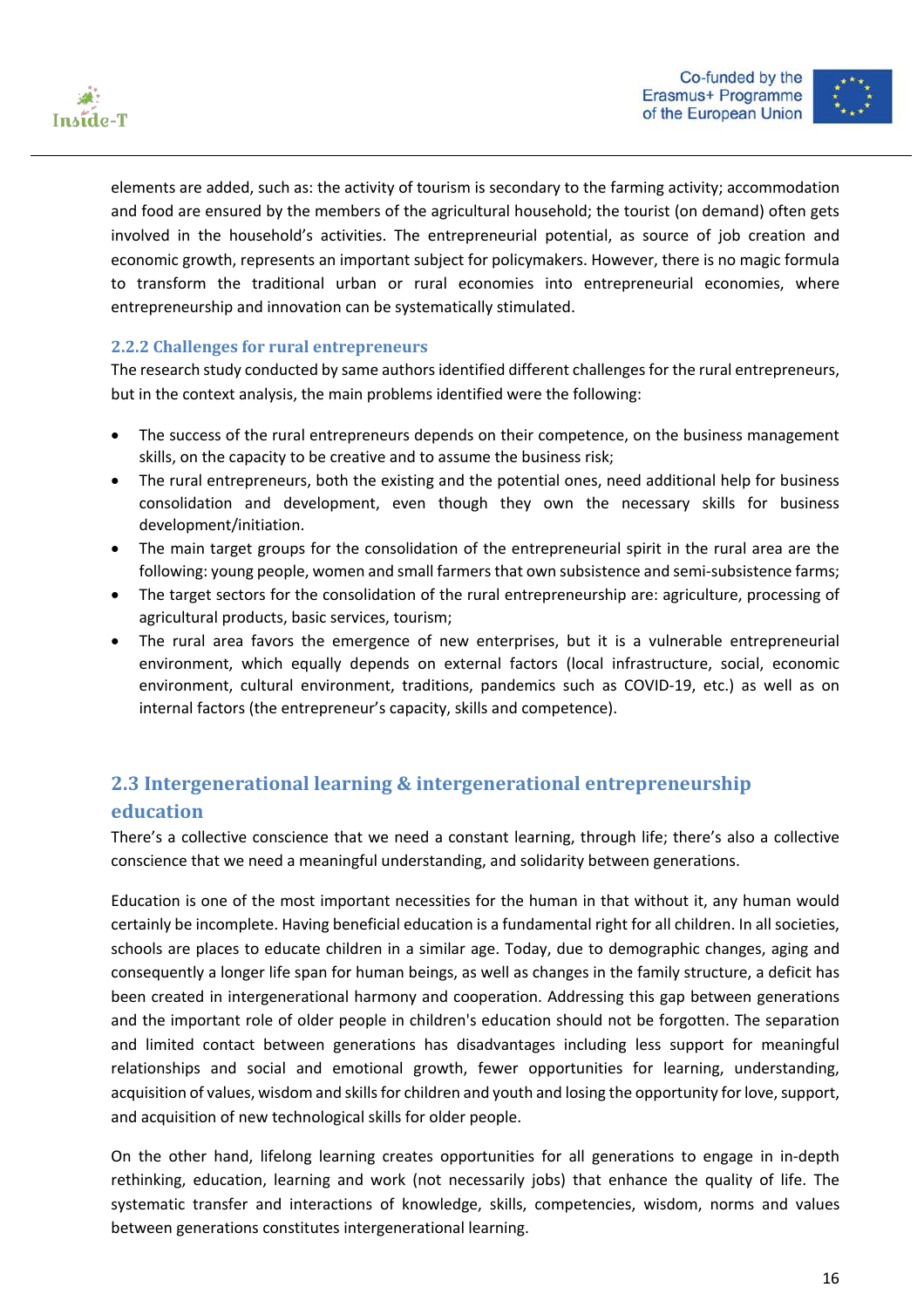



elements are added, such as: the activity of tourism is secondary to the farming activity; accommodation and food are ensured by the members of the agricultural household; the tourist (on demand) often gets involved in the household's activities. The entrepreneurial potential, as source of job creation and economic growth, represents an important subject for policymakers. However, there is no magic formula to transform the traditional urban or rural economies into entrepreneurial economies, where entrepreneurship and innovation can be systematically stimulated.

#### **2.2.2 Challenges for rural entrepreneurs**

The research study conducted by same authors identified different challenges for the rural entrepreneurs, but in the context analysis, the main problems identified were the following:

- The success of the rural entrepreneurs depends on their competence, on the business management skills, on the capacity to be creative and to assume the business risk;
- The rural entrepreneurs, both the existing and the potential ones, need additional help for business consolidation and development, even though they own the necessary skills for business development/initiation.
- The main target groups for the consolidation of the entrepreneurial spirit in the rural area are the following: young people, women and small farmers that own subsistence and semi-subsistence farms;
- The target sectors for the consolidation of the rural entrepreneurship are: agriculture, processing of agricultural products, basic services, tourism;
- The rural area favors the emergence of new enterprises, but it is a vulnerable entrepreneurial environment, which equally depends on external factors (local infrastructure, social, economic environment, cultural environment, traditions, pandemics such as COVID-19, etc.) as well as on internal factors (the entrepreneur's capacity, skills and competence).

# **2.3** Intergenerational learning & intergenerational entrepreneurship **education**

There's a collective conscience that we need a constant learning, through life; there's also a collective conscience that we need a meaningful understanding, and solidarity between generations.

Education is one of the most important necessities for the human in that without it, any human would certainly be incomplete. Having beneficial education is a fundamental right for all children. In all societies, schools are places to educate children in a similar age. Today, due to demographic changes, aging and consequently a longer life span for human beings, as well as changes in the family structure, a deficit has been created in intergenerational harmony and cooperation. Addressing this gap between generations and the important role of older people in children's education should not be forgotten. The separation and limited contact between generations has disadvantages including less support for meaningful relationships and social and emotional growth, fewer opportunities for learning, understanding, acquisition of values, wisdom and skills for children and youth and losing the opportunity for love, support, and acquisition of new technological skills for older people.

On the other hand, lifelong learning creates opportunities for all generations to engage in in-depth rethinking, education, learning and work (not necessarily jobs) that enhance the quality of life. The systematic transfer and interactions of knowledge, skills, competencies, wisdom, norms and values between generations constitutes intergenerational learning.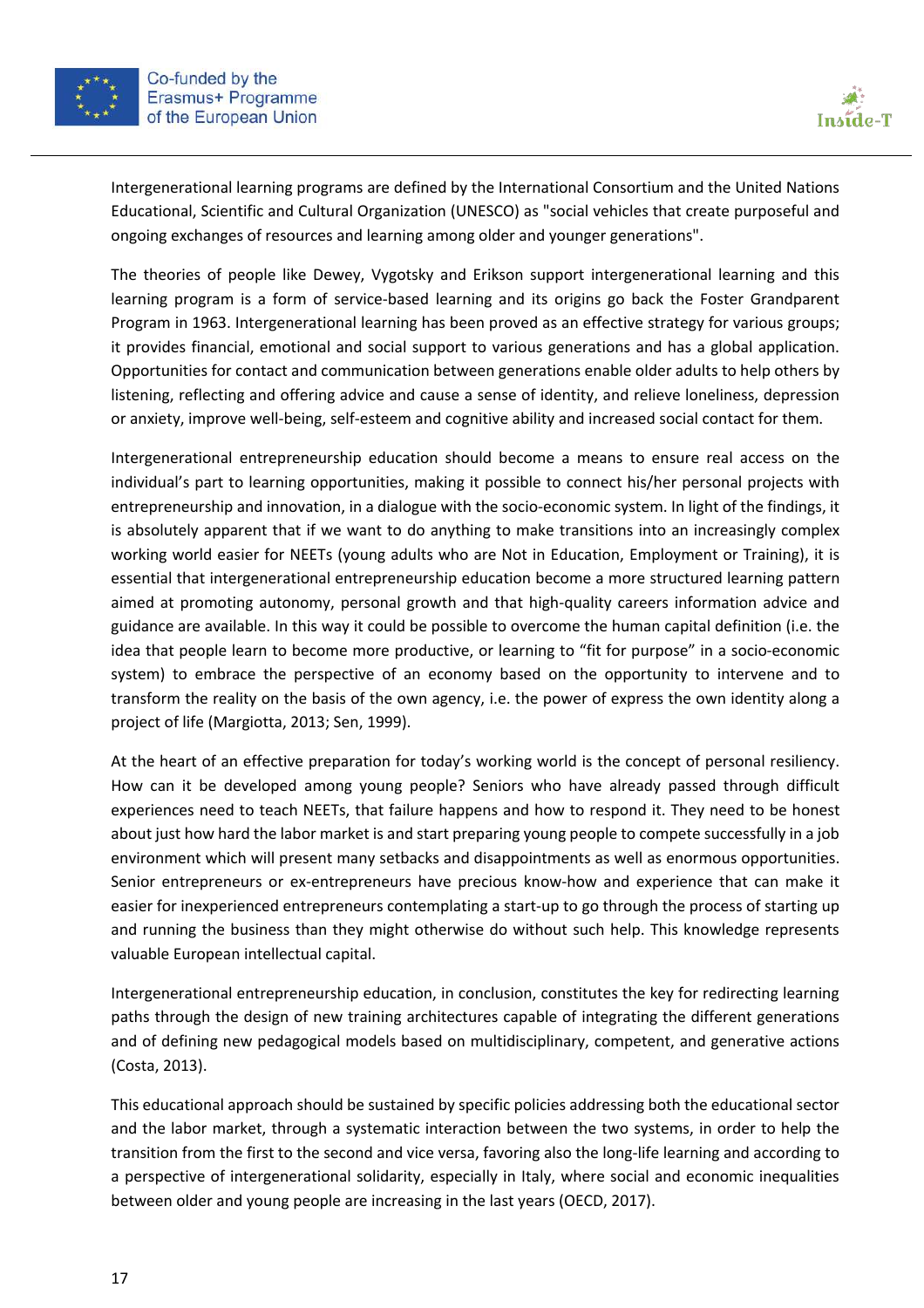



Intergenerational learning programs are defined by the International Consortium and the United Nations Educational, Scientific and Cultural Organization (UNESCO) as "social vehicles that create purposeful and ongoing exchanges of resources and learning among older and younger generations".

The theories of people like Dewey, Vygotsky and Erikson support intergenerational learning and this learning program is a form of service-based learning and its origins go back the Foster Grandparent Program in 1963. Intergenerational learning has been proved as an effective strategy for various groups; it provides financial, emotional and social support to various generations and has a global application. Opportunities for contact and communication between generations enable older adults to help others by listening, reflecting and offering advice and cause a sense of identity, and relieve loneliness, depression or anxiety, improve well-being, self-esteem and cognitive ability and increased social contact for them.

Intergenerational entrepreneurship education should become a means to ensure real access on the individual's part to learning opportunities, making it possible to connect his/her personal projects with entrepreneurship and innovation, in a dialogue with the socio-economic system. In light of the findings, it is absolutely apparent that if we want to do anything to make transitions into an increasingly complex working world easier for NEETs (young adults who are Not in Education, Employment or Training), it is essential that intergenerational entrepreneurship education become a more structured learning pattern aimed at promoting autonomy, personal growth and that high-quality careers information advice and guidance are available. In this way it could be possible to overcome the human capital definition (i.e. the idea that people learn to become more productive, or learning to "fit for purpose" in a socio-economic system) to embrace the perspective of an economy based on the opportunity to intervene and to transform the reality on the basis of the own agency, i.e. the power of express the own identity along a project of life (Margiotta, 2013; Sen, 1999).

At the heart of an effective preparation for today's working world is the concept of personal resiliency. How can it be developed among young people? Seniors who have already passed through difficult experiences need to teach NEETs, that failure happens and how to respond it. They need to be honest about just how hard the labor market is and start preparing young people to compete successfully in a job environment which will present many setbacks and disappointments as well as enormous opportunities. Senior entrepreneurs or ex-entrepreneurs have precious know-how and experience that can make it easier for inexperienced entrepreneurs contemplating a start-up to go through the process of starting up and running the business than they might otherwise do without such help. This knowledge represents valuable European intellectual capital.

Intergenerational entrepreneurship education, in conclusion, constitutes the key for redirecting learning paths through the design of new training architectures capable of integrating the different generations and of defining new pedagogical models based on multidisciplinary, competent, and generative actions (Costa, 2013).

This educational approach should be sustained by specific policies addressing both the educational sector and the labor market, through a systematic interaction between the two systems, in order to help the transition from the first to the second and vice versa, favoring also the long-life learning and according to a perspective of intergenerational solidarity, especially in Italy, where social and economic inequalities between older and young people are increasing in the last years (OECD, 2017).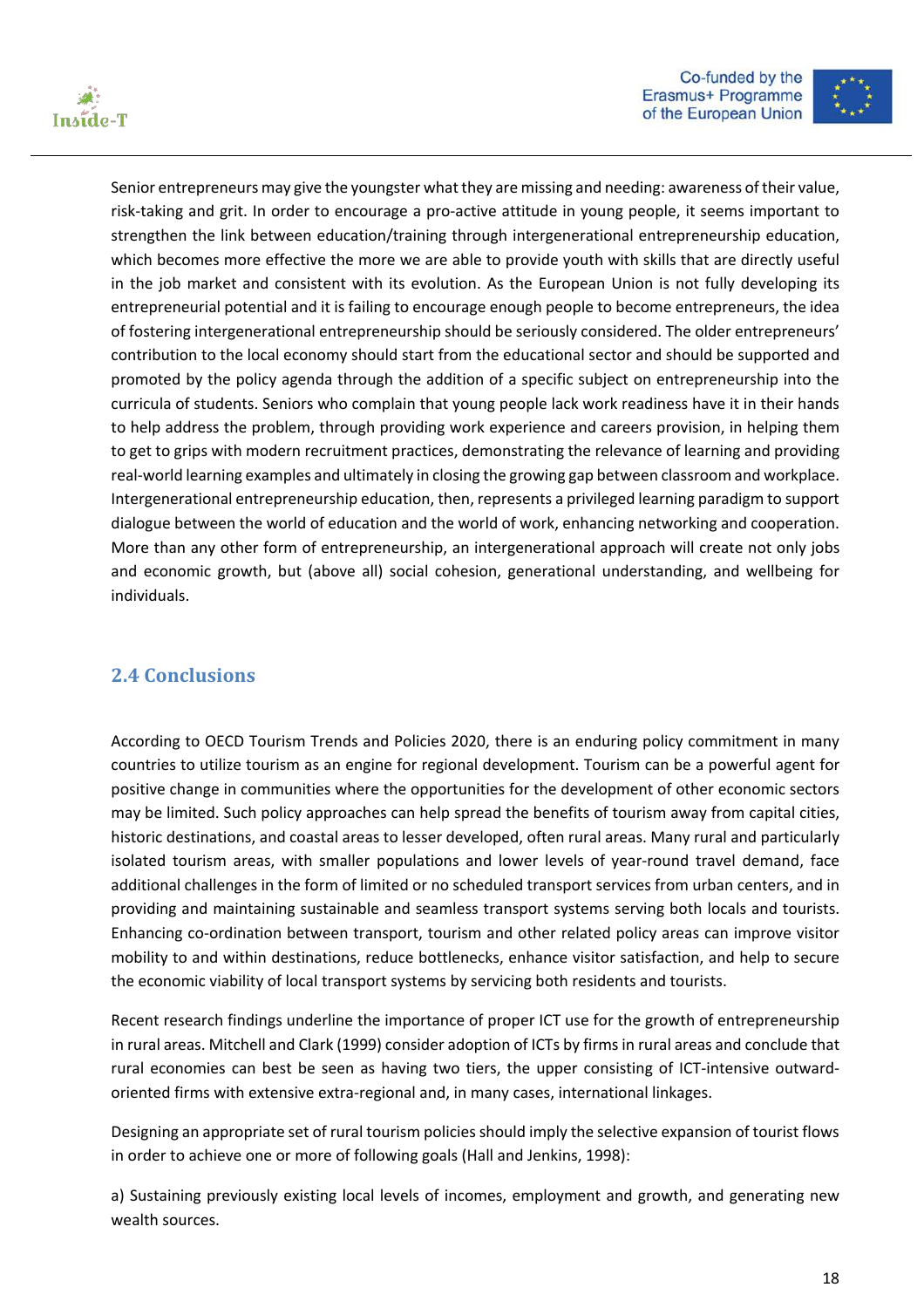



Senior entrepreneurs may give the youngster what they are missing and needing: awareness of their value, risk-taking and grit. In order to encourage a pro-active attitude in young people, it seems important to strengthen the link between education/training through intergenerational entrepreneurship education, which becomes more effective the more we are able to provide youth with skills that are directly useful in the job market and consistent with its evolution. As the European Union is not fully developing its entrepreneurial potential and it is failing to encourage enough people to become entrepreneurs, the idea of fostering intergenerational entrepreneurship should be seriously considered. The older entrepreneurs' contribution to the local economy should start from the educational sector and should be supported and promoted by the policy agenda through the addition of a specific subject on entrepreneurship into the curricula of students. Seniors who complain that young people lack work readiness have it in their hands to help address the problem, through providing work experience and careers provision, in helping them to get to grips with modern recruitment practices, demonstrating the relevance of learning and providing real-world learning examples and ultimately in closing the growing gap between classroom and workplace. Intergenerational entrepreneurship education, then, represents a privileged learning paradigm to support dialogue between the world of education and the world of work, enhancing networking and cooperation. More than any other form of entrepreneurship, an intergenerational approach will create not only jobs and economic growth, but (above all) social cohesion, generational understanding, and wellbeing for individuals.

### **2.4 Conclusions**

According to OECD Tourism Trends and Policies 2020, there is an enduring policy commitment in many countries to utilize tourism as an engine for regional development. Tourism can be a powerful agent for positive change in communities where the opportunities for the development of other economic sectors may be limited. Such policy approaches can help spread the benefits of tourism away from capital cities, historic destinations, and coastal areas to lesser developed, often rural areas. Many rural and particularly isolated tourism areas, with smaller populations and lower levels of year-round travel demand, face additional challenges in the form of limited or no scheduled transport services from urban centers, and in providing and maintaining sustainable and seamless transport systems serving both locals and tourists. Enhancing co-ordination between transport, tourism and other related policy areas can improve visitor mobility to and within destinations, reduce bottlenecks, enhance visitor satisfaction, and help to secure the economic viability of local transport systems by servicing both residents and tourists.

Recent research findings underline the importance of proper ICT use for the growth of entrepreneurship in rural areas. Mitchell and Clark (1999) consider adoption of ICTs by firms in rural areas and conclude that rural economies can best be seen as having two tiers, the upper consisting of ICT-intensive outwardoriented firms with extensive extra-regional and, in many cases, international linkages.

Designing an appropriate set of rural tourism policies should imply the selective expansion of tourist flows in order to achieve one or more of following goals (Hall and Jenkins, 1998):

a) Sustaining previously existing local levels of incomes, employment and growth, and generating new wealth sources.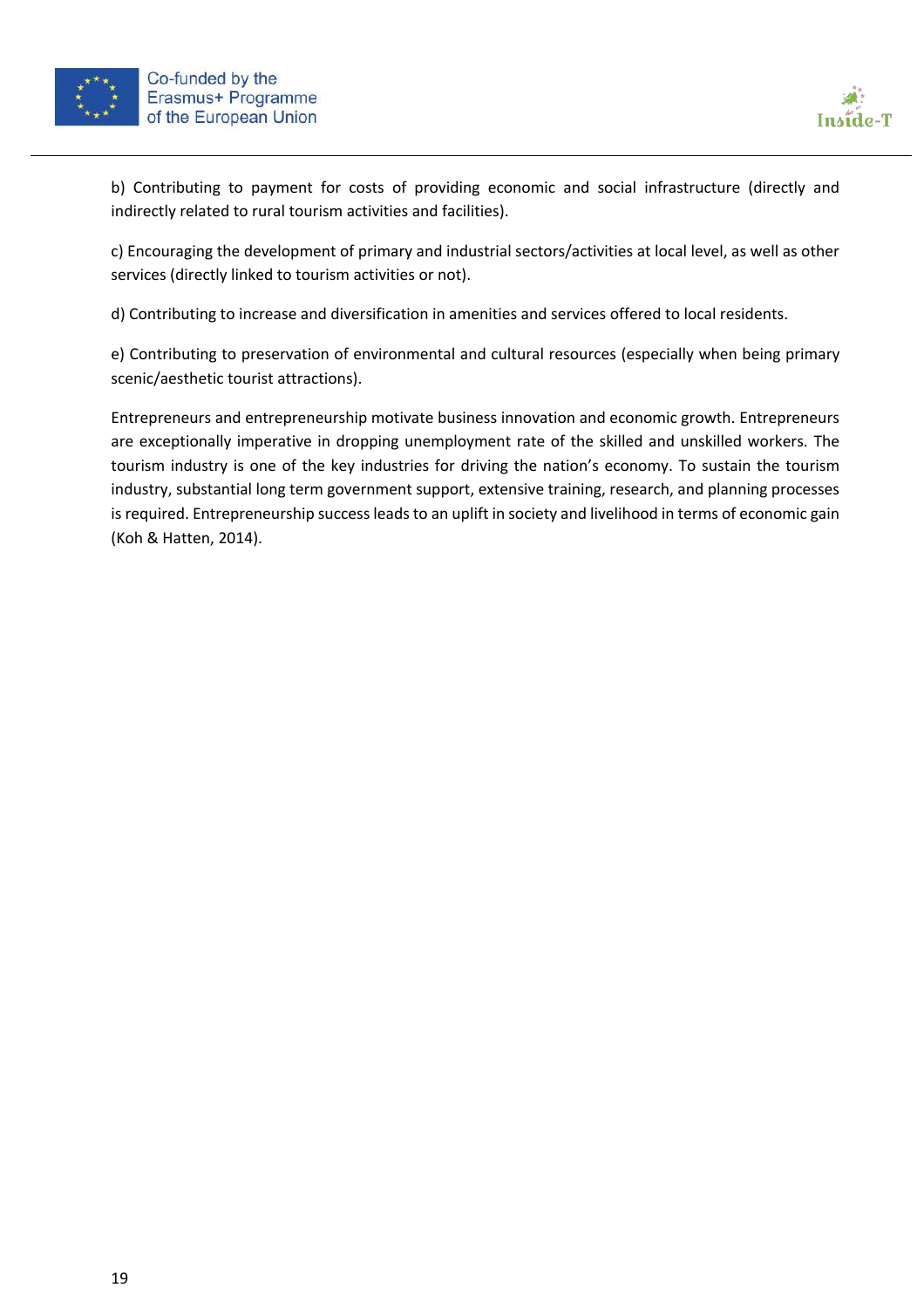



b) Contributing to payment for costs of providing economic and social infrastructure (directly and indirectly related to rural tourism activities and facilities).

c) Encouraging the development of primary and industrial sectors/activities at local level, as well as other services (directly linked to tourism activities or not).

d) Contributing to increase and diversification in amenities and services offered to local residents.

e) Contributing to preservation of environmental and cultural resources (especially when being primary scenic/aesthetic tourist attractions).

Entrepreneurs and entrepreneurship motivate business innovation and economic growth. Entrepreneurs are exceptionally imperative in dropping unemployment rate of the skilled and unskilled workers. The tourism industry is one of the key industries for driving the nation's economy. To sustain the tourism industry, substantial long term government support, extensive training, research, and planning processes is required. Entrepreneurship success leads to an uplift in society and livelihood in terms of economic gain (Koh & Hatten, 2014).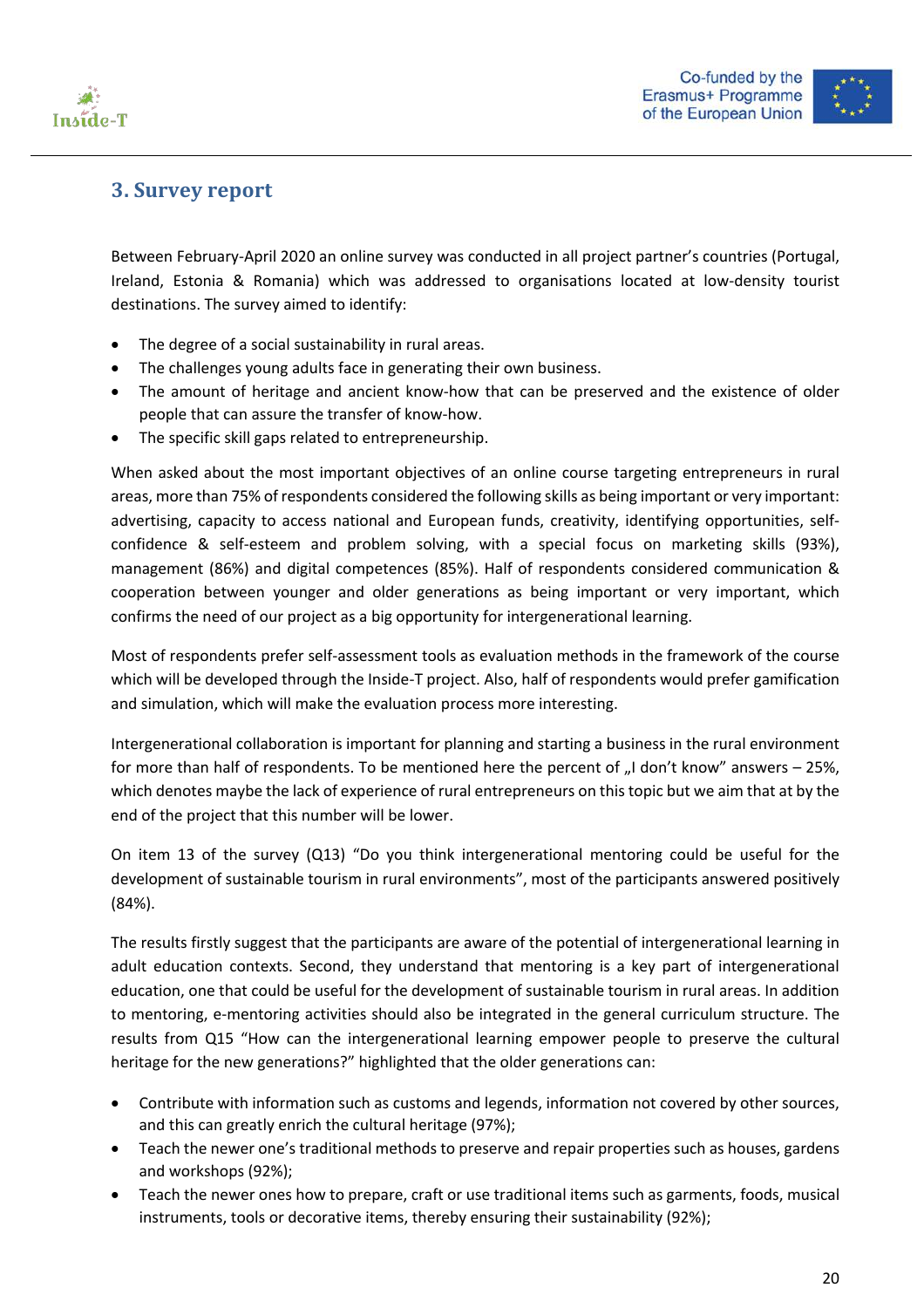



## **3. Survey report**

Between February-April 2020 an online survey was conducted in all project partner's countries (Portugal, Ireland, Estonia & Romania) which was addressed to organisations located at low-density tourist destinations. The survey aimed to identify:

- The degree of a social sustainability in rural areas.
- The challenges young adults face in generating their own business.
- The amount of heritage and ancient know-how that can be preserved and the existence of older people that can assure the transfer of know-how.
- The specific skill gaps related to entrepreneurship.

When asked about the most important objectives of an online course targeting entrepreneurs in rural areas, more than 75% of respondents considered the following skills as being important or very important: advertising, capacity to access national and European funds, creativity, identifying opportunities, selfconfidence & self-esteem and problem solving, with a special focus on marketing skills (93%), management (86%) and digital competences (85%). Half of respondents considered communication & cooperation between younger and older generations as being important or very important, which confirms the need of our project as a big opportunity for intergenerational learning.

Most of respondents prefer self-assessment tools as evaluation methods in the framework of the course which will be developed through the Inside-T project. Also, half of respondents would prefer gamification and simulation, which will make the evaluation process more interesting.

Intergenerational collaboration is important for planning and starting a business in the rural environment for more than half of respondents. To be mentioned here the percent of  $n!$  don't know" answers – 25%, which denotes maybe the lack of experience of rural entrepreneurs on this topic but we aim that at by the end of the project that this number will be lower.

On item 13 of the survey (Q13) "Do you think intergenerational mentoring could be useful for the development of sustainable tourism in rural environments", most of the participants answered positively (84%).

The results firstly suggest that the participants are aware of the potential of intergenerational learning in adult education contexts. Second, they understand that mentoring is a key part of intergenerational education, one that could be useful for the development of sustainable tourism in rural areas. In addition to mentoring, e-mentoring activities should also be integrated in the general curriculum structure. The results from Q15 "How can the intergenerational learning empower people to preserve the cultural heritage for the new generations?" highlighted that the older generations can:

- Contribute with information such as customs and legends, information not covered by other sources, and this can greatly enrich the cultural heritage (97%);
- Teach the newer one's traditional methods to preserve and repair properties such as houses, gardens and workshops (92%);
- Teach the newer ones how to prepare, craft or use traditional items such as garments, foods, musical instruments, tools or decorative items, thereby ensuring their sustainability (92%);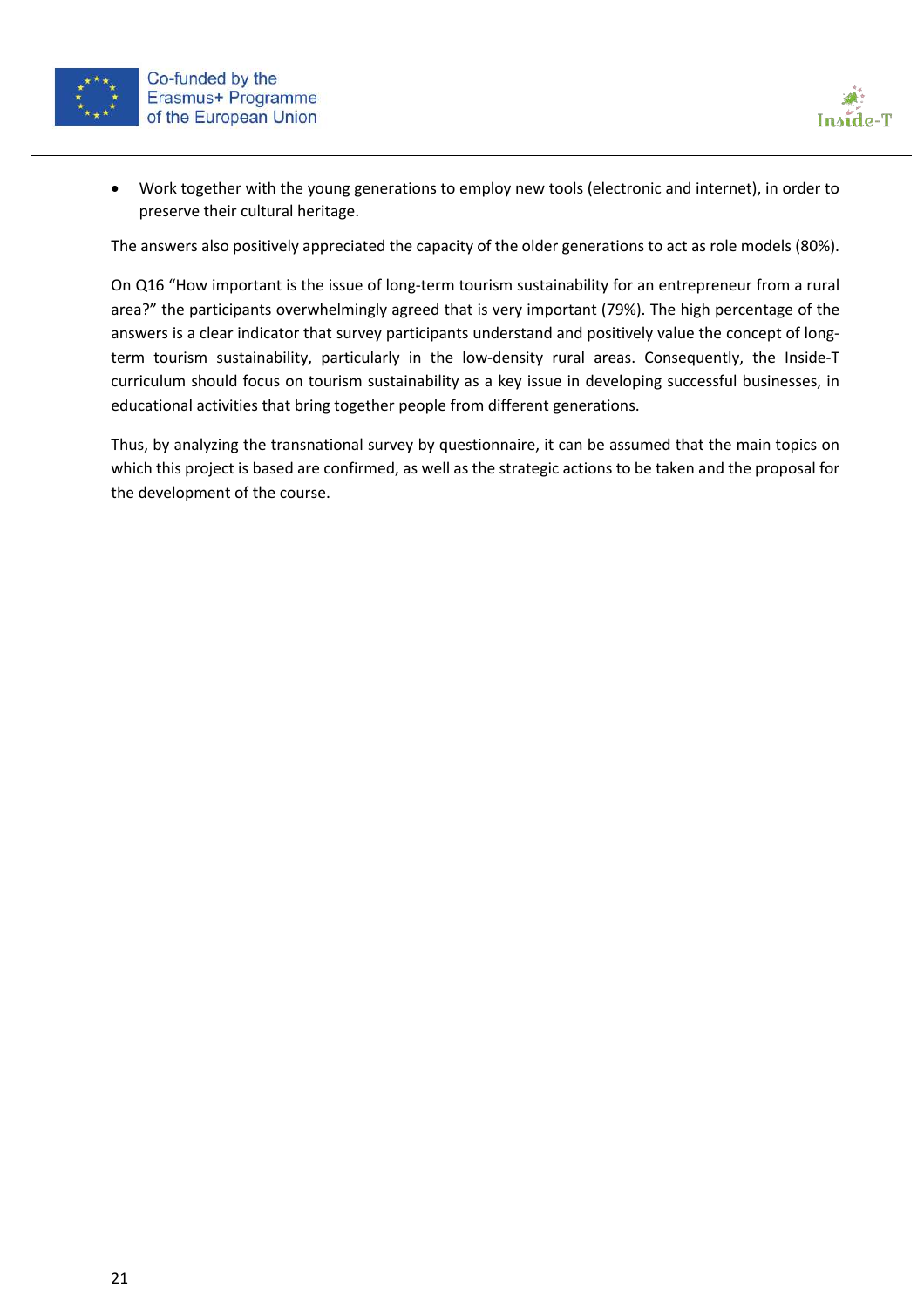



• Work together with the young generations to employ new tools (electronic and internet), in order to preserve their cultural heritage.

The answers also positively appreciated the capacity of the older generations to act as role models (80%).

On Q16 "How important is the issue of long-term tourism sustainability for an entrepreneur from a rural area?" the participants overwhelmingly agreed that is very important (79%). The high percentage of the answers is a clear indicator that survey participants understand and positively value the concept of longterm tourism sustainability, particularly in the low-density rural areas. Consequently, the Inside-T curriculum should focus on tourism sustainability as a key issue in developing successful businesses, in educational activities that bring together people from different generations.

Thus, by analyzing the transnational survey by questionnaire, it can be assumed that the main topics on which this project is based are confirmed, as well as the strategic actions to be taken and the proposal for the development of the course.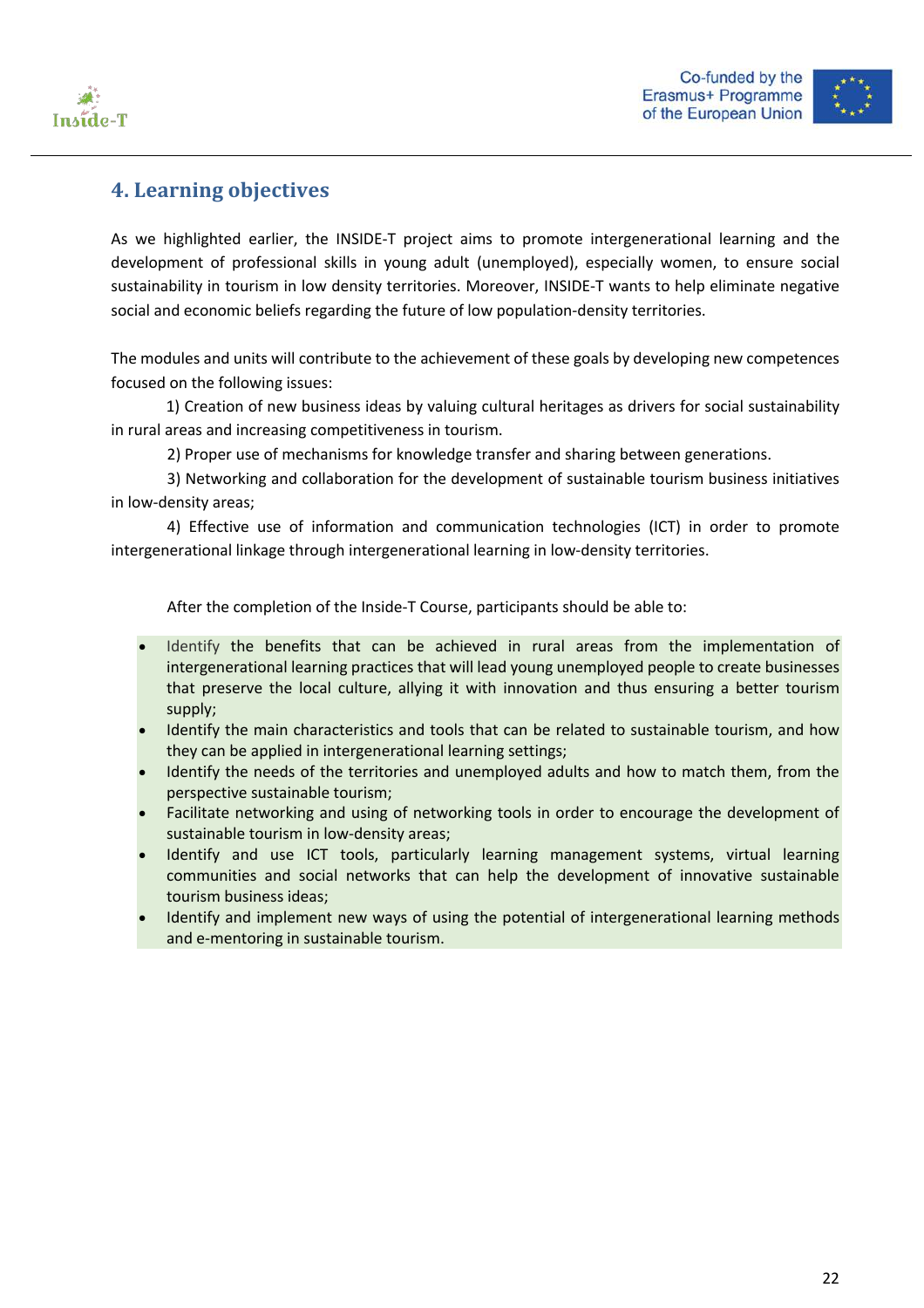



# **4. Learning objectives**

As we highlighted earlier, the INSIDE-T project aims to promote intergenerational learning and the development of professional skills in young adult (unemployed), especially women, to ensure social sustainability in tourism in low density territories. Moreover, INSIDE-T wants to help eliminate negative social and economic beliefs regarding the future of low population-density territories.

The modules and units will contribute to the achievement of these goals by developing new competences focused on the following issues:

1) Creation of new business ideas by valuing cultural heritages as drivers for social sustainability in rural areas and increasing competitiveness in tourism.

2) Proper use of mechanisms for knowledge transfer and sharing between generations.

3) Networking and collaboration for the development of sustainable tourism business initiatives in low-density areas;

4) Effective use of information and communication technologies (ICT) in order to promote intergenerational linkage through intergenerational learning in low-density territories.

After the completion of the Inside-T Course, participants should be able to:

- Identify the benefits that can be achieved in rural areas from the implementation of intergenerational learning practices that will lead young unemployed people to create businesses that preserve the local culture, allying it with innovation and thus ensuring a better tourism supply;
- Identify the main characteristics and tools that can be related to sustainable tourism, and how they can be applied in intergenerational learning settings;
- Identify the needs of the territories and unemployed adults and how to match them, from the perspective sustainable tourism;
- Facilitate networking and using of networking tools in order to encourage the development of sustainable tourism in low-density areas;
- Identify and use ICT tools, particularly learning management systems, virtual learning communities and social networks that can help the development of innovative sustainable tourism business ideas;
- Identify and implement new ways of using the potential of intergenerational learning methods and e-mentoring in sustainable tourism.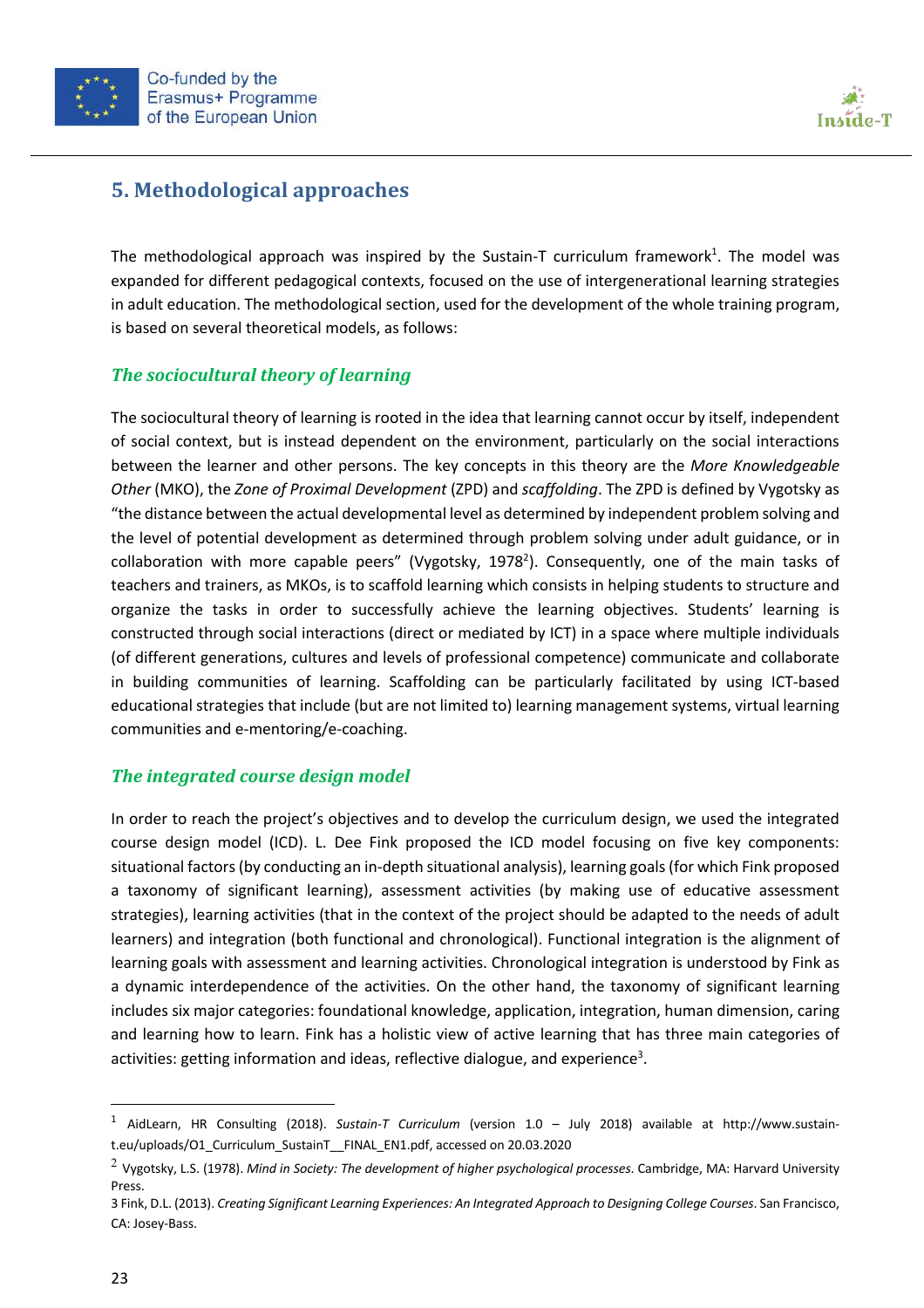



# **5. Methodological approaches**

The methodological approach was inspired by the Sustain-T curriculum framework<sup>1</sup>. The model was expanded for different pedagogical contexts, focused on the use of intergenerational learning strategies in adult education. The methodological section, used for the development of the whole training program, is based on several theoretical models, as follows:

#### **The sociocultural theory of learning**

The sociocultural theory of learning is rooted in the idea that learning cannot occur by itself, independent of social context, but is instead dependent on the environment, particularly on the social interactions between the learner and other persons. The key concepts in this theory are the *More Knowledgeable Other* (MKO), the *Zone of Proximal Development* (ZPD) and *scaffolding*. The ZPD is defined by Vygotsky as "the distance between the actual developmental level as determined by independent problem solving and the level of potential development as determined through problem solving under adult guidance, or in collaboration with more capable peers" (Vygotsky, 1978<sup>2</sup>). Consequently, one of the main tasks of teachers and trainers, as MKOs, is to scaffold learning which consists in helping students to structure and organize the tasks in order to successfully achieve the learning objectives. Students' learning is constructed through social interactions (direct or mediated by ICT) in a space where multiple individuals (of different generations, cultures and levels of professional competence) communicate and collaborate in building communities of learning. Scaffolding can be particularly facilitated by using ICT-based educational strategies that include (but are not limited to) learning management systems, virtual learning communities and e-mentoring/e-coaching.

#### **The integrated course design model**

In order to reach the project's objectives and to develop the curriculum design, we used the integrated course design model (ICD). L. Dee Fink proposed the ICD model focusing on five key components: situational factors (by conducting an in-depth situational analysis), learning goals (for which Fink proposed a taxonomy of significant learning), assessment activities (by making use of educative assessment strategies), learning activities (that in the context of the project should be adapted to the needs of adult learners) and integration (both functional and chronological). Functional integration is the alignment of learning goals with assessment and learning activities. Chronological integration is understood by Fink as a dynamic interdependence of the activities. On the other hand, the taxonomy of significant learning includes six major categories: foundational knowledge, application, integration, human dimension, caring and learning how to learn. Fink has a holistic view of active learning that has three main categories of activities: getting information and ideas, reflective dialogue, and experience<sup>3</sup>.

<sup>1</sup> AidLearn, HR Consulting (2018). *Sustain-T Curriculum* (version 1.0 – July 2018) available at http://www.sustaint.eu/uploads/O1\_Curriculum\_SustainT\_\_FINAL\_EN1.pdf, accessed on 20.03.2020

<sup>2</sup> Vygotsky, L.S. (1978). *Mind in Society: The development of higher psychological processes*. Cambridge, MA: Harvard University Press.

<sup>3</sup> Fink, D.L. (2013). *Creating Significant Learning Experiences: An Integrated Approach to Designing College Courses*. San Francisco, CA: Josey-Bass.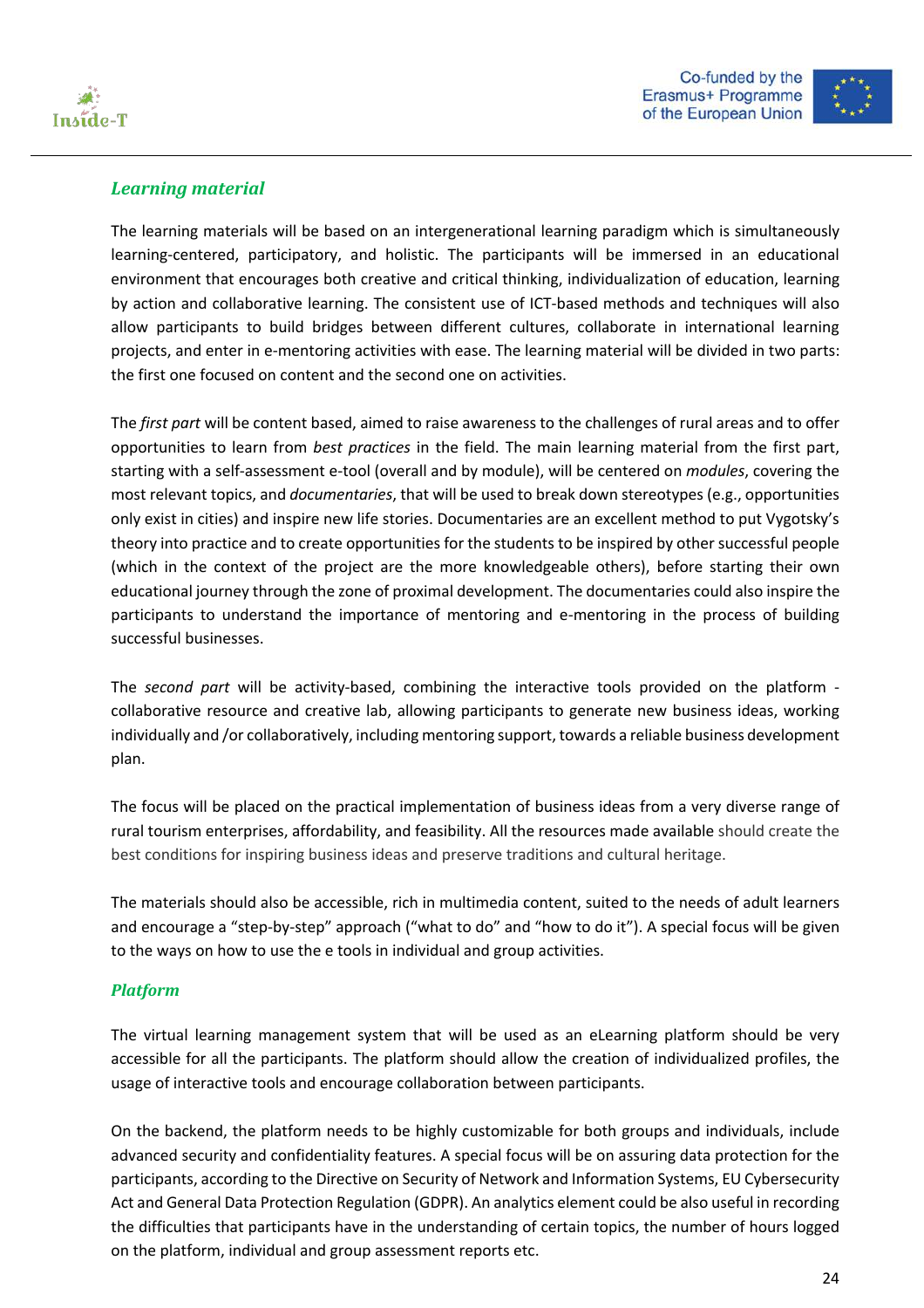



#### *Learning material*

The learning materials will be based on an intergenerational learning paradigm which is simultaneously learning-centered, participatory, and holistic. The participants will be immersed in an educational environment that encourages both creative and critical thinking, individualization of education, learning by action and collaborative learning. The consistent use of ICT-based methods and techniques will also allow participants to build bridges between different cultures, collaborate in international learning projects, and enter in e-mentoring activities with ease. The learning material will be divided in two parts: the first one focused on content and the second one on activities.

The *first part* will be content based, aimed to raise awareness to the challenges of rural areas and to offer opportunities to learn from *best practices* in the field. The main learning material from the first part, starting with a self-assessment e-tool (overall and by module), will be centered on *modules*, covering the most relevant topics, and *documentaries*, that will be used to break down stereotypes (e.g., opportunities only exist in cities) and inspire new life stories. Documentaries are an excellent method to put Vygotsky's theory into practice and to create opportunities for the students to be inspired by other successful people (which in the context of the project are the more knowledgeable others), before starting their own educational journey through the zone of proximal development. The documentaries could also inspire the participants to understand the importance of mentoring and e-mentoring in the process of building successful businesses.

The *second part* will be activity-based, combining the interactive tools provided on the platform collaborative resource and creative lab, allowing participants to generate new business ideas, working individually and /or collaboratively, including mentoring support, towards a reliable business development plan.

The focus will be placed on the practical implementation of business ideas from a very diverse range of rural tourism enterprises, affordability, and feasibility. All the resources made available should create the best conditions for inspiring business ideas and preserve traditions and cultural heritage.

The materials should also be accessible, rich in multimedia content, suited to the needs of adult learners and encourage a "step-by-step" approach ("what to do" and "how to do it"). A special focus will be given to the ways on how to use the e tools in individual and group activities.

#### *Platform*

The virtual learning management system that will be used as an eLearning platform should be very accessible for all the participants. The platform should allow the creation of individualized profiles, the usage of interactive tools and encourage collaboration between participants.

On the backend, the platform needs to be highly customizable for both groups and individuals, include advanced security and confidentiality features. A special focus will be on assuring data protection for the participants, according to the Directive on Security of Network and Information Systems, EU Cybersecurity Act and General Data Protection Regulation (GDPR). An analytics element could be also useful in recording the difficulties that participants have in the understanding of certain topics, the number of hours logged on the platform, individual and group assessment reports etc.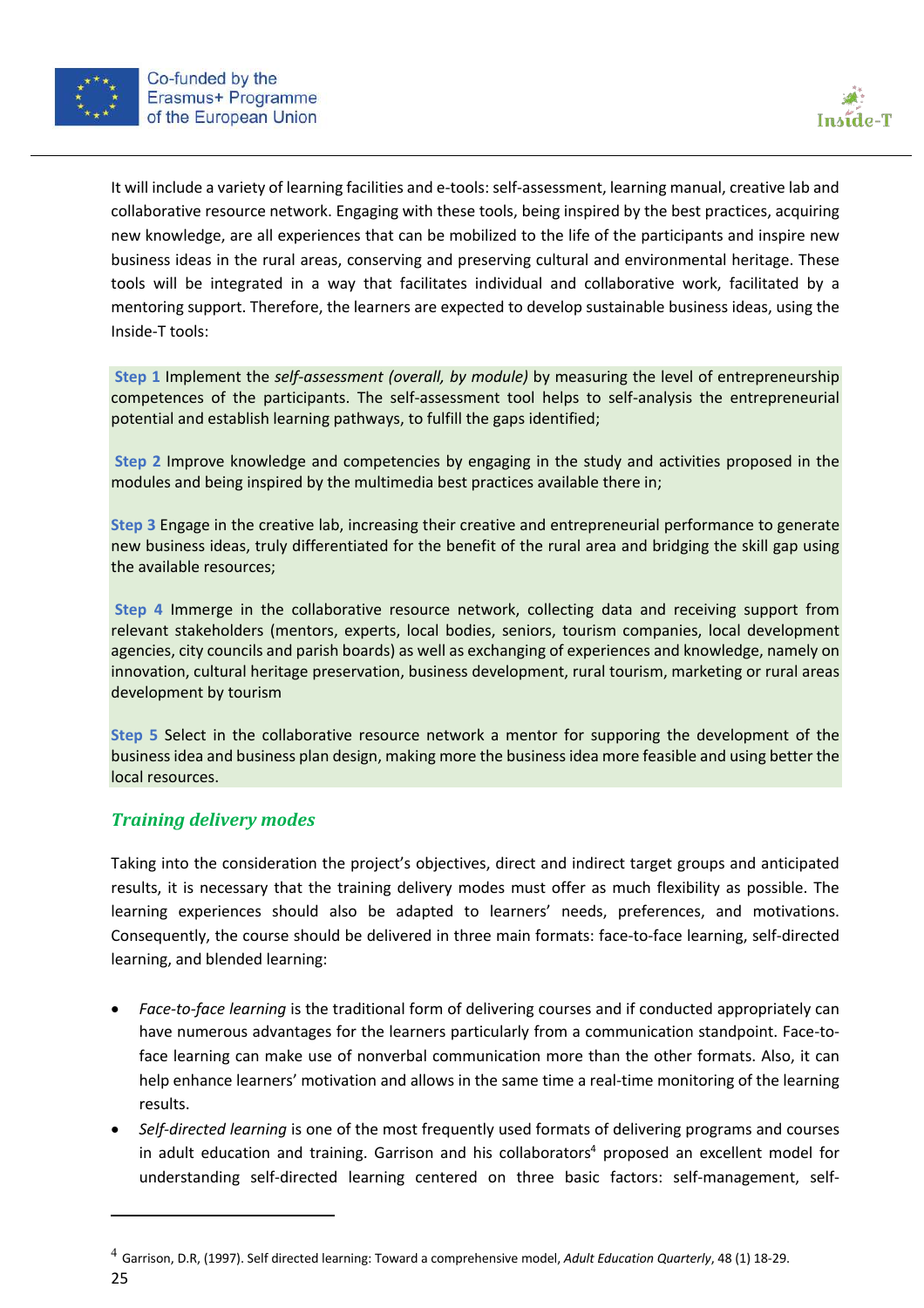



It will include a variety of learning facilities and e-tools: self-assessment, learning manual, creative lab and collaborative resource network. Engaging with these tools, being inspired by the best practices, acquiring new knowledge, are all experiences that can be mobilized to the life of the participants and inspire new business ideas in the rural areas, conserving and preserving cultural and environmental heritage. These tools will be integrated in a way that facilitates individual and collaborative work, facilitated by a mentoring support. Therefore, the learners are expected to develop sustainable business ideas, using the Inside-T tools:

**Step 1** Implement the *self-assessment (overall, by module)* by measuring the level of entrepreneurship competences of the participants. The self-assessment tool helps to self-analysis the entrepreneurial potential and establish learning pathways, to fulfill the gaps identified;

**Step 2** Improve knowledge and competencies by engaging in the study and activities proposed in the modules and being inspired by the multimedia best practices available there in;

**Step 3** Engage in the creative lab, increasing their creative and entrepreneurial performance to generate new business ideas, truly differentiated for the benefit of the rural area and bridging the skill gap using the available resources;

**Step 4** Immerge in the collaborative resource network, collecting data and receiving support from relevant stakeholders (mentors, experts, local bodies, seniors, tourism companies, local development agencies, city councils and parish boards) as well as exchanging of experiences and knowledge, namely on innovation, cultural heritage preservation, business development, rural tourism, marketing or rural areas development by tourism

**Step 5** Select in the collaborative resource network a mentor for supporing the development of the business idea and business plan design, making more the business idea more feasible and using better the local resources.

#### *Training delivery modes*

Taking into the consideration the project's objectives, direct and indirect target groups and anticipated results, it is necessary that the training delivery modes must offer as much flexibility as possible. The learning experiences should also be adapted to learners' needs, preferences, and motivations. Consequently, the course should be delivered in three main formats: face-to-face learning, self-directed learning, and blended learning:

- *Face-to-face learning* is the traditional form of delivering courses and if conducted appropriately can have numerous advantages for the learners particularly from a communication standpoint. Face-toface learning can make use of nonverbal communication more than the other formats. Also, it can help enhance learners' motivation and allows in the same time a real-time monitoring of the learning results.
- *Self-directed learning* is one of the most frequently used formats of delivering programs and courses in adult education and training. Garrison and his collaborators<sup>4</sup> proposed an excellent model for understanding self-directed learning centered on three basic factors: self-management, self-

<sup>25</sup> <sup>4</sup> Garrison, D.R, (1997). Self directed learning: Toward a comprehensive model, *Adult Education Quarterly*, 48 (1) 18-29.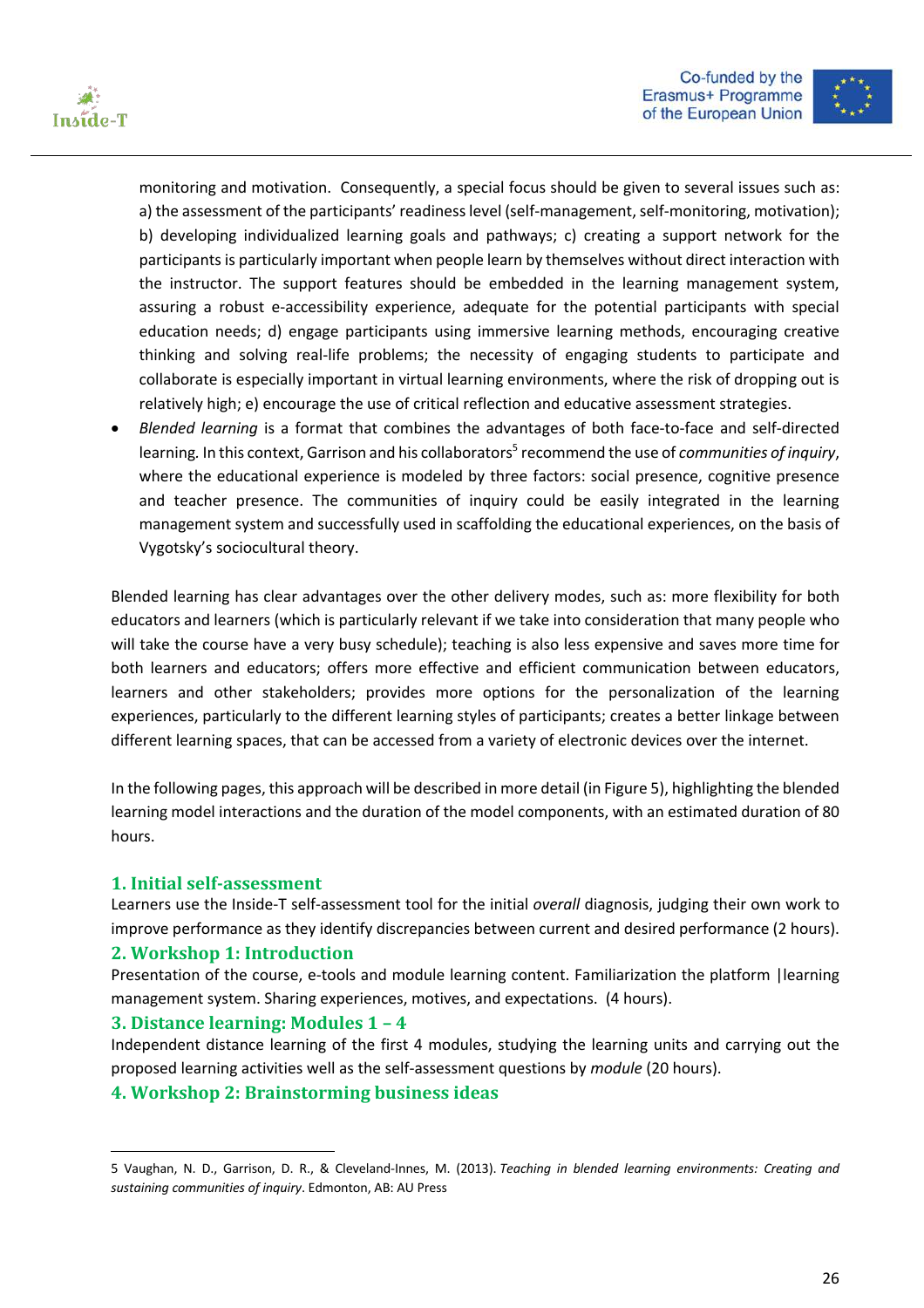



monitoring and motivation. Consequently, a special focus should be given to several issues such as: a) the assessment of the participants' readiness level (self-management, self-monitoring, motivation); b) developing individualized learning goals and pathways; c) creating a support network for the participants is particularly important when people learn by themselves without direct interaction with the instructor. The support features should be embedded in the learning management system, assuring a robust e-accessibility experience, adequate for the potential participants with special education needs; d) engage participants using immersive learning methods, encouraging creative thinking and solving real-life problems; the necessity of engaging students to participate and collaborate is especially important in virtual learning environments, where the risk of dropping out is relatively high; e) encourage the use of critical reflection and educative assessment strategies.

• *Blended learning* is a format that combines the advantages of both face-to-face and self-directed learning. In this context, Garrison and his collaborators<sup>5</sup> recommend the use of *communities of inquiry*, where the educational experience is modeled by three factors: social presence, cognitive presence and teacher presence. The communities of inquiry could be easily integrated in the learning management system and successfully used in scaffolding the educational experiences, on the basis of Vygotsky's sociocultural theory.

Blended learning has clear advantages over the other delivery modes, such as: more flexibility for both educators and learners (which is particularly relevant if we take into consideration that many people who will take the course have a very busy schedule); teaching is also less expensive and saves more time for both learners and educators; offers more effective and efficient communication between educators, learners and other stakeholders; provides more options for the personalization of the learning experiences, particularly to the different learning styles of participants; creates a better linkage between different learning spaces, that can be accessed from a variety of electronic devices over the internet.

In the following pages, this approach will be described in more detail (in Figure 5), highlighting the blended learning model interactions and the duration of the model components, with an estimated duration of 80 hours.

#### **1. Initial self-assessment**

Learners use the Inside-T self-assessment tool for the initial *overall* diagnosis, judging their own work to improve performance as they identify discrepancies between current and desired performance (2 hours).

#### **2. Workshop 1: Introduction**

Presentation of the course, e-tools and module learning content. Familiarization the platform |learning management system. Sharing experiences, motives, and expectations. (4 hours).

#### **3.** Distance learning: Modules  $1 - 4$

Independent distance learning of the first 4 modules, studying the learning units and carrying out the proposed learning activities well as the self-assessment questions by *module* (20 hours).

#### **4. Workshop 2: Brainstorming business ideas**

<sup>5</sup> Vaughan, N. D., Garrison, D. R., & Cleveland-Innes, M. (2013). *Teaching in blended learning environments: Creating and sustaining communities of inquiry*. Edmonton, AB: AU Press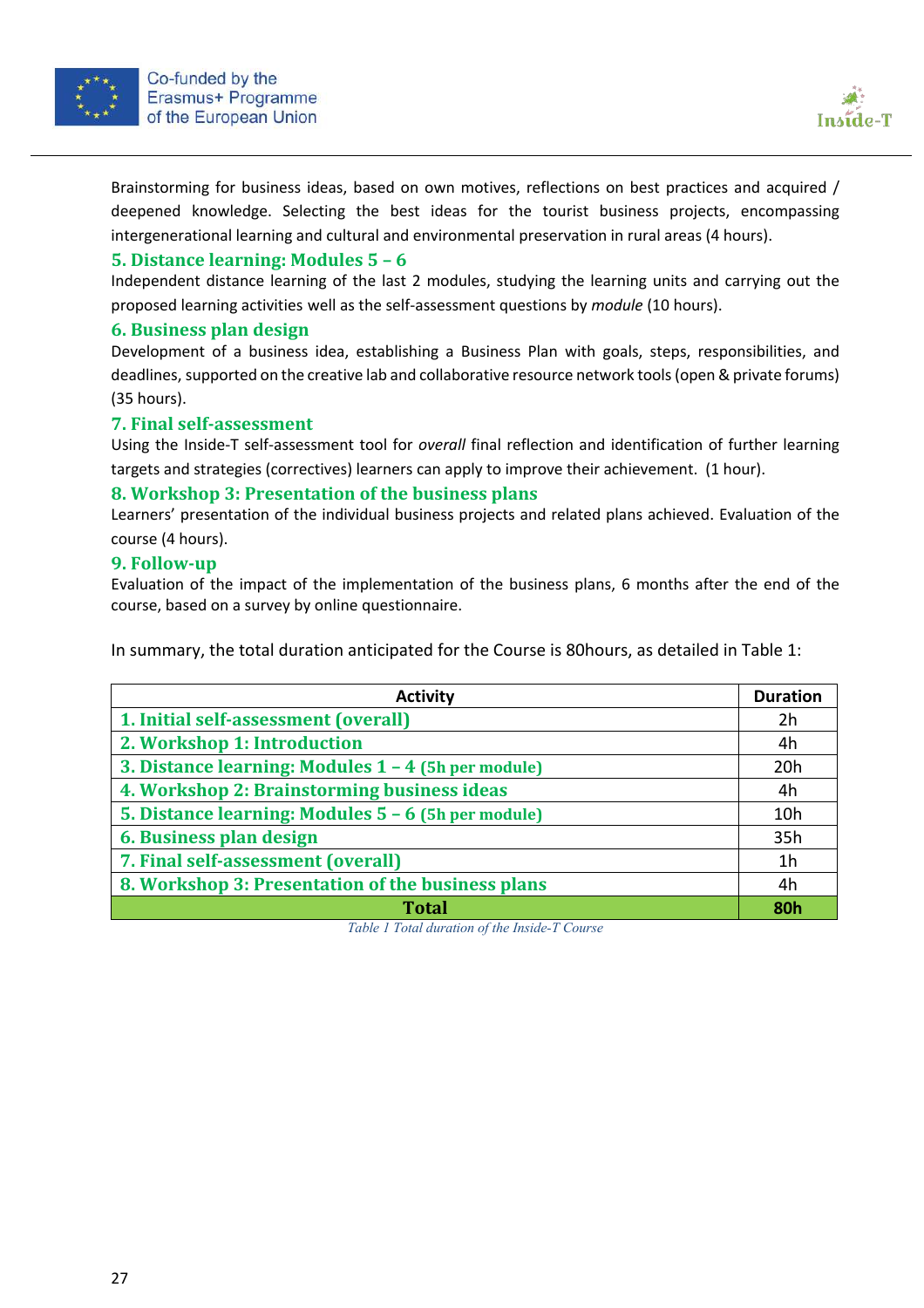

Brainstorming for business ideas, based on own motives, reflections on best practices and acquired / deepened knowledge. Selecting the best ideas for the tourist business projects, encompassing intergenerational learning and cultural and environmental preservation in rural areas (4 hours).

#### **5. Distance learning: Modules 5 – 6**

Independent distance learning of the last 2 modules, studying the learning units and carrying out the proposed learning activities well as the self-assessment questions by *module* (10 hours).

#### **6. Business plan design**

Development of a business idea, establishing a Business Plan with goals, steps, responsibilities, and deadlines, supported on the creative lab and collaborative resource network tools(open & private forums) (35 hours).

#### **7. Final self-assessment**

Using the Inside-T self-assessment tool for *overall* final reflection and identification of further learning targets and strategies (correctives) learners can apply to improve their achievement. (1 hour).

#### **8. Workshop 3: Presentation of the business plans**

Learners' presentation of the individual business projects and related plans achieved. Evaluation of the course (4 hours).

#### **9. Follow-up**

Evaluation of the impact of the implementation of the business plans, 6 months after the end of the course, based on a survey by online questionnaire.

In summary, the total duration anticipated for the Course is 80hours, as detailed in Table 1:

| <b>Activity</b>                                     | <b>Duration</b>         |
|-----------------------------------------------------|-------------------------|
| 1. Initial self-assessment (overall)                |                         |
| 2. Workshop 1: Introduction                         |                         |
| 3. Distance learning: Modules 1 - 4 (5h per module) |                         |
| 4. Workshop 2: Brainstorming business ideas         |                         |
| 5. Distance learning: Modules 5 - 6 (5h per module) |                         |
| 6. Business plan design                             |                         |
| 7. Final self-assessment (overall)                  |                         |
| 8. Workshop 3: Presentation of the business plans   |                         |
| <b>Total</b>                                        | <b>R</b> <sub>O</sub> h |

*Table 1 Total duration of the Inside-T Course*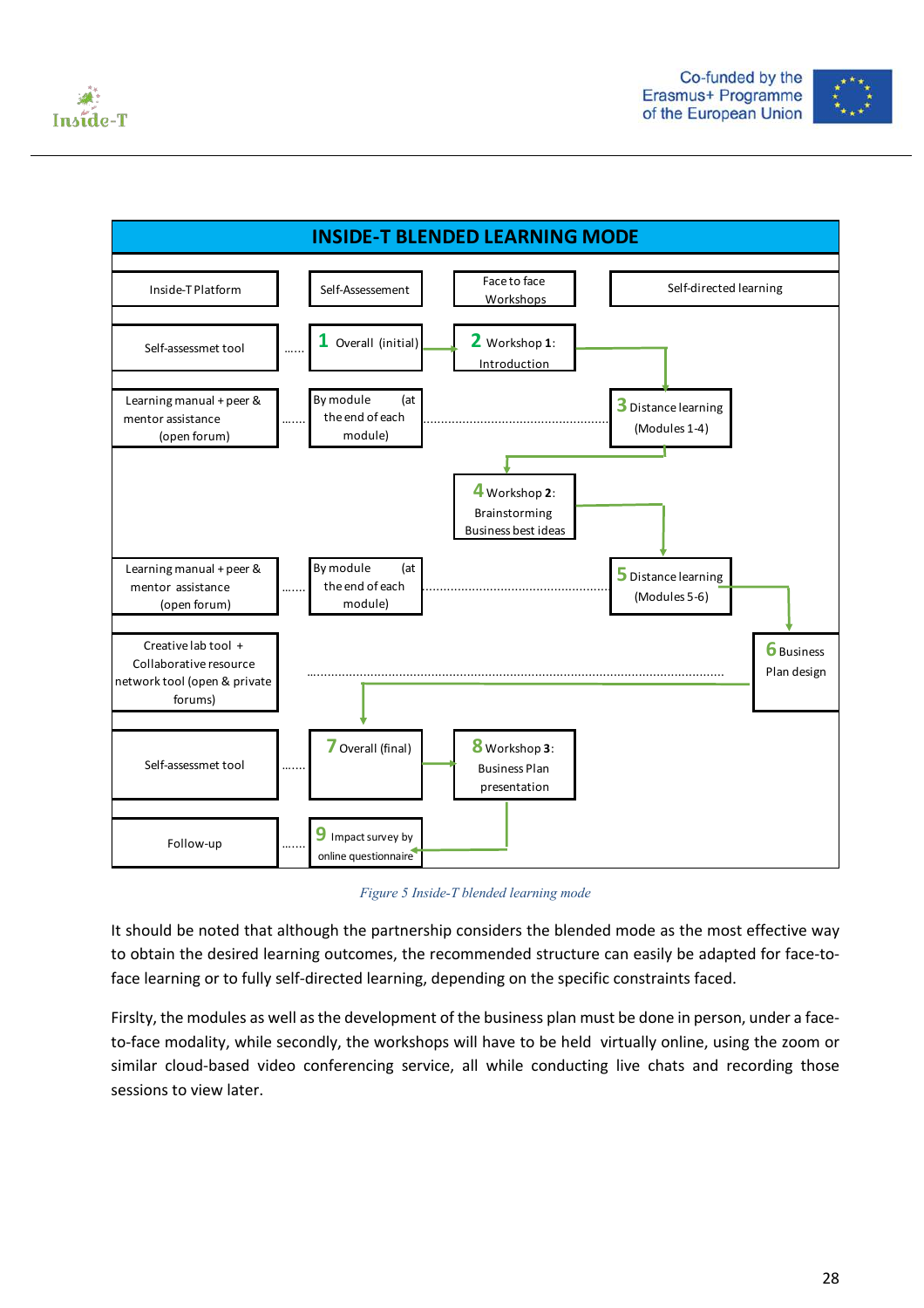





*Figure 5 Inside-T blended learning mode*

It should be noted that although the partnership considers the blended mode as the most effective way to obtain the desired learning outcomes, the recommended structure can easily be adapted for face-toface learning or to fully self-directed learning, depending on the specific constraints faced.

Firslty, the modules as well as the development of the business plan must be done in person, under a faceto-face modality, while secondly, the workshops will have to be held virtually online, using the zoom or similar cloud-based video conferencing service, all while conducting live chats and recording those sessions to view later.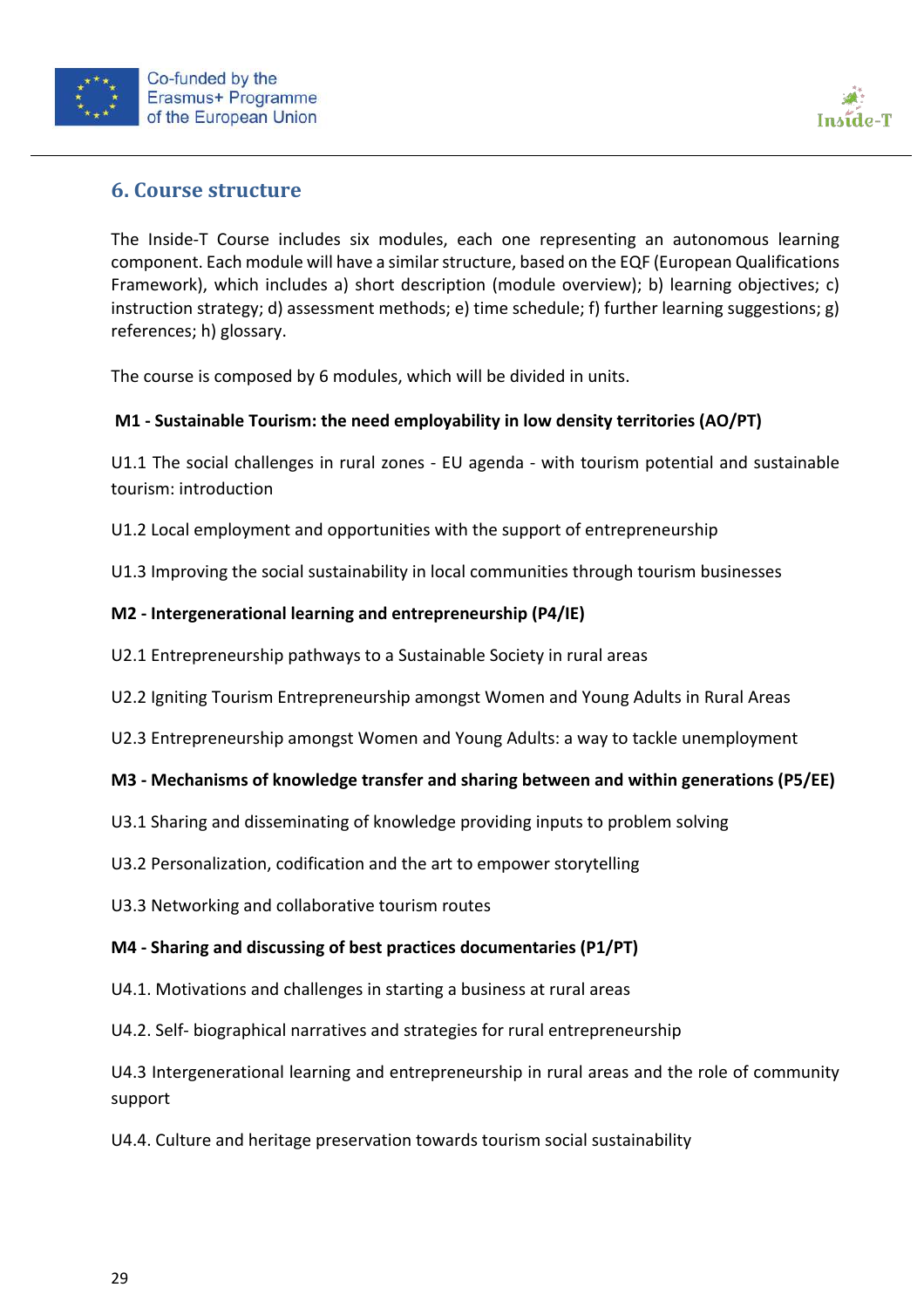



# **6. Course structure**

The Inside-T Course includes six modules, each one representing an autonomous learning component. Each module will have a similar structure, based on the EQF (European Qualifications Framework), which includes a) short description (module overview); b) learning objectives; c) instruction strategy; d) assessment methods; e) time schedule; f) further learning suggestions; g) references; h) glossary.

The course is composed by 6 modules, which will be divided in units.

#### **M1 - Sustainable Tourism: the need employability in low density territories (AO/PT)**

U1.1 The social challenges in rural zones - EU agenda - with tourism potential and sustainable tourism: introduction

U1.2 Local employment and opportunities with the support of entrepreneurship

U1.3 Improving the social sustainability in local communities through tourism businesses

#### **M2 - Intergenerational learning and entrepreneurship (P4/IE)**

- U2.1 Entrepreneurship pathways to a Sustainable Society in rural areas
- U2.2 Igniting Tourism Entrepreneurship amongst Women and Young Adults in Rural Areas
- U2.3 Entrepreneurship amongst Women and Young Adults: a way to tackle unemployment

#### **M3 - Mechanisms of knowledge transfer and sharing between and within generations (P5/EE)**

- U3.1 Sharing and disseminating of knowledge providing inputs to problem solving
- U3.2 Personalization, codification and the art to empower storytelling
- U3.3 Networking and collaborative tourism routes

#### **M4 - Sharing and discussing of best practices documentaries (P1/PT)**

- U4.1. Motivations and challenges in starting a business at rural areas
- U4.2. Self- biographical narratives and strategies for rural entrepreneurship

U4.3 Intergenerational learning and entrepreneurship in rural areas and the role of community support

U4.4. Culture and heritage preservation towards tourism social sustainability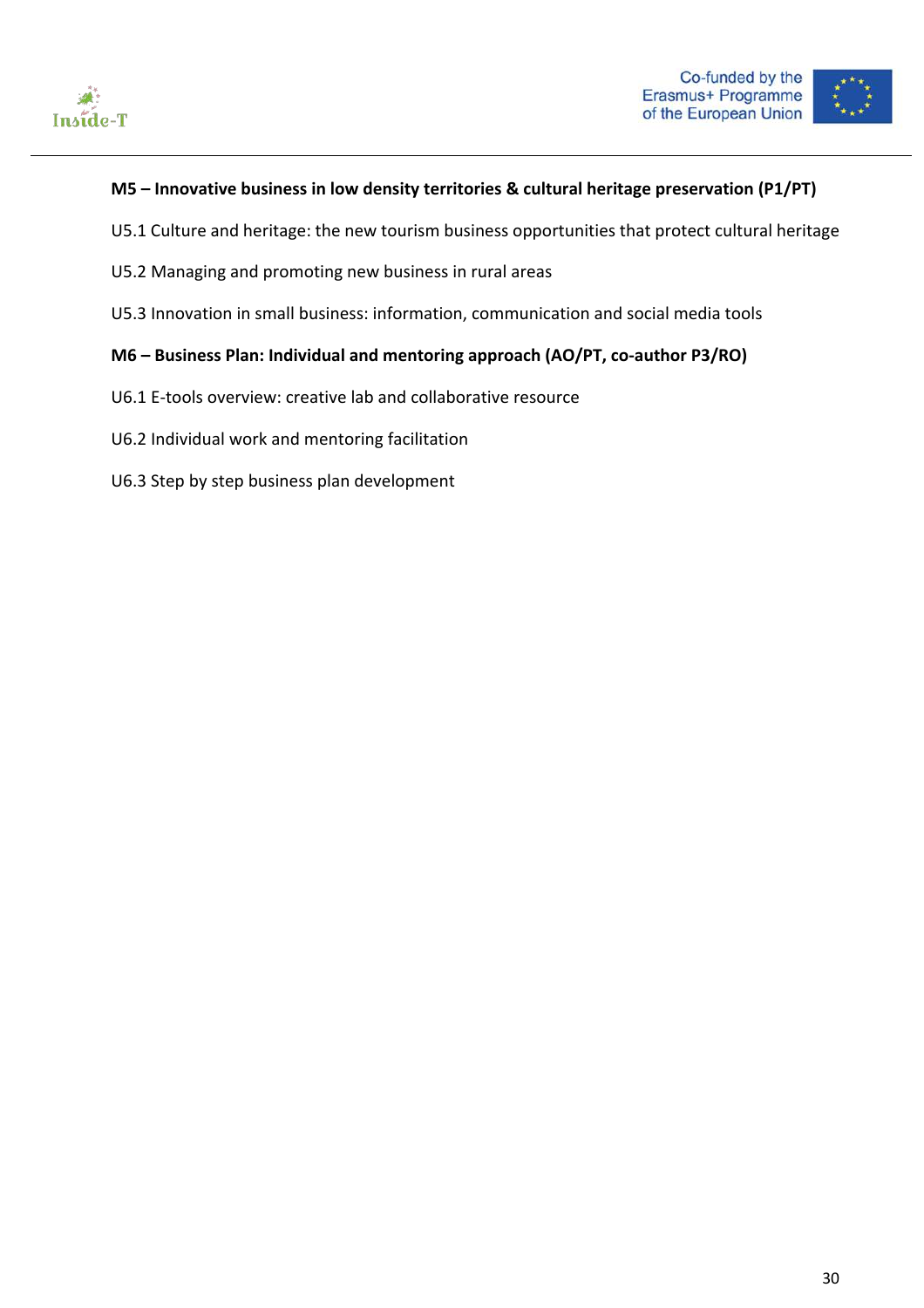



#### **M5 – Innovative business in low density territories & cultural heritage preservation (P1/PT)**

- U5.1 Culture and heritage: the new tourism business opportunities that protect cultural heritage
- U5.2 Managing and promoting new business in rural areas
- U5.3 Innovation in small business: information, communication and social media tools

#### **M6 – Business Plan: Individual and mentoring approach (AO/PT, co-author P3/RO)**

- U6.1 E-tools overview: creative lab and collaborative resource
- U6.2 Individual work and mentoring facilitation
- U6.3 Step by step business plan development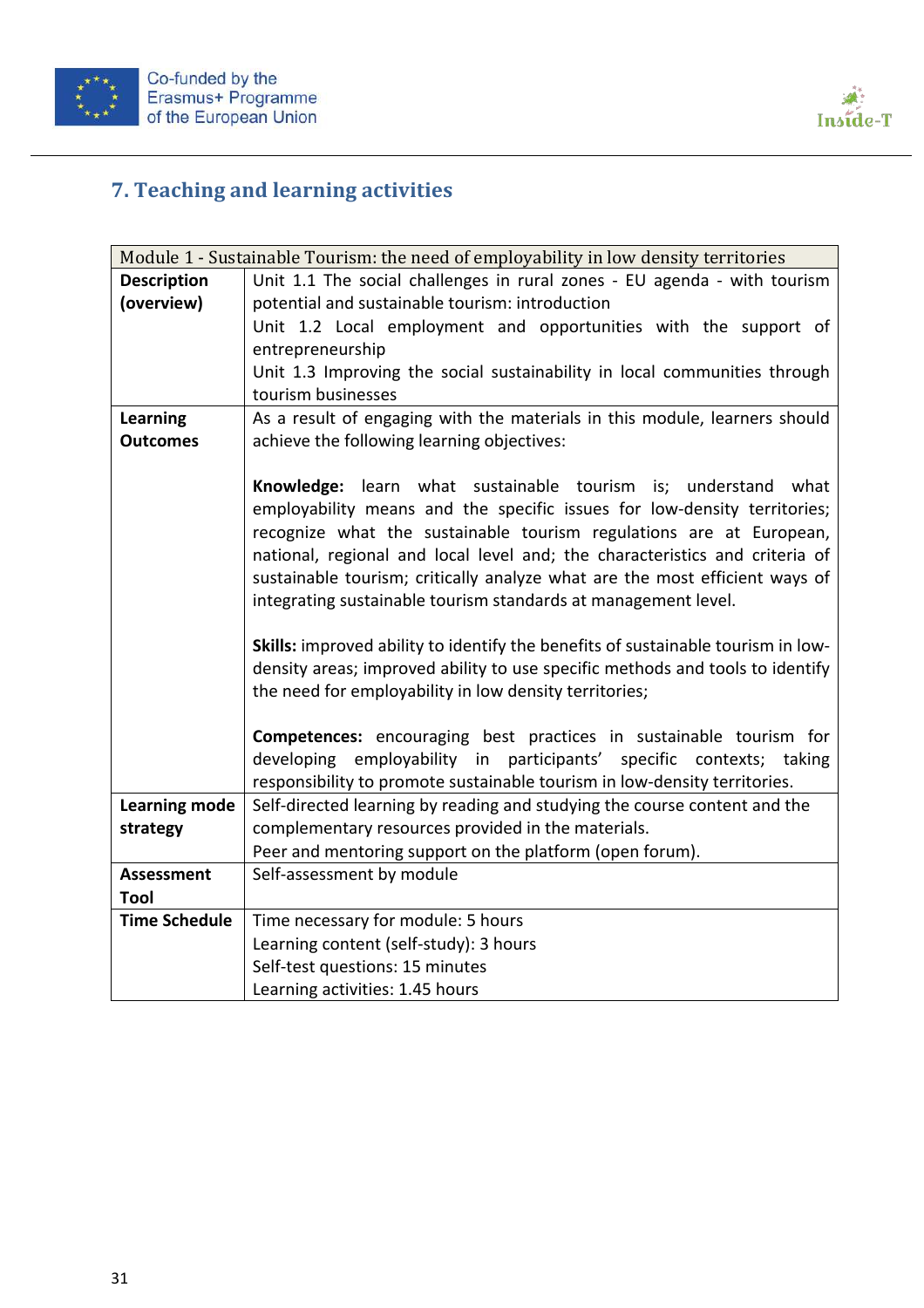



# **7. Teaching and learning activities**

|                      | Module 1 - Sustainable Tourism: the need of employability in low density territories                                                                                                                                                                                                                                                                                                                                                                |
|----------------------|-----------------------------------------------------------------------------------------------------------------------------------------------------------------------------------------------------------------------------------------------------------------------------------------------------------------------------------------------------------------------------------------------------------------------------------------------------|
| <b>Description</b>   | Unit 1.1 The social challenges in rural zones - EU agenda - with tourism                                                                                                                                                                                                                                                                                                                                                                            |
| (overview)           | potential and sustainable tourism: introduction                                                                                                                                                                                                                                                                                                                                                                                                     |
|                      | Unit 1.2 Local employment and opportunities with the support of                                                                                                                                                                                                                                                                                                                                                                                     |
|                      | entrepreneurship                                                                                                                                                                                                                                                                                                                                                                                                                                    |
|                      | Unit 1.3 Improving the social sustainability in local communities through                                                                                                                                                                                                                                                                                                                                                                           |
|                      | tourism businesses                                                                                                                                                                                                                                                                                                                                                                                                                                  |
| <b>Learning</b>      | As a result of engaging with the materials in this module, learners should                                                                                                                                                                                                                                                                                                                                                                          |
| <b>Outcomes</b>      | achieve the following learning objectives:                                                                                                                                                                                                                                                                                                                                                                                                          |
|                      |                                                                                                                                                                                                                                                                                                                                                                                                                                                     |
|                      | Knowledge: learn what sustainable tourism is; understand<br>what<br>employability means and the specific issues for low-density territories;<br>recognize what the sustainable tourism regulations are at European,<br>national, regional and local level and; the characteristics and criteria of<br>sustainable tourism; critically analyze what are the most efficient ways of<br>integrating sustainable tourism standards at management level. |
|                      | Skills: improved ability to identify the benefits of sustainable tourism in low-<br>density areas; improved ability to use specific methods and tools to identify<br>the need for employability in low density territories;                                                                                                                                                                                                                         |
|                      | Competences: encouraging best practices in sustainable tourism for<br>developing employability in participants' specific contexts; taking<br>responsibility to promote sustainable tourism in low-density territories.                                                                                                                                                                                                                              |
| Learning mode        | Self-directed learning by reading and studying the course content and the                                                                                                                                                                                                                                                                                                                                                                           |
| strategy             | complementary resources provided in the materials.                                                                                                                                                                                                                                                                                                                                                                                                  |
|                      | Peer and mentoring support on the platform (open forum).                                                                                                                                                                                                                                                                                                                                                                                            |
| <b>Assessment</b>    | Self-assessment by module                                                                                                                                                                                                                                                                                                                                                                                                                           |
| Tool                 |                                                                                                                                                                                                                                                                                                                                                                                                                                                     |
| <b>Time Schedule</b> | Time necessary for module: 5 hours                                                                                                                                                                                                                                                                                                                                                                                                                  |
|                      | Learning content (self-study): 3 hours                                                                                                                                                                                                                                                                                                                                                                                                              |
|                      | Self-test questions: 15 minutes                                                                                                                                                                                                                                                                                                                                                                                                                     |
|                      | Learning activities: 1.45 hours                                                                                                                                                                                                                                                                                                                                                                                                                     |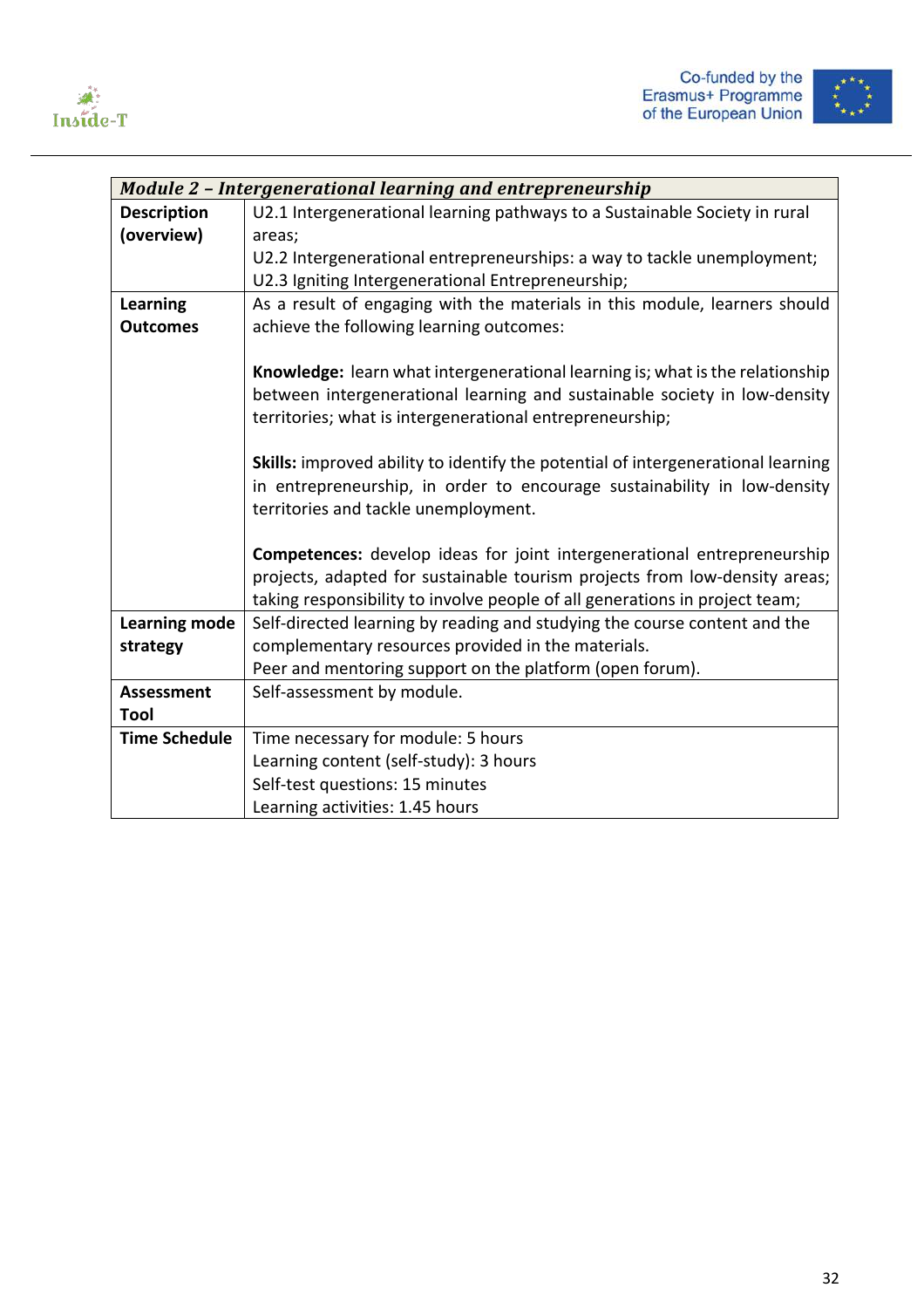



|                      | <b>Module 2 - Intergenerational learning and entrepreneurship</b>                |  |
|----------------------|----------------------------------------------------------------------------------|--|
| <b>Description</b>   | U2.1 Intergenerational learning pathways to a Sustainable Society in rural       |  |
| (overview)           | areas;                                                                           |  |
|                      | U2.2 Intergenerational entrepreneurships: a way to tackle unemployment;          |  |
|                      | U2.3 Igniting Intergenerational Entrepreneurship;                                |  |
| <b>Learning</b>      | As a result of engaging with the materials in this module, learners should       |  |
| <b>Outcomes</b>      | achieve the following learning outcomes:                                         |  |
|                      |                                                                                  |  |
|                      | Knowledge: learn what intergenerational learning is; what is the relationship    |  |
|                      | between intergenerational learning and sustainable society in low-density        |  |
|                      | territories; what is intergenerational entrepreneurship;                         |  |
|                      |                                                                                  |  |
|                      | Skills: improved ability to identify the potential of intergenerational learning |  |
|                      | in entrepreneurship, in order to encourage sustainability in low-density         |  |
|                      | territories and tackle unemployment.                                             |  |
|                      |                                                                                  |  |
|                      | <b>Competences:</b> develop ideas for joint intergenerational entrepreneurship   |  |
|                      | projects, adapted for sustainable tourism projects from low-density areas;       |  |
|                      | taking responsibility to involve people of all generations in project team;      |  |
| <b>Learning mode</b> | Self-directed learning by reading and studying the course content and the        |  |
| strategy             | complementary resources provided in the materials.                               |  |
|                      | Peer and mentoring support on the platform (open forum).                         |  |
| <b>Assessment</b>    | Self-assessment by module.                                                       |  |
| Tool                 |                                                                                  |  |
| <b>Time Schedule</b> | Time necessary for module: 5 hours                                               |  |
|                      | Learning content (self-study): 3 hours                                           |  |
|                      | Self-test questions: 15 minutes                                                  |  |
|                      | Learning activities: 1.45 hours                                                  |  |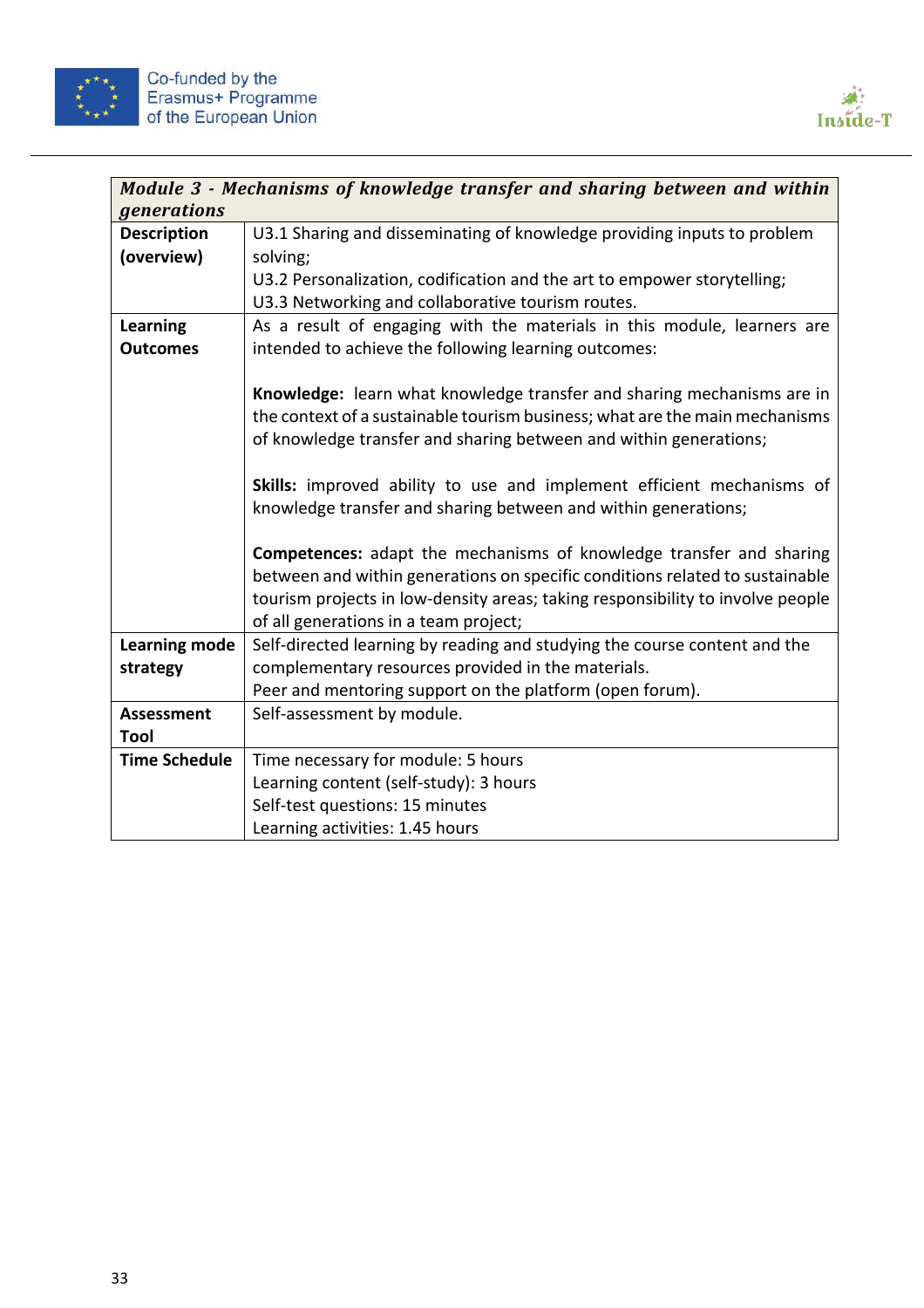



|                      | Module 3 - Mechanisms of knowledge transfer and sharing between and within     |
|----------------------|--------------------------------------------------------------------------------|
| <i>generations</i>   |                                                                                |
| <b>Description</b>   | U3.1 Sharing and disseminating of knowledge providing inputs to problem        |
| (overview)           | solving;                                                                       |
|                      | U3.2 Personalization, codification and the art to empower storytelling;        |
|                      | U3.3 Networking and collaborative tourism routes.                              |
| <b>Learning</b>      | As a result of engaging with the materials in this module, learners are        |
| <b>Outcomes</b>      | intended to achieve the following learning outcomes:                           |
|                      |                                                                                |
|                      | Knowledge: learn what knowledge transfer and sharing mechanisms are in         |
|                      | the context of a sustainable tourism business; what are the main mechanisms    |
|                      | of knowledge transfer and sharing between and within generations;              |
|                      |                                                                                |
|                      | Skills: improved ability to use and implement efficient mechanisms of          |
|                      | knowledge transfer and sharing between and within generations;                 |
|                      | <b>Competences:</b> adapt the mechanisms of knowledge transfer and sharing     |
|                      | between and within generations on specific conditions related to sustainable   |
|                      | tourism projects in low-density areas; taking responsibility to involve people |
|                      | of all generations in a team project;                                          |
| <b>Learning mode</b> | Self-directed learning by reading and studying the course content and the      |
| strategy             | complementary resources provided in the materials.                             |
|                      | Peer and mentoring support on the platform (open forum).                       |
| <b>Assessment</b>    | Self-assessment by module.                                                     |
| Tool                 |                                                                                |
| <b>Time Schedule</b> | Time necessary for module: 5 hours                                             |
|                      | Learning content (self-study): 3 hours                                         |
|                      | Self-test questions: 15 minutes                                                |
|                      | Learning activities: 1.45 hours                                                |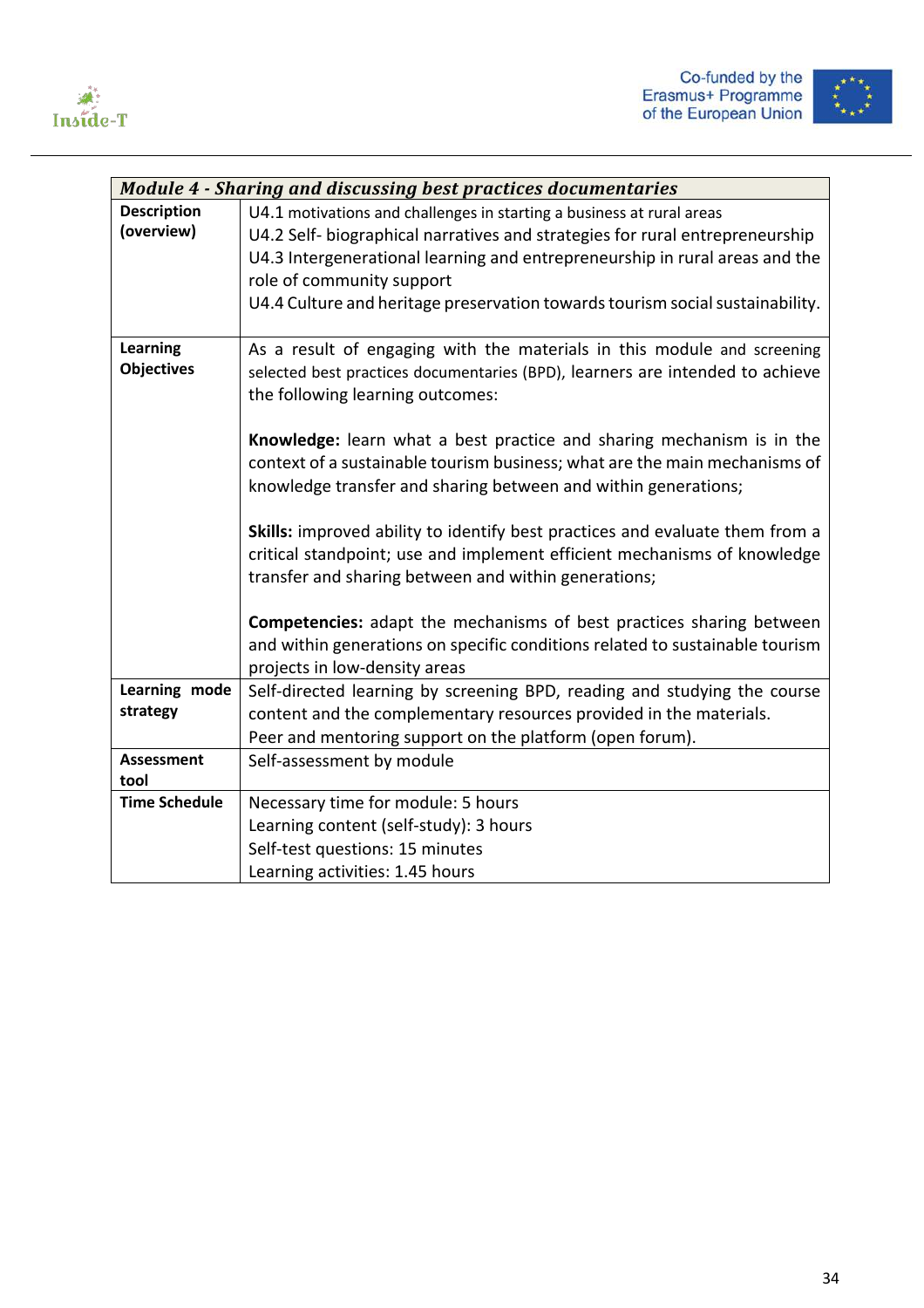



|                      | <b>Module 4 - Sharing and discussing best practices documentaries</b>                                                                               |
|----------------------|-----------------------------------------------------------------------------------------------------------------------------------------------------|
| <b>Description</b>   | U4.1 motivations and challenges in starting a business at rural areas                                                                               |
| (overview)           | U4.2 Self-biographical narratives and strategies for rural entrepreneurship                                                                         |
|                      | U4.3 Intergenerational learning and entrepreneurship in rural areas and the                                                                         |
|                      | role of community support                                                                                                                           |
|                      | U4.4 Culture and heritage preservation towards tourism social sustainability.                                                                       |
|                      |                                                                                                                                                     |
| <b>Learning</b>      | As a result of engaging with the materials in this module and screening                                                                             |
| <b>Objectives</b>    | selected best practices documentaries (BPD), learners are intended to achieve                                                                       |
|                      | the following learning outcomes:                                                                                                                    |
|                      |                                                                                                                                                     |
|                      | Knowledge: learn what a best practice and sharing mechanism is in the<br>context of a sustainable tourism business; what are the main mechanisms of |
|                      | knowledge transfer and sharing between and within generations;                                                                                      |
|                      |                                                                                                                                                     |
|                      | Skills: improved ability to identify best practices and evaluate them from a                                                                        |
|                      | critical standpoint; use and implement efficient mechanisms of knowledge                                                                            |
|                      | transfer and sharing between and within generations;                                                                                                |
|                      |                                                                                                                                                     |
|                      | Competencies: adapt the mechanisms of best practices sharing between                                                                                |
|                      | and within generations on specific conditions related to sustainable tourism                                                                        |
|                      | projects in low-density areas                                                                                                                       |
| Learning mode        | Self-directed learning by screening BPD, reading and studying the course                                                                            |
| strategy             | content and the complementary resources provided in the materials.                                                                                  |
|                      | Peer and mentoring support on the platform (open forum).                                                                                            |
| <b>Assessment</b>    | Self-assessment by module                                                                                                                           |
| tool                 |                                                                                                                                                     |
| <b>Time Schedule</b> | Necessary time for module: 5 hours                                                                                                                  |
|                      | Learning content (self-study): 3 hours                                                                                                              |
|                      | Self-test questions: 15 minutes                                                                                                                     |
|                      | Learning activities: 1.45 hours                                                                                                                     |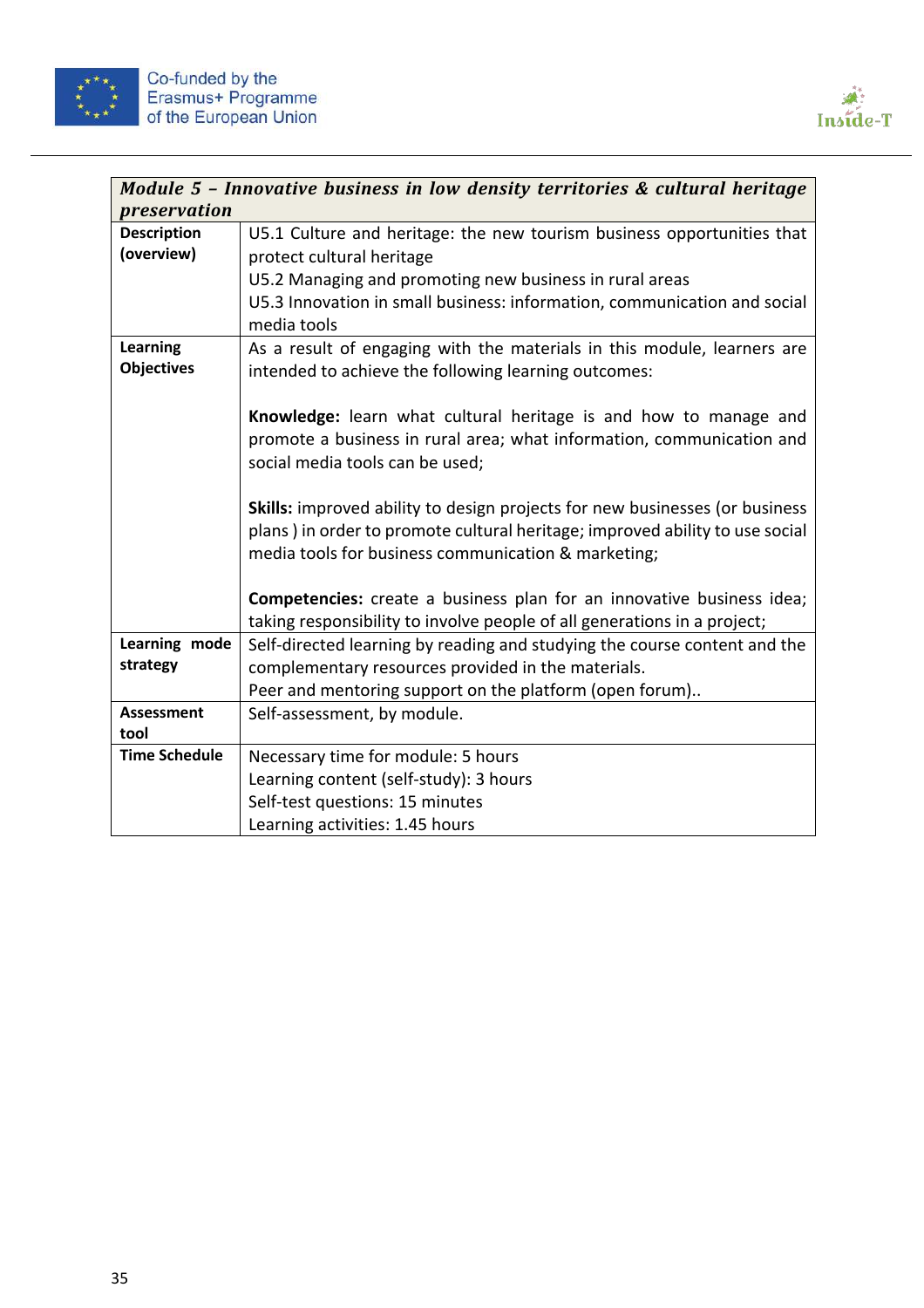



|                           | Module 5 - Innovative business in low density territories & cultural heritage      |
|---------------------------|------------------------------------------------------------------------------------|
| preservation              |                                                                                    |
| <b>Description</b>        | U5.1 Culture and heritage: the new tourism business opportunities that             |
| (overview)                | protect cultural heritage                                                          |
|                           | U5.2 Managing and promoting new business in rural areas                            |
|                           | U5.3 Innovation in small business: information, communication and social           |
|                           | media tools                                                                        |
| <b>Learning</b>           | As a result of engaging with the materials in this module, learners are            |
| <b>Objectives</b>         | intended to achieve the following learning outcomes:                               |
|                           |                                                                                    |
|                           | Knowledge: learn what cultural heritage is and how to manage and                   |
|                           | promote a business in rural area; what information, communication and              |
|                           | social media tools can be used;                                                    |
|                           |                                                                                    |
|                           | <b>Skills:</b> improved ability to design projects for new businesses (or business |
|                           | plans) in order to promote cultural heritage; improved ability to use social       |
|                           | media tools for business communication & marketing;                                |
|                           |                                                                                    |
|                           | <b>Competencies:</b> create a business plan for an innovative business idea;       |
| Learning mode             | taking responsibility to involve people of all generations in a project;           |
| strategy                  | Self-directed learning by reading and studying the course content and the          |
|                           | complementary resources provided in the materials.                                 |
|                           | Peer and mentoring support on the platform (open forum)                            |
| <b>Assessment</b><br>tool | Self-assessment, by module.                                                        |
| <b>Time Schedule</b>      | Necessary time for module: 5 hours                                                 |
|                           | Learning content (self-study): 3 hours                                             |
|                           | Self-test questions: 15 minutes                                                    |
|                           | Learning activities: 1.45 hours                                                    |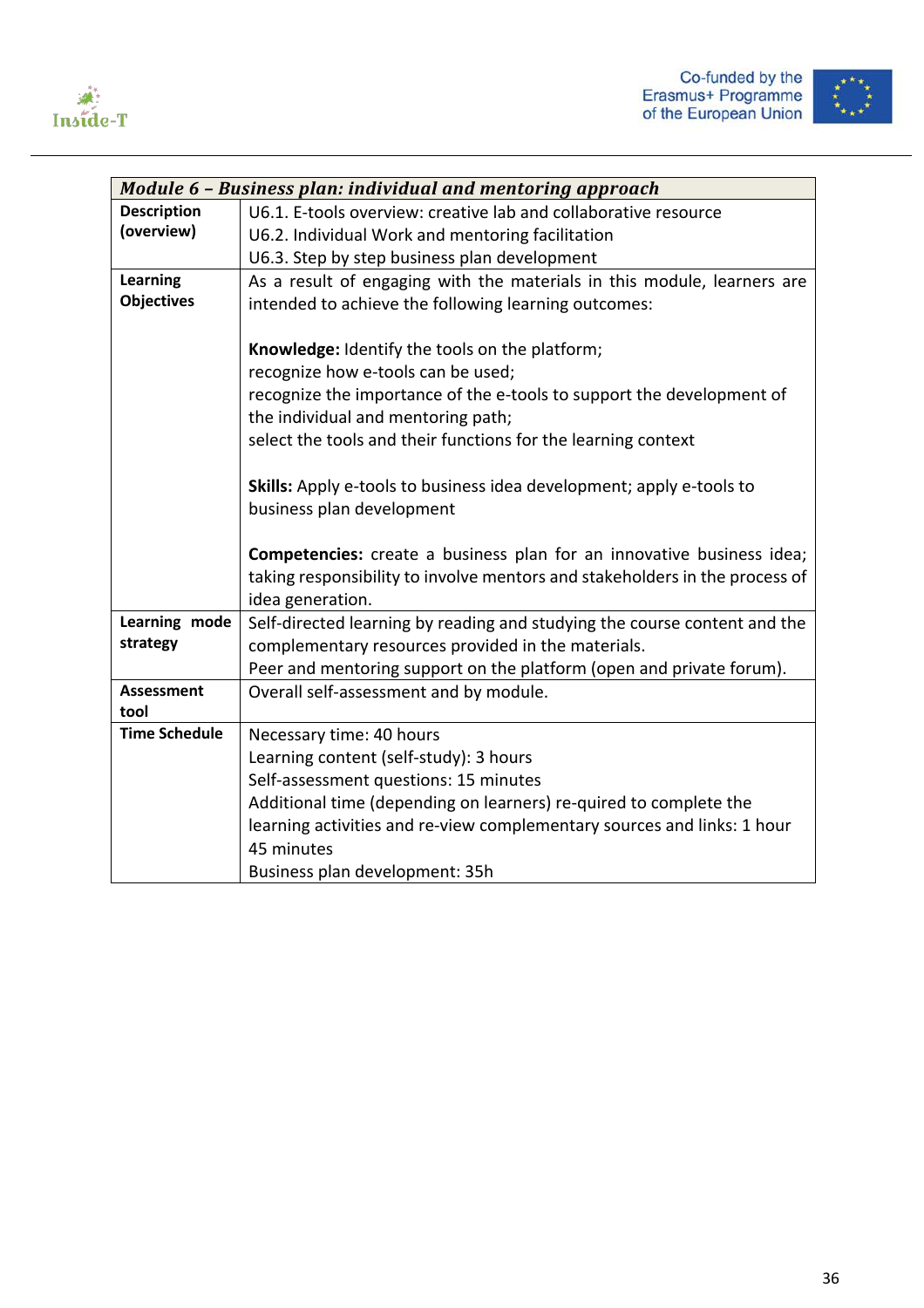



|                      | Module 6 - Business plan: individual and mentoring approach                                                                     |
|----------------------|---------------------------------------------------------------------------------------------------------------------------------|
| <b>Description</b>   | U6.1. E-tools overview: creative lab and collaborative resource                                                                 |
| (overview)           | U6.2. Individual Work and mentoring facilitation                                                                                |
|                      | U6.3. Step by step business plan development                                                                                    |
| <b>Learning</b>      | As a result of engaging with the materials in this module, learners are                                                         |
| <b>Objectives</b>    | intended to achieve the following learning outcomes:                                                                            |
|                      |                                                                                                                                 |
|                      | Knowledge: Identify the tools on the platform;                                                                                  |
|                      | recognize how e-tools can be used;                                                                                              |
|                      | recognize the importance of the e-tools to support the development of                                                           |
|                      | the individual and mentoring path;                                                                                              |
|                      | select the tools and their functions for the learning context                                                                   |
|                      |                                                                                                                                 |
|                      | <b>Skills:</b> Apply e-tools to business idea development; apply e-tools to                                                     |
|                      | business plan development                                                                                                       |
|                      |                                                                                                                                 |
|                      | <b>Competencies:</b> create a business plan for an innovative business idea;                                                    |
|                      | taking responsibility to involve mentors and stakeholders in the process of                                                     |
| Learning mode        | idea generation.                                                                                                                |
| strategy             | Self-directed learning by reading and studying the course content and the<br>complementary resources provided in the materials. |
|                      |                                                                                                                                 |
| <b>Assessment</b>    | Peer and mentoring support on the platform (open and private forum).<br>Overall self-assessment and by module.                  |
| tool                 |                                                                                                                                 |
| <b>Time Schedule</b> | Necessary time: 40 hours                                                                                                        |
|                      | Learning content (self-study): 3 hours                                                                                          |
|                      | Self-assessment questions: 15 minutes                                                                                           |
|                      | Additional time (depending on learners) re-quired to complete the                                                               |
|                      | learning activities and re-view complementary sources and links: 1 hour                                                         |
|                      | 45 minutes                                                                                                                      |
|                      | Business plan development: 35h                                                                                                  |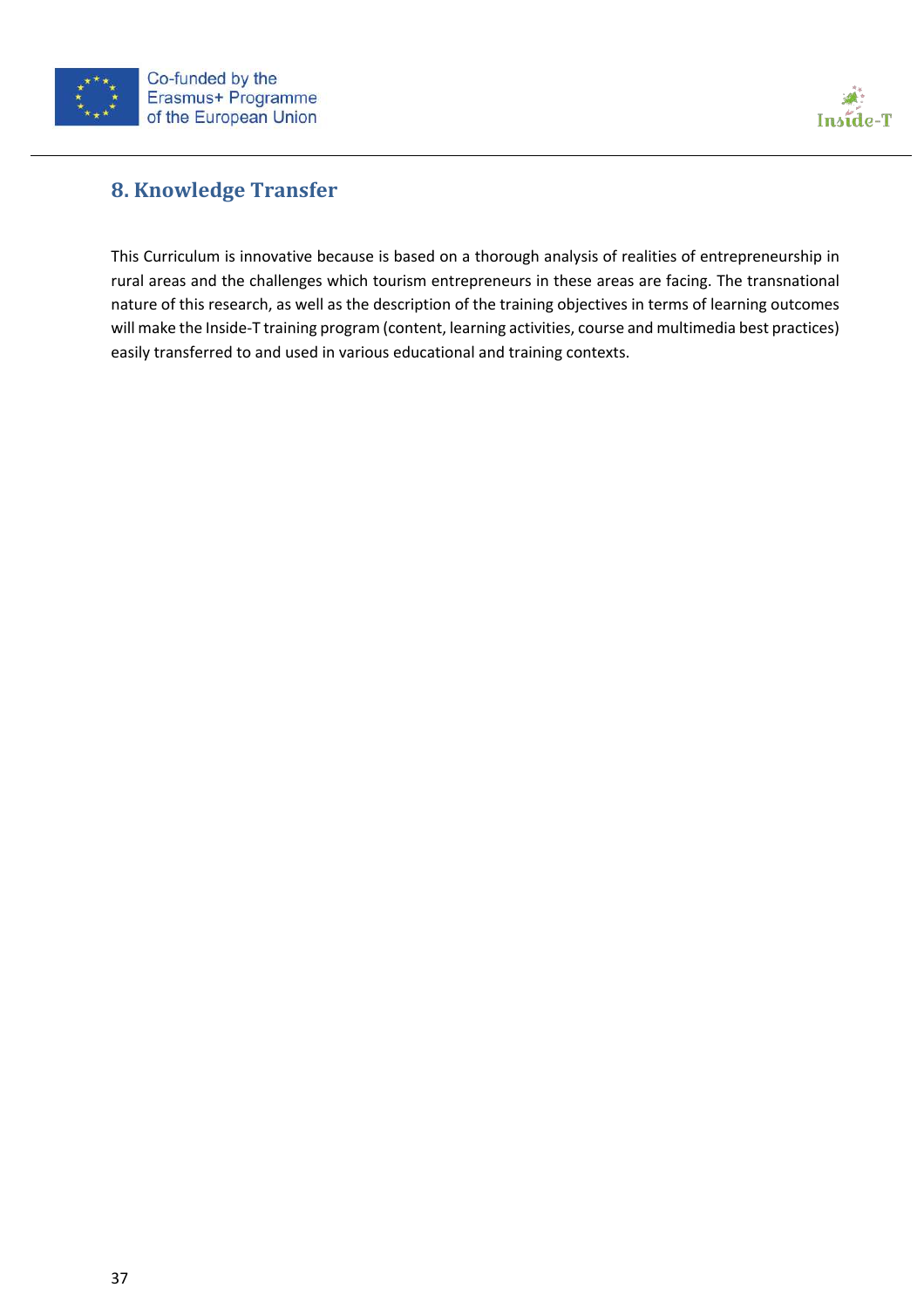



# **8. Knowledge Transfer**

This Curriculum is innovative because is based on a thorough analysis of realities of entrepreneurship in rural areas and the challenges which tourism entrepreneurs in these areas are facing. The transnational nature of this research, as well as the description of the training objectives in terms of learning outcomes will make the Inside-T training program (content, learning activities, course and multimedia best practices) easily transferred to and used in various educational and training contexts.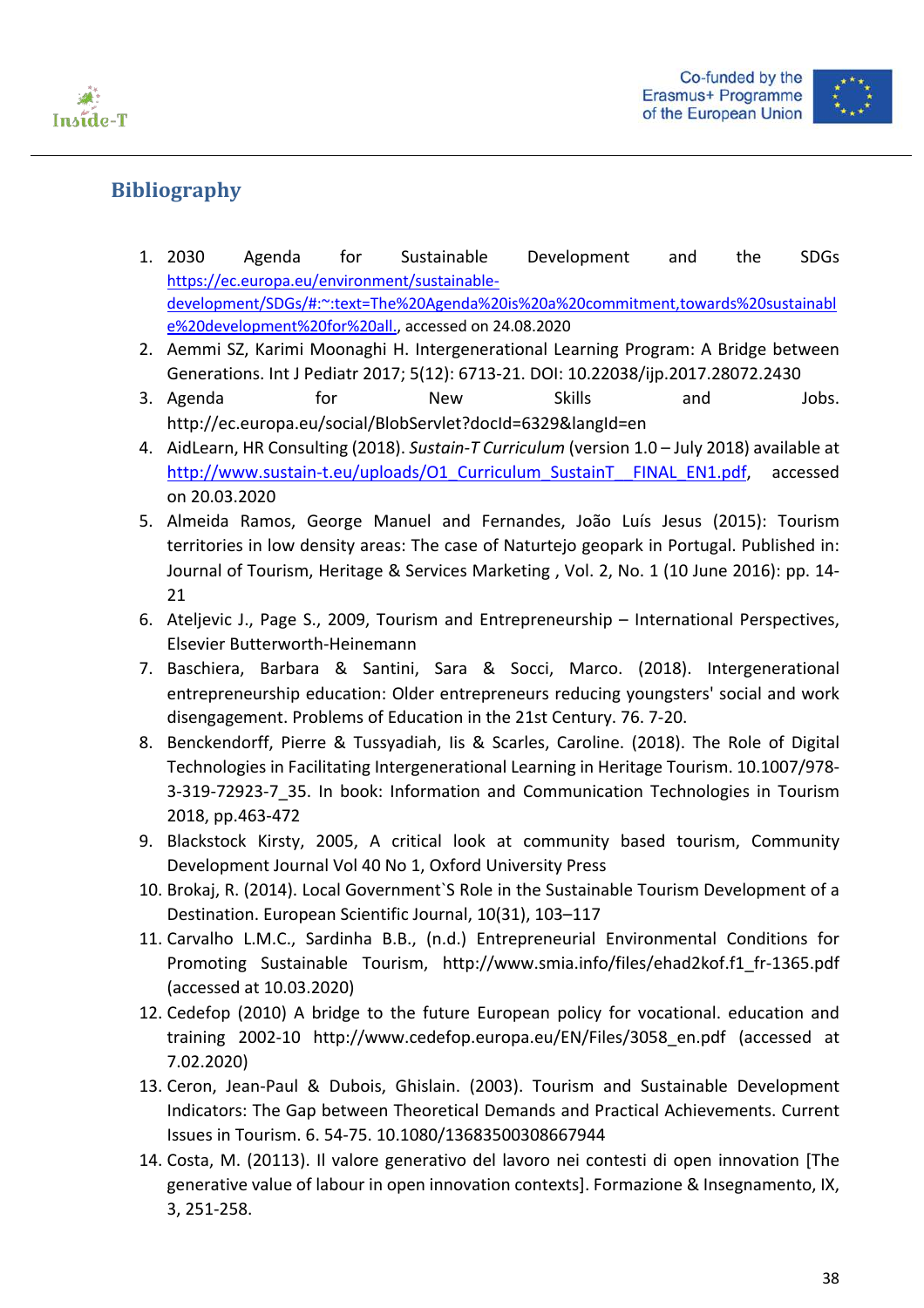





# **Bibliography**

- 1. 2030 Agenda for Sustainable Development and the SDGs https://ec.europa.eu/environment/sustainabledevelopment/SDGs/#:~:text=The%20Agenda%20is%20a%20commitment,towards%20sustainabl e%20development%20for%20all., accessed on 24.08.2020
- 2. Aemmi SZ, Karimi Moonaghi H. Intergenerational Learning Program: A Bridge between Generations. Int J Pediatr 2017; 5(12): 6713-21. DOI: 10.22038/ijp.2017.28072.2430
- 3. Agenda for New Skills and Jobs. http://ec.europa.eu/social/BlobServlet?docId=6329&langId=en
- 4. AidLearn, HR Consulting (2018). *Sustain-T Curriculum* (version 1.0 July 2018) available at http://www.sustain-t.eu/uploads/O1\_Curriculum\_SustainT\_\_FINAL\_EN1.pdf, accessed on 20.03.2020
- 5. Almeida Ramos, George Manuel and Fernandes, João Luís Jesus (2015): Tourism territories in low density areas: The case of Naturtejo geopark in Portugal. Published in: Journal of Tourism, Heritage & Services Marketing , Vol. 2, No. 1 (10 June 2016): pp. 14- 21
- 6. Ateljevic J., Page S., 2009, Tourism and Entrepreneurship International Perspectives, Elsevier Butterworth-Heinemann
- 7. Baschiera, Barbara & Santini, Sara & Socci, Marco. (2018). Intergenerational entrepreneurship education: Older entrepreneurs reducing youngsters' social and work disengagement. Problems of Education in the 21st Century. 76. 7-20.
- 8. Benckendorff, Pierre & Tussyadiah, Iis & Scarles, Caroline. (2018). The Role of Digital Technologies in Facilitating Intergenerational Learning in Heritage Tourism. 10.1007/978- 3-319-72923-7\_35. In book: Information and Communication Technologies in Tourism 2018, pp.463-472
- 9. Blackstock Kirsty, 2005, A critical look at community based tourism, Community Development Journal Vol 40 No 1, Oxford University Press
- 10. Brokaj, R. (2014). Local Government`S Role in the Sustainable Tourism Development of a Destination. European Scientific Journal, 10(31), 103–117
- 11. Carvalho L.M.C., Sardinha B.B., (n.d.) Entrepreneurial Environmental Conditions for Promoting Sustainable Tourism, http://www.smia.info/files/ehad2kof.f1\_fr-1365.pdf (accessed at 10.03.2020)
- 12. Cedefop (2010) A bridge to the future European policy for vocational. education and training 2002-10 http://www.cedefop.europa.eu/EN/Files/3058\_en.pdf (accessed at 7.02.2020)
- 13. Ceron, Jean-Paul & Dubois, Ghislain. (2003). Tourism and Sustainable Development Indicators: The Gap between Theoretical Demands and Practical Achievements. Current Issues in Tourism. 6. 54-75. 10.1080/13683500308667944
- 14. Costa, M. (20113). Il valore generativo del lavoro nei contesti di open innovation [The generative value of labour in open innovation contexts]. Formazione & Insegnamento, IX, 3, 251-258.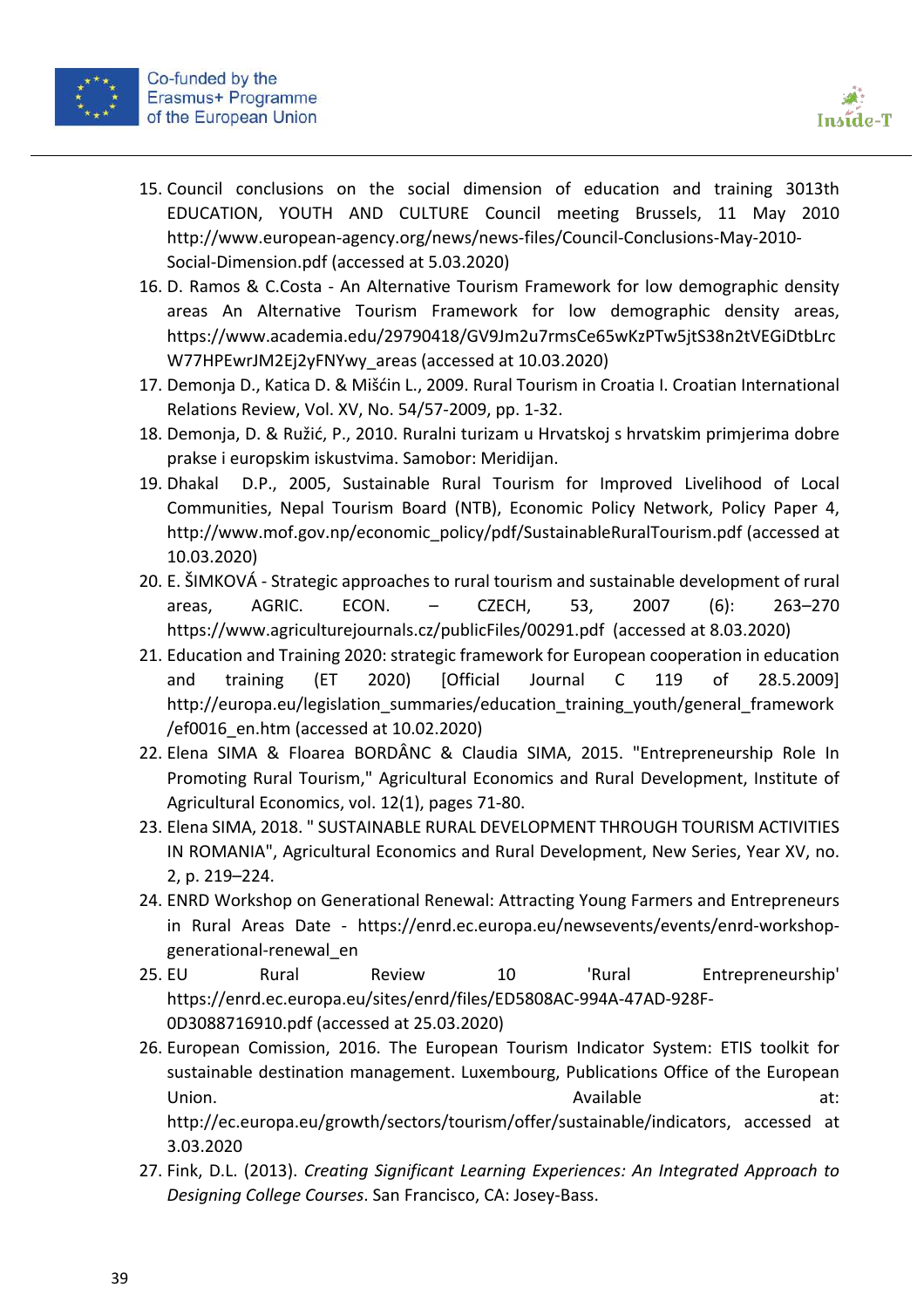



- 15. Council conclusions on the social dimension of education and training 3013th EDUCATION, YOUTH AND CULTURE Council meeting Brussels, 11 May 2010 http://www.european-agency.org/news/news-files/Council-Conclusions-May-2010- Social-Dimension.pdf (accessed at 5.03.2020)
- 16. D. Ramos & C.Costa An Alternative Tourism Framework for low demographic density areas An Alternative Tourism Framework for low demographic density areas, https://www.academia.edu/29790418/GV9Jm2u7rmsCe65wKzPTw5jtS38n2tVEGiDtbLrc W77HPEwrJM2Ej2yFNYwy\_areas (accessed at 10.03.2020)
- 17. Demonja D., Katica D. & Mišćin L., 2009. Rural Tourism in Croatia I. Croatian International Relations Review, Vol. XV, No. 54/57-2009, pp. 1-32.
- 18. Demonja, D. & Ružić, P., 2010. Ruralni turizam u Hrvatskoj s hrvatskim primjerima dobre prakse i europskim iskustvima. Samobor: Meridijan.
- 19. Dhakal D.P., 2005, Sustainable Rural Tourism for Improved Livelihood of Local Communities, Nepal Tourism Board (NTB), Economic Policy Network, Policy Paper 4, http://www.mof.gov.np/economic\_policy/pdf/SustainableRuralTourism.pdf (accessed at 10.03.2020)
- 20. E. ŠIMKOVÁ Strategic approaches to rural tourism and sustainable development of rural areas, AGRIC. ECON. – CZECH, 53, 2007 (6): 263–270 https://www.agriculturejournals.cz/publicFiles/00291.pdf (accessed at 8.03.2020)
- 21. Education and Training 2020: strategic framework for European cooperation in education and training (ET 2020) [Official Journal C 119 of 28.5.2009] http://europa.eu/legislation\_summaries/education\_training\_youth/general\_framework /ef0016\_en.htm (accessed at 10.02.2020)
- 22. Elena SIMA & Floarea BORDÂNC & Claudia SIMA, 2015. "Entrepreneurship Role In Promoting Rural Tourism," Agricultural Economics and Rural Development, Institute of Agricultural Economics, vol. 12(1), pages 71-80.
- 23. Elena SIMA, 2018. " SUSTAINABLE RURAL DEVELOPMENT THROUGH TOURISM ACTIVITIES IN ROMANIA", Agricultural Economics and Rural Development, New Series, Year XV, no. 2, p. 219–224.
- 24. ENRD Workshop on Generational Renewal: Attracting Young Farmers and Entrepreneurs in Rural Areas Date - https://enrd.ec.europa.eu/newsevents/events/enrd-workshopgenerational-renewal\_en
- 25. EU Rural Review 10 'Rural Entrepreneurship' https://enrd.ec.europa.eu/sites/enrd/files/ED5808AC-994A-47AD-928F-0D3088716910.pdf (accessed at 25.03.2020)
- 26. European Comission, 2016. The European Tourism Indicator System: ETIS toolkit for sustainable destination management. Luxembourg, Publications Office of the European Union. **Available** at: http://ec.europa.eu/growth/sectors/tourism/offer/sustainable/indicators, accessed at
- 27. Fink, D.L. (2013). *Creating Significant Learning Experiences: An Integrated Approach to Designing College Courses*. San Francisco, CA: Josey-Bass.

3.03.2020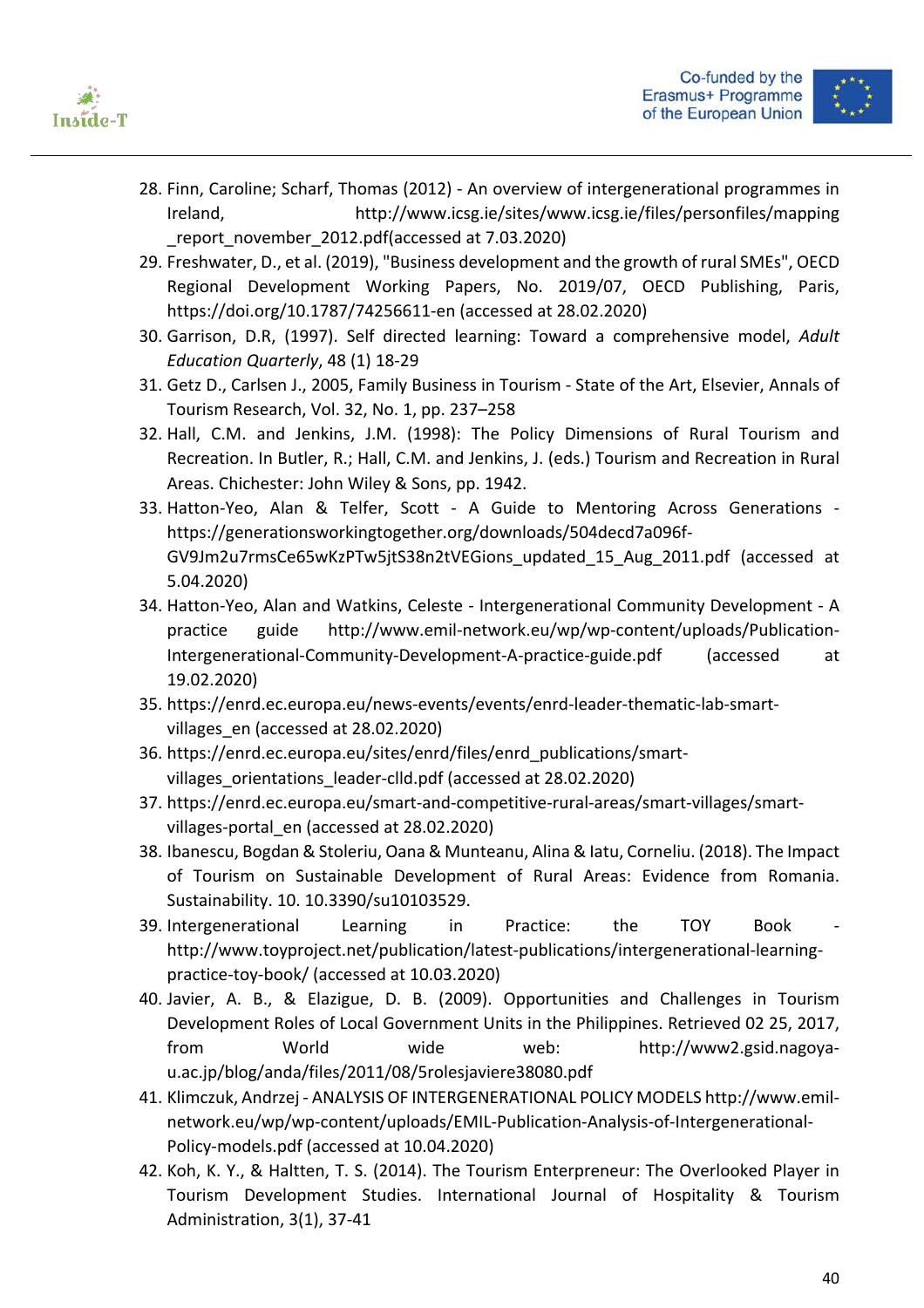



- 28. Finn, Caroline; Scharf, Thomas (2012) An overview of intergenerational programmes in Ireland, http://www.icsg.ie/sites/www.icsg.ie/files/personfiles/mapping report\_november\_2012.pdf(accessed at 7.03.2020)
- 29. Freshwater, D., et al. (2019), "Business development and the growth of rural SMEs", OECD Regional Development Working Papers, No. 2019/07, OECD Publishing, Paris, https://doi.org/10.1787/74256611-en (accessed at 28.02.2020)
- 30. Garrison, D.R, (1997). Self directed learning: Toward a comprehensive model, *Adult Education Quarterly*, 48 (1) 18-29
- 31. Getz D., Carlsen J., 2005, Family Business in Tourism State of the Art, Elsevier, Annals of Tourism Research, Vol. 32, No. 1, pp. 237–258
- 32. Hall, C.M. and Jenkins, J.M. (1998): The Policy Dimensions of Rural Tourism and Recreation. In Butler, R.; Hall, C.M. and Jenkins, J. (eds.) Tourism and Recreation in Rural Areas. Chichester: John Wiley & Sons, pp. 1942.
- 33. Hatton-Yeo, Alan & Telfer, Scott A Guide to Mentoring Across Generations https://generationsworkingtogether.org/downloads/504decd7a096f-GV9Jm2u7rmsCe65wKzPTw5jtS38n2tVEGions\_updated\_15\_Aug\_2011.pdf (accessed at 5.04.2020)
- 34. Hatton-Yeo, Alan and Watkins, Celeste Intergenerational Community Development A practice guide http://www.emil-network.eu/wp/wp-content/uploads/Publication-Intergenerational-Community-Development-A-practice-guide.pdf (accessed at 19.02.2020)
- 35. https://enrd.ec.europa.eu/news-events/events/enrd-leader-thematic-lab-smartvillages en (accessed at 28.02.2020)
- 36. https://enrd.ec.europa.eu/sites/enrd/files/enrd\_publications/smartvillages orientations leader-clld.pdf (accessed at 28.02.2020)
- 37. https://enrd.ec.europa.eu/smart-and-competitive-rural-areas/smart-villages/smartvillages-portal\_en (accessed at 28.02.2020)
- 38. Ibanescu, Bogdan & Stoleriu, Oana & Munteanu, Alina & Iatu, Corneliu. (2018). The Impact of Tourism on Sustainable Development of Rural Areas: Evidence from Romania. Sustainability. 10. 10.3390/su10103529.
- 39. Intergenerational Learning in Practice: the TOY Book http://www.toyproject.net/publication/latest-publications/intergenerational-learningpractice-toy-book/ (accessed at 10.03.2020)
- 40. Javier, A. B., & Elazigue, D. B. (2009). Opportunities and Challenges in Tourism Development Roles of Local Government Units in the Philippines. Retrieved 02 25, 2017, from World wide web: http://www2.gsid.nagoyau.ac.jp/blog/anda/files/2011/08/5rolesjaviere38080.pdf
- 41. Klimczuk, Andrzej ANALYSIS OF INTERGENERATIONAL POLICY MODELS http://www.emilnetwork.eu/wp/wp-content/uploads/EMIL-Publication-Analysis-of-Intergenerational-Policy-models.pdf (accessed at 10.04.2020)
- 42. Koh, K. Y., & Haltten, T. S. (2014). The Tourism Enterpreneur: The Overlooked Player in Tourism Development Studies. International Journal of Hospitality & Tourism Administration, 3(1), 37-41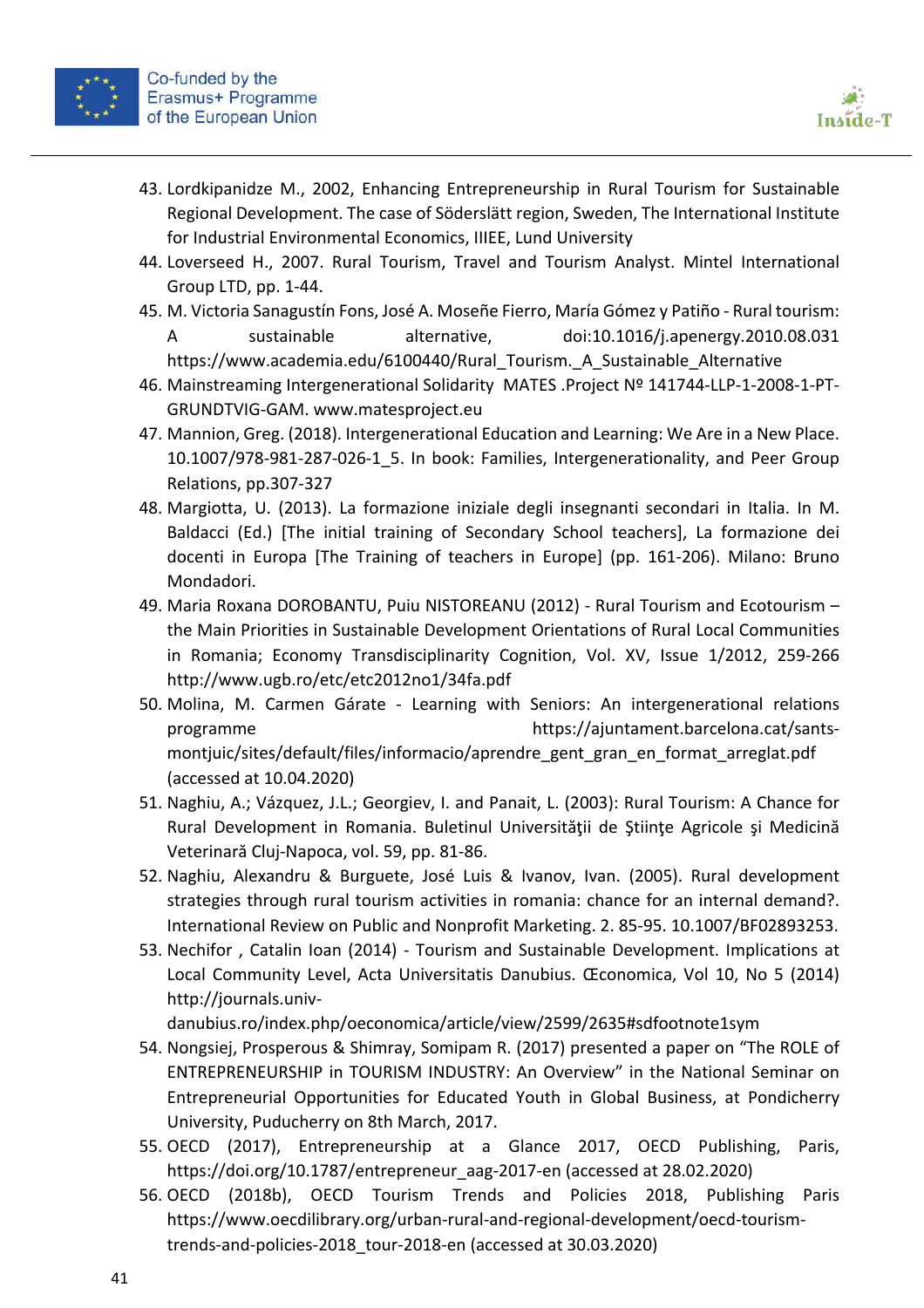

- 43. Lordkipanidze M., 2002, Enhancing Entrepreneurship in Rural Tourism for Sustainable Regional Development. The case of Söderslätt region, Sweden, The International Institute for Industrial Environmental Economics, IIIEE, Lund University
- 44. Loverseed H., 2007. Rural Tourism, Travel and Tourism Analyst. Mintel International Group LTD, pp. 1-44.
- 45. M. Victoria Sanagustín Fons, José A. Moseñe Fierro, María Gómez y Patiño Rural tourism: A sustainable alternative, doi:10.1016/j.apenergy.2010.08.031 https://www.academia.edu/6100440/Rural Tourism. A Sustainable Alternative
- 46. Mainstreaming Intergenerational Solidarity MATES .Project Nº 141744-LLP-1-2008-1-PT-GRUNDTVIG-GAM. www.matesproject.eu
- 47. Mannion, Greg. (2018). Intergenerational Education and Learning: We Are in a New Place. 10.1007/978-981-287-026-1\_5. In book: Families, Intergenerationality, and Peer Group Relations, pp.307-327
- 48. Margiotta, U. (2013). La formazione iniziale degli insegnanti secondari in Italia. In M. Baldacci (Ed.) [The initial training of Secondary School teachers], La formazione dei docenti in Europa [The Training of teachers in Europe] (pp. 161-206). Milano: Bruno Mondadori.
- 49. Maria Roxana DOROBANTU, Puiu NISTOREANU (2012) Rural Tourism and Ecotourism the Main Priorities in Sustainable Development Orientations of Rural Local Communities in Romania; Economy Transdisciplinarity Cognition, Vol. XV, Issue 1/2012, 259-266 http://www.ugb.ro/etc/etc2012no1/34fa.pdf
- 50. Molina, M. Carmen Gárate Learning with Seniors: An intergenerational relations programme https://ajuntament.barcelona.cat/santsmontjuic/sites/default/files/informacio/aprendre\_gent\_gran\_en\_format\_arreglat.pdf (accessed at 10.04.2020)
- 51. Naghiu, A.; Vázquez, J.L.; Georgiev, I. and Panait, L. (2003): Rural Tourism: A Chance for Rural Development in Romania. Buletinul Universităţii de Ştiinţe Agricole şi Medicină Veterinară Cluj-Napoca, vol. 59, pp. 81-86.
- 52. Naghiu, Alexandru & Burguete, José Luis & Ivanov, Ivan. (2005). Rural development strategies through rural tourism activities in romania: chance for an internal demand?. International Review on Public and Nonprofit Marketing. 2. 85-95. 10.1007/BF02893253.
- 53. Nechifor , Catalin Ioan (2014) Tourism and Sustainable Development. Implications at Local Community Level, Acta Universitatis Danubius. Œconomica, Vol 10, No 5 (2014) http://journals.univ-

danubius.ro/index.php/oeconomica/article/view/2599/2635#sdfootnote1sym

- 54. Nongsiej, Prosperous & Shimray, Somipam R. (2017) presented a paper on "The ROLE of ENTREPRENEURSHIP in TOURISM INDUSTRY: An Overview" in the National Seminar on Entrepreneurial Opportunities for Educated Youth in Global Business, at Pondicherry University, Puducherry on 8th March, 2017.
- 55. OECD (2017), Entrepreneurship at a Glance 2017, OECD Publishing, Paris, https://doi.org/10.1787/entrepreneur\_aag-2017-en (accessed at 28.02.2020)
- 56. OECD (2018b), OECD Tourism Trends and Policies 2018, Publishing Paris https://www.oecdilibrary.org/urban-rural-and-regional-development/oecd-tourismtrends-and-policies-2018 tour-2018-en (accessed at 30.03.2020)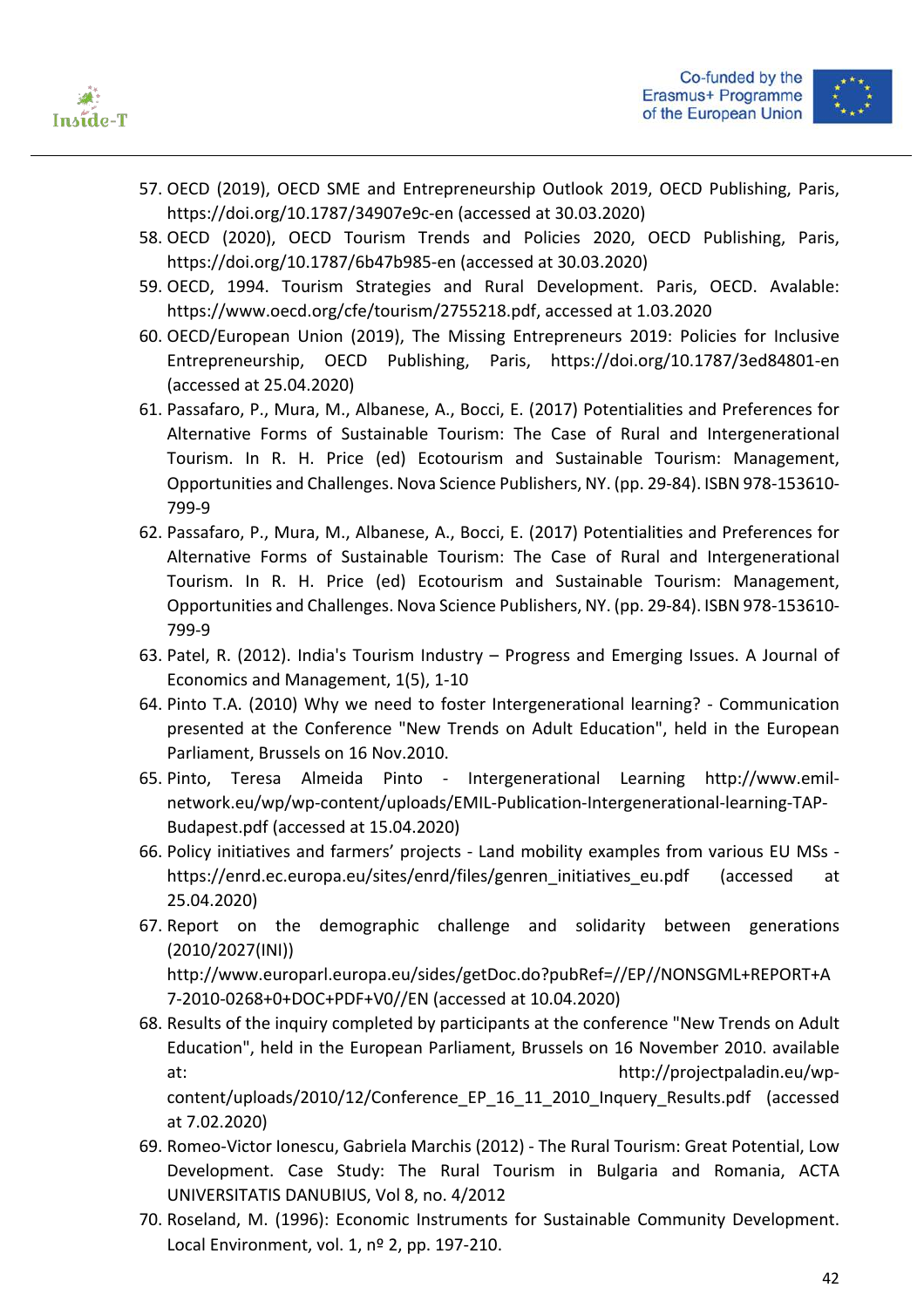



- 57. OECD (2019), OECD SME and Entrepreneurship Outlook 2019, OECD Publishing, Paris, https://doi.org/10.1787/34907e9c-en (accessed at 30.03.2020)
- 58. OECD (2020), OECD Tourism Trends and Policies 2020, OECD Publishing, Paris, https://doi.org/10.1787/6b47b985-en (accessed at 30.03.2020)
- 59. OECD, 1994. Tourism Strategies and Rural Development. Paris, OECD. Avalable: https://www.oecd.org/cfe/tourism/2755218.pdf, accessed at 1.03.2020
- 60. OECD/European Union (2019), The Missing Entrepreneurs 2019: Policies for Inclusive Entrepreneurship, OECD Publishing, Paris, https://doi.org/10.1787/3ed84801-en (accessed at 25.04.2020)
- 61. Passafaro, P., Mura, M., Albanese, A., Bocci, E. (2017) Potentialities and Preferences for Alternative Forms of Sustainable Tourism: The Case of Rural and Intergenerational Tourism. In R. H. Price (ed) Ecotourism and Sustainable Tourism: Management, Opportunities and Challenges. Nova Science Publishers, NY. (pp. 29-84). ISBN 978-153610- 799-9
- 62. Passafaro, P., Mura, M., Albanese, A., Bocci, E. (2017) Potentialities and Preferences for Alternative Forms of Sustainable Tourism: The Case of Rural and Intergenerational Tourism. In R. H. Price (ed) Ecotourism and Sustainable Tourism: Management, Opportunities and Challenges. Nova Science Publishers, NY. (pp. 29-84). ISBN 978-153610- 799-9
- 63. Patel, R. (2012). India's Tourism Industry Progress and Emerging Issues. A Journal of Economics and Management, 1(5), 1-10
- 64. Pinto T.A. (2010) Why we need to foster Intergenerational learning? Communication presented at the Conference "New Trends on Adult Education", held in the European Parliament, Brussels on 16 Nov.2010.
- 65. Pinto, Teresa Almeida Pinto Intergenerational Learning http://www.emilnetwork.eu/wp/wp-content/uploads/EMIL-Publication-Intergenerational-learning-TAP-Budapest.pdf (accessed at 15.04.2020)
- 66. Policy initiatives and farmers' projects Land mobility examples from various EU MSs https://enrd.ec.europa.eu/sites/enrd/files/genren\_initiatives\_eu.pdf (accessed at 25.04.2020)
- 67. Report on the demographic challenge and solidarity between generations (2010/2027(INI)) http://www.europarl.europa.eu/sides/getDoc.do?pubRef=//EP//NONSGML+REPORT+A 7-2010-0268+0+DOC+PDF+V0//EN (accessed at 10.04.2020)
- 68. Results of the inquiry completed by participants at the conference "New Trends on Adult Education", held in the European Parliament, Brussels on 16 November 2010. available at: http://projectpaladin.eu/wpcontent/uploads/2010/12/Conference\_EP\_16\_11\_2010\_Inquery\_Results.pdf (accessed

at 7.02.2020)

- 69. Romeo-Victor Ionescu, Gabriela Marchis (2012) The Rural Tourism: Great Potential, Low Development. Case Study: The Rural Tourism in Bulgaria and Romania, ACTA UNIVERSITATIS DANUBIUS, Vol 8, no. 4/2012
- 70. Roseland, M. (1996): Economic Instruments for Sustainable Community Development. Local Environment, vol. 1, nº 2, pp. 197-210.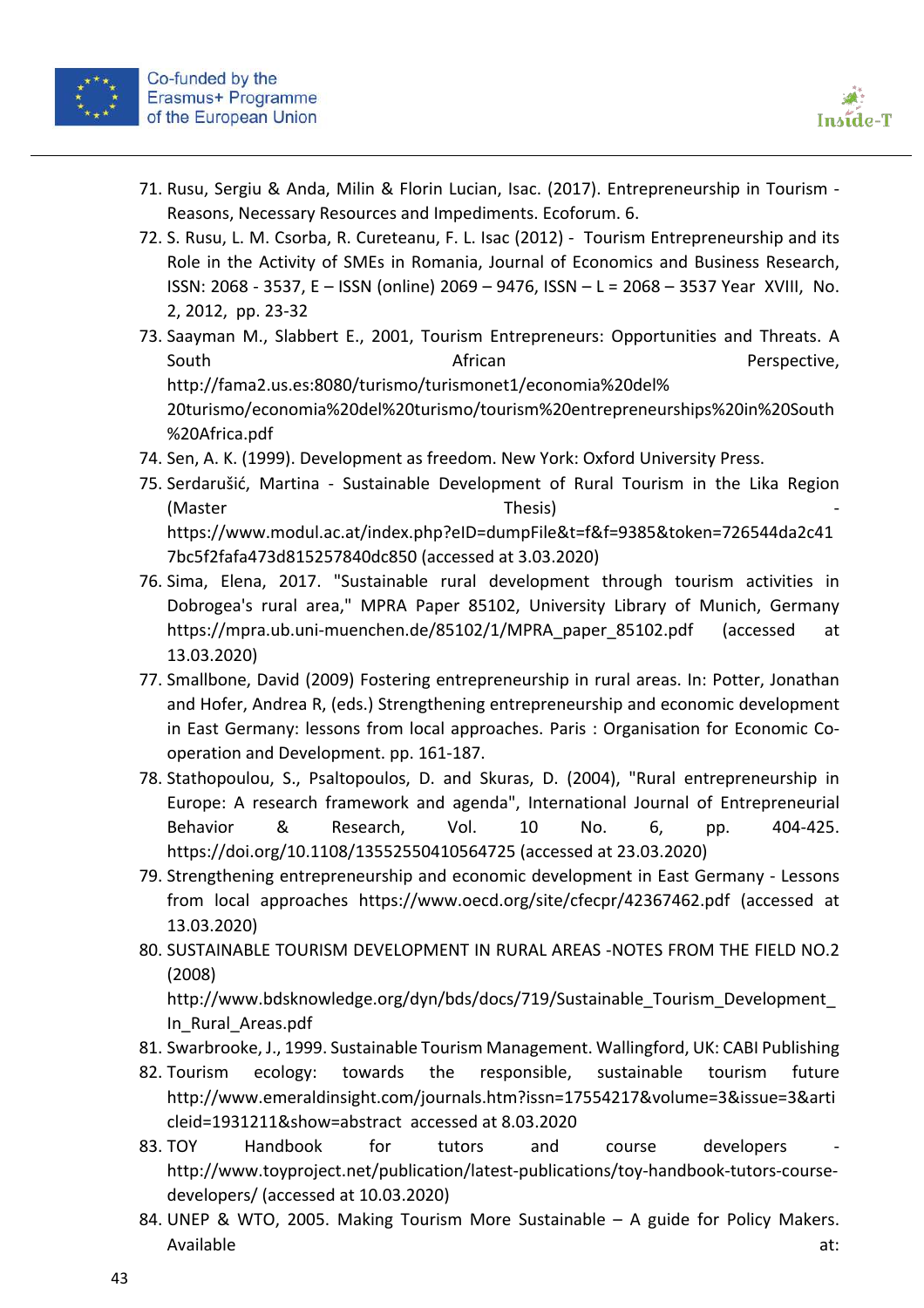



- 71. Rusu, Sergiu & Anda, Milin & Florin Lucian, Isac. (2017). Entrepreneurship in Tourism Reasons, Necessary Resources and Impediments. Ecoforum. 6.
- 72. S. Rusu, L. M. Csorba, R. Cureteanu, F. L. Isac (2012) Tourism Entrepreneurship and its Role in the Activity of SMEs in Romania, Journal of Economics and Business Research, ISSN: 2068 - 3537, E – ISSN (online) 2069 – 9476, ISSN – L = 2068 – 3537 Year XVIII, No. 2, 2012, pp. 23-32
- 73. Saayman M., Slabbert E., 2001, Tourism Entrepreneurs: Opportunities and Threats. A South **African African Perspective,** http://fama2.us.es:8080/turismo/turismonet1/economia%20del% 20turismo/economia%20del%20turismo/tourism%20entrepreneurships%20in%20South %20Africa.pdf
- 74. Sen, A. K. (1999). Development as freedom. New York: Oxford University Press.
- 75. Serdarušić, Martina Sustainable Development of Rural Tourism in the Lika Region (Master and the Thesis) and Thesis and Thesis and Thesis and Thesis and Thesis and Thesis and Thesis and Thesis https://www.modul.ac.at/index.php?eID=dumpFile&t=f&f=9385&token=726544da2c41 7bc5f2fafa473d815257840dc850 (accessed at 3.03.2020)
- 76. Sima, Elena, 2017. "Sustainable rural development through tourism activities in Dobrogea's rural area," MPRA Paper 85102, University Library of Munich, Germany https://mpra.ub.uni-muenchen.de/85102/1/MPRA\_paper\_85102.pdf (accessed at 13.03.2020)
- 77. Smallbone, David (2009) Fostering entrepreneurship in rural areas. In: Potter, Jonathan and Hofer, Andrea R, (eds.) Strengthening entrepreneurship and economic development in East Germany: lessons from local approaches. Paris : Organisation for Economic Cooperation and Development. pp. 161-187.
- 78. Stathopoulou, S., Psaltopoulos, D. and Skuras, D. (2004), "Rural entrepreneurship in Europe: A research framework and agenda", International Journal of Entrepreneurial Behavior & Research, Vol. 10 No. 6, pp. 404-425. https://doi.org/10.1108/13552550410564725 (accessed at 23.03.2020)
- 79. Strengthening entrepreneurship and economic development in East Germany Lessons from local approaches https://www.oecd.org/site/cfecpr/42367462.pdf (accessed at 13.03.2020)
- 80. SUSTAINABLE TOURISM DEVELOPMENT IN RURAL AREAS -NOTES FROM THE FIELD NO.2 (2008)

http://www.bdsknowledge.org/dyn/bds/docs/719/Sustainable\_Tourism\_Development\_ In\_Rural\_Areas.pdf

- 81. Swarbrooke, J., 1999. Sustainable Tourism Management. Wallingford, UK: CABI Publishing
- 82. Tourism ecology: towards the responsible, sustainable tourism future http://www.emeraldinsight.com/journals.htm?issn=17554217&volume=3&issue=3&arti cleid=1931211&show=abstract accessed at 8.03.2020
- 83. TOY Handbook for tutors and course developers http://www.toyproject.net/publication/latest-publications/toy-handbook-tutors-coursedevelopers/ (accessed at 10.03.2020)
- 84. UNEP & WTO, 2005. Making Tourism More Sustainable A guide for Policy Makers. Available at: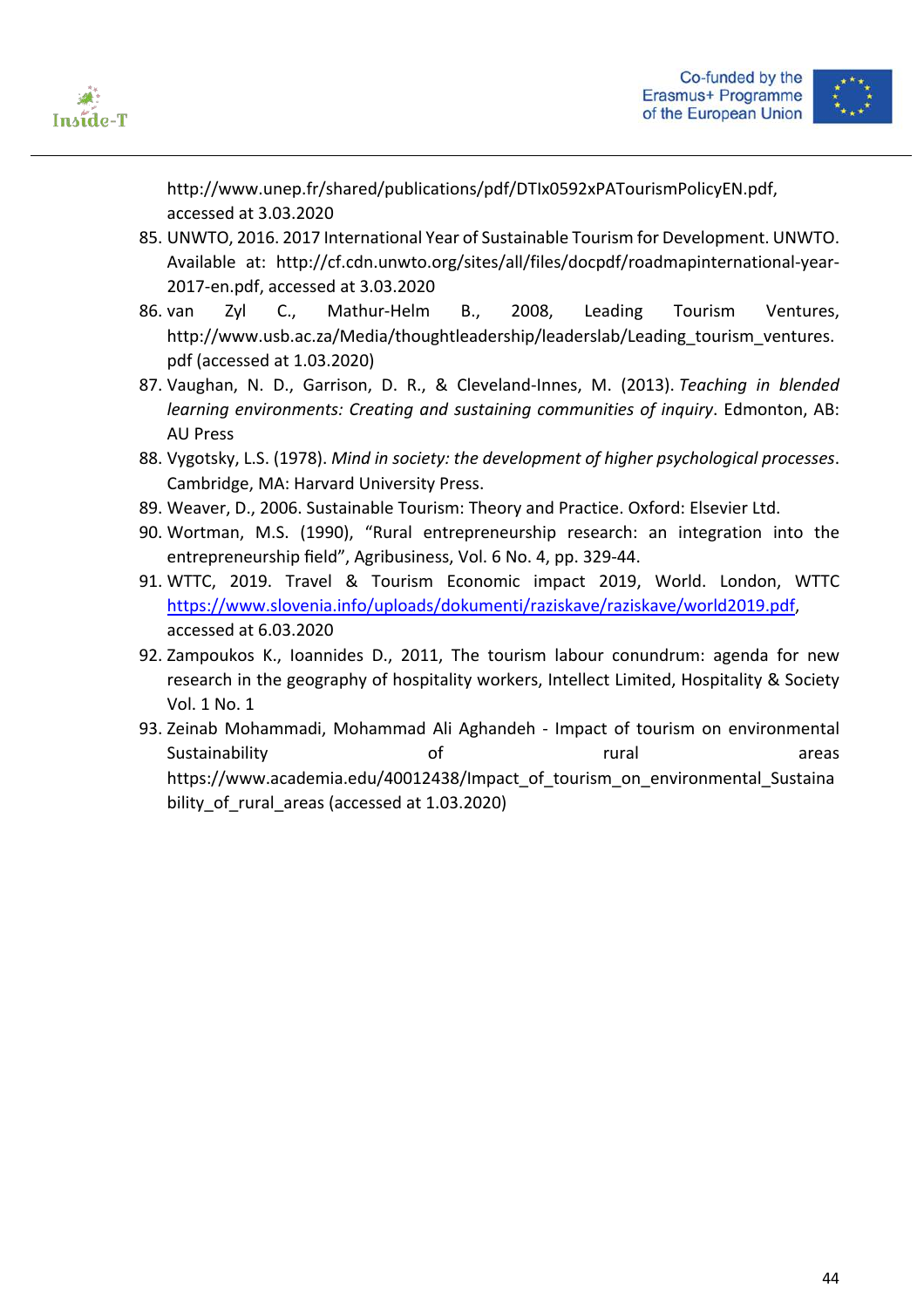



http://www.unep.fr/shared/publications/pdf/DTIx0592xPATourismPolicyEN.pdf, accessed at 3.03.2020

- 85. UNWTO, 2016. 2017 International Year of Sustainable Tourism for Development. UNWTO. Available at: http://cf.cdn.unwto.org/sites/all/files/docpdf/roadmapinternational-year-2017-en.pdf, accessed at 3.03.2020
- 86. van Zyl C., Mathur-Helm B., 2008, Leading Tourism Ventures, http://www.usb.ac.za/Media/thoughtleadership/leaderslab/Leading tourism ventures. pdf (accessed at 1.03.2020)
- 87. Vaughan, N. D., Garrison, D. R., & Cleveland-Innes, M. (2013). *Teaching in blended learning environments: Creating and sustaining communities of inquiry*. Edmonton, AB: AU Press
- 88. Vygotsky, L.S. (1978). *Mind in society: the development of higher psychological processes*. Cambridge, MA: Harvard University Press.
- 89. Weaver, D., 2006. Sustainable Tourism: Theory and Practice. Oxford: Elsevier Ltd.
- 90. Wortman, M.S. (1990), "Rural entrepreneurship research: an integration into the entrepreneurship field", Agribusiness, Vol. 6 No. 4, pp. 329-44.
- 91. WTTC, 2019. Travel & Tourism Economic impact 2019, World. London, WTTC https://www.slovenia.info/uploads/dokumenti/raziskave/raziskave/world2019.pdf, accessed at 6.03.2020
- 92. Zampoukos K., Ioannides D., 2011, The tourism labour conundrum: agenda for new research in the geography of hospitality workers, Intellect Limited, Hospitality & Society Vol. 1 No. 1
- 93. Zeinab Mohammadi, Mohammad Ali Aghandeh Impact of tourism on environmental Sustainability **of the contract of rural areas** areas https://www.academia.edu/40012438/Impact of tourism on environmental Sustaina bility of rural areas (accessed at 1.03.2020)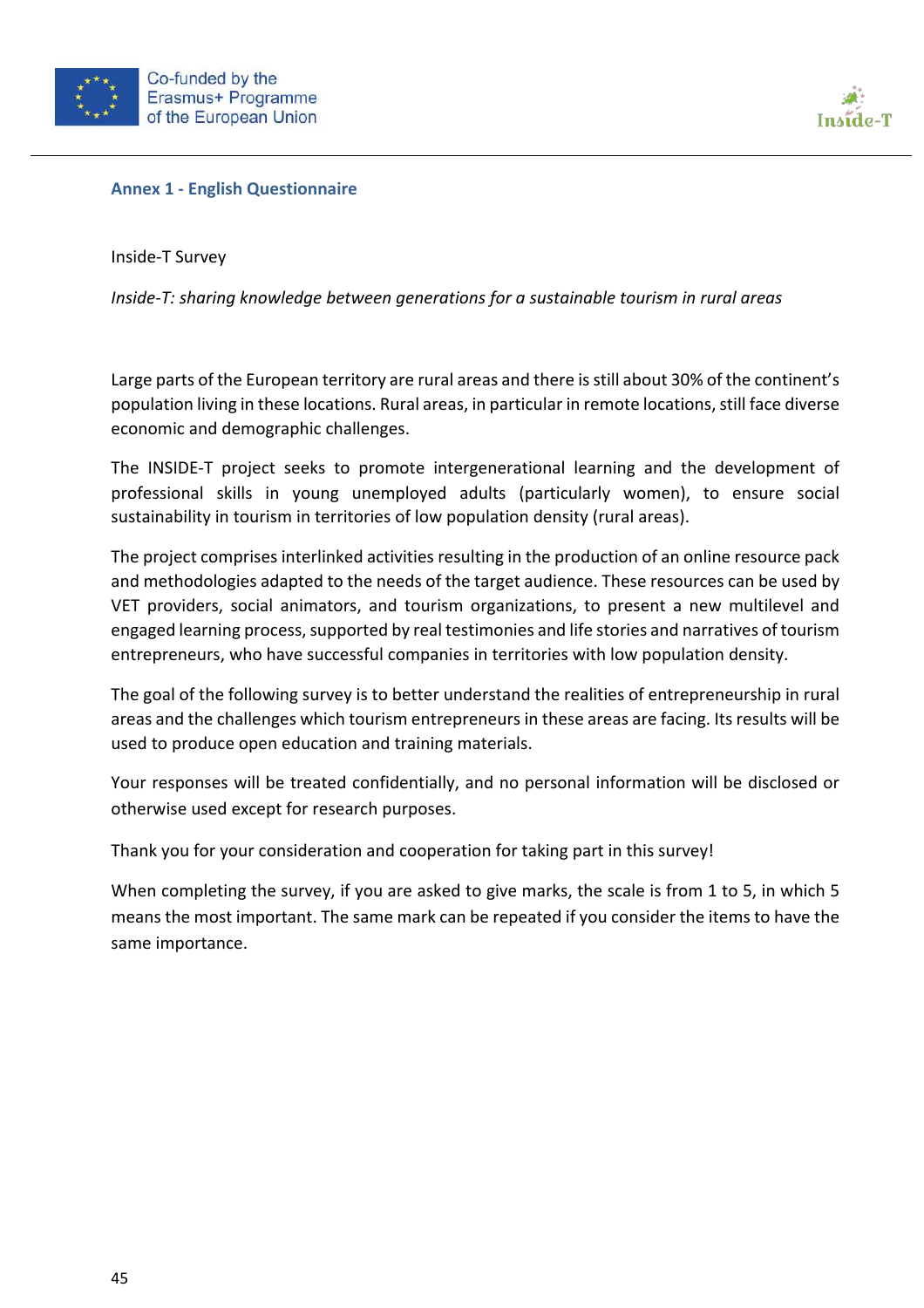





Inside-T Survey

*Inside-T: sharing knowledge between generations for a sustainable tourism in rural areas*

Large parts of the European territory are rural areas and there is still about 30% of the continent's population living in these locations. Rural areas, in particular in remote locations, still face diverse economic and demographic challenges.

The INSIDE-T project seeks to promote intergenerational learning and the development of professional skills in young unemployed adults (particularly women), to ensure social sustainability in tourism in territories of low population density (rural areas).

The project comprises interlinked activities resulting in the production of an online resource pack and methodologies adapted to the needs of the target audience. These resources can be used by VET providers, social animators, and tourism organizations, to present a new multilevel and engaged learning process, supported by real testimonies and life stories and narratives of tourism entrepreneurs, who have successful companies in territories with low population density.

The goal of the following survey is to better understand the realities of entrepreneurship in rural areas and the challenges which tourism entrepreneurs in these areas are facing. Its results will be used to produce open education and training materials.

Your responses will be treated confidentially, and no personal information will be disclosed or otherwise used except for research purposes.

Thank you for your consideration and cooperation for taking part in this survey!

When completing the survey, if you are asked to give marks, the scale is from 1 to 5, in which 5 means the most important. The same mark can be repeated if you consider the items to have the same importance.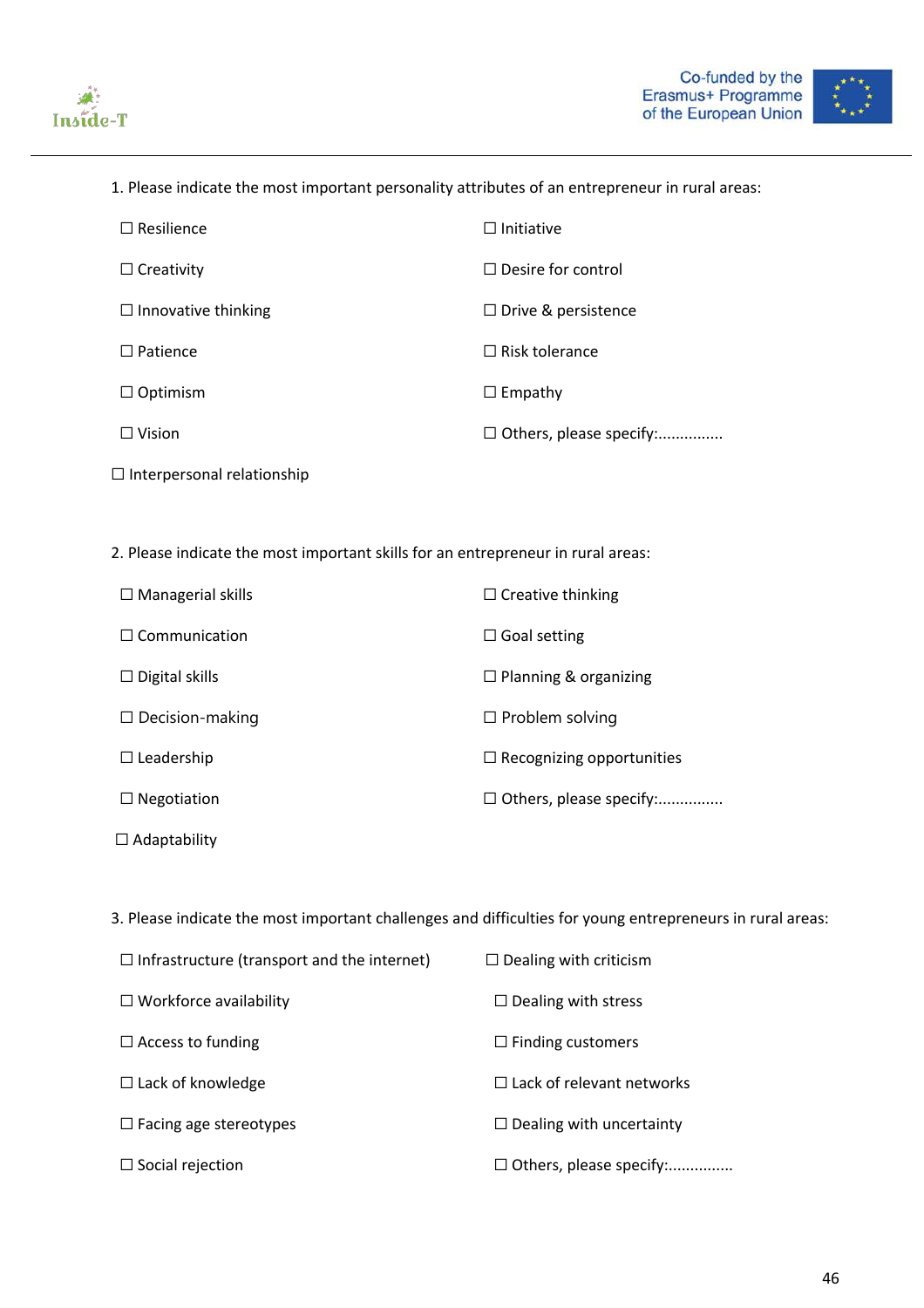



1. Please indicate the most important personality attributes of an entrepreneur in rural areas:

| $\Box$ Resilience          | $\Box$ Initiative              |
|----------------------------|--------------------------------|
| $\Box$ Creativity          | $\Box$ Desire for control      |
| $\Box$ Innovative thinking | $\Box$ Drive & persistence     |
| $\Box$ Patience            | $\Box$ Risk tolerance          |
| $\Box$ Optimism            | $\Box$ Empathy                 |
| $\Box$ Vision              | $\Box$ Others, please specify: |
|                            |                                |

- ☐ Interpersonal relationship
- 2. Please indicate the most important skills for an entrepreneur in rural areas:

| $\Box$ Managerial skills | $\Box$ Creative thinking         |
|--------------------------|----------------------------------|
| $\Box$ Communication     | $\Box$ Goal setting              |
| $\Box$ Digital skills    | $\Box$ Planning & organizing     |
| $\Box$ Decision-making   | $\Box$ Problem solving           |
| $\Box$ Leadership        | $\Box$ Recognizing opportunities |
| $\Box$ Negotiation       | □ Others, please specify:        |
| $\Box$ Adaptability      |                                  |

3. Please indicate the most important challenges and difficulties for young entrepreneurs in rural areas:

| $\Box$ Infrastructure (transport and the internet) | $\Box$ Dealing with criticism    |
|----------------------------------------------------|----------------------------------|
| $\Box$ Workforce availability                      | $\Box$ Dealing with stress       |
| $\Box$ Access to funding                           | $\Box$ Finding customers         |
| $\Box$ Lack of knowledge                           | $\Box$ Lack of relevant networks |
| $\Box$ Facing age stereotypes                      | $\Box$ Dealing with uncertainty  |
| $\Box$ Social rejection                            | $\Box$ Others, please specify:   |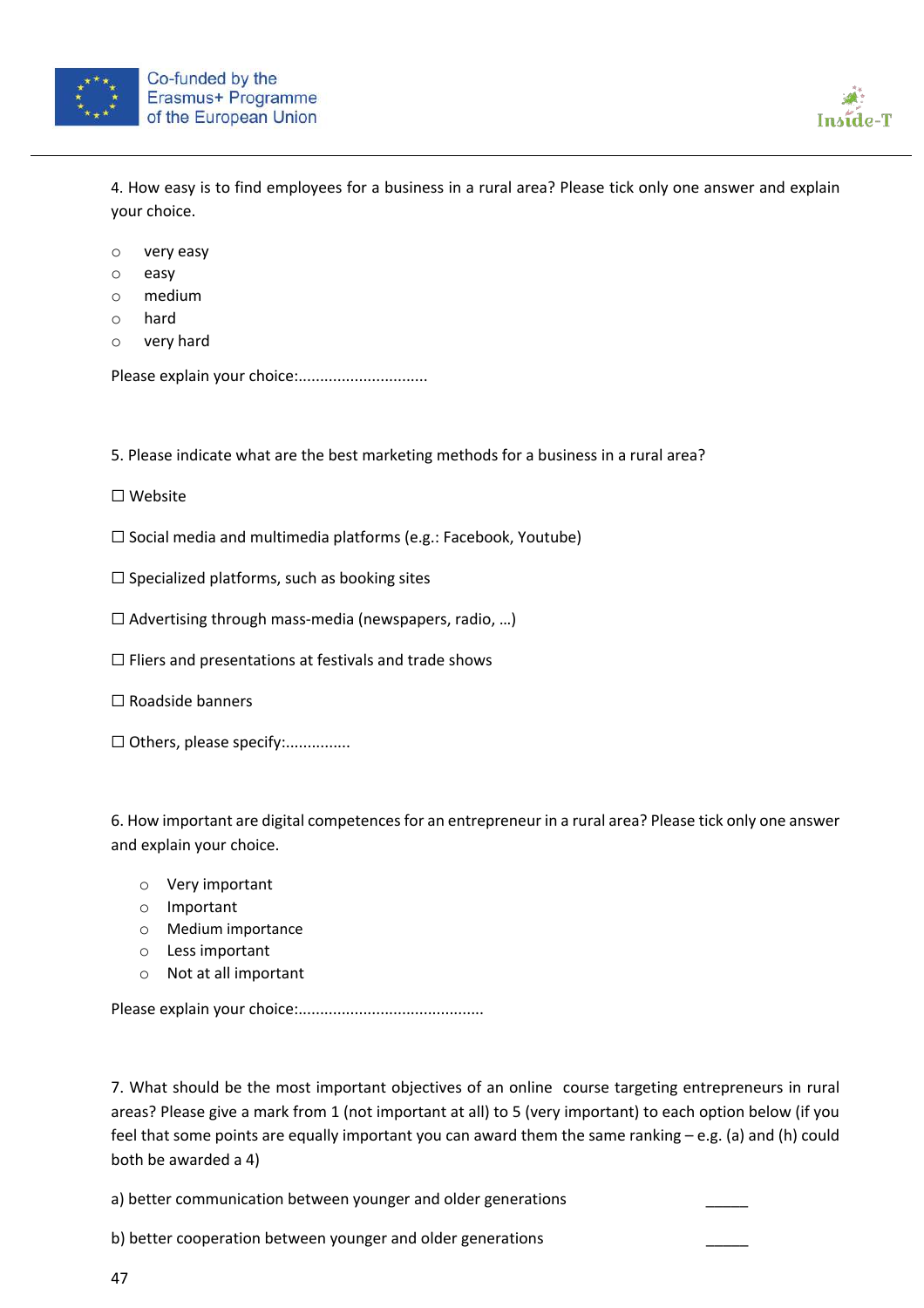



4. How easy is to find employees for a business in a rural area? Please tick only one answer and explain your choice.

- o very easy
- o easy
- o medium
- o hard
- o very hard

Please explain your choice:..............................

5. Please indicate what are the best marketing methods for a business in a rural area?

- ☐ Website
- ☐ Social media and multimedia platforms (e.g.: Facebook, Youtube)
- $\Box$  Specialized platforms, such as booking sites
- $\Box$  Advertising through mass-media (newspapers, radio, ...)
- ☐ Fliers and presentations at festivals and trade shows
- ☐ Roadside banners
- □ Others, please specify:................

6. How important are digital competences for an entrepreneur in a rural area? Please tick only one answer and explain your choice.

- o Very important
- o Important
- o Medium importance
- o Less important
- o Not at all important

Please explain your choice:...........................................

7. What should be the most important objectives of an online course targeting entrepreneurs in rural areas? Please give a mark from 1 (not important at all) to 5 (very important) to each option below (if you feel that some points are equally important you can award them the same ranking – e.g. (a) and (h) could both be awarded a 4)

a) better communication between younger and older generations

b) better cooperation between younger and older generations \_\_\_\_\_

47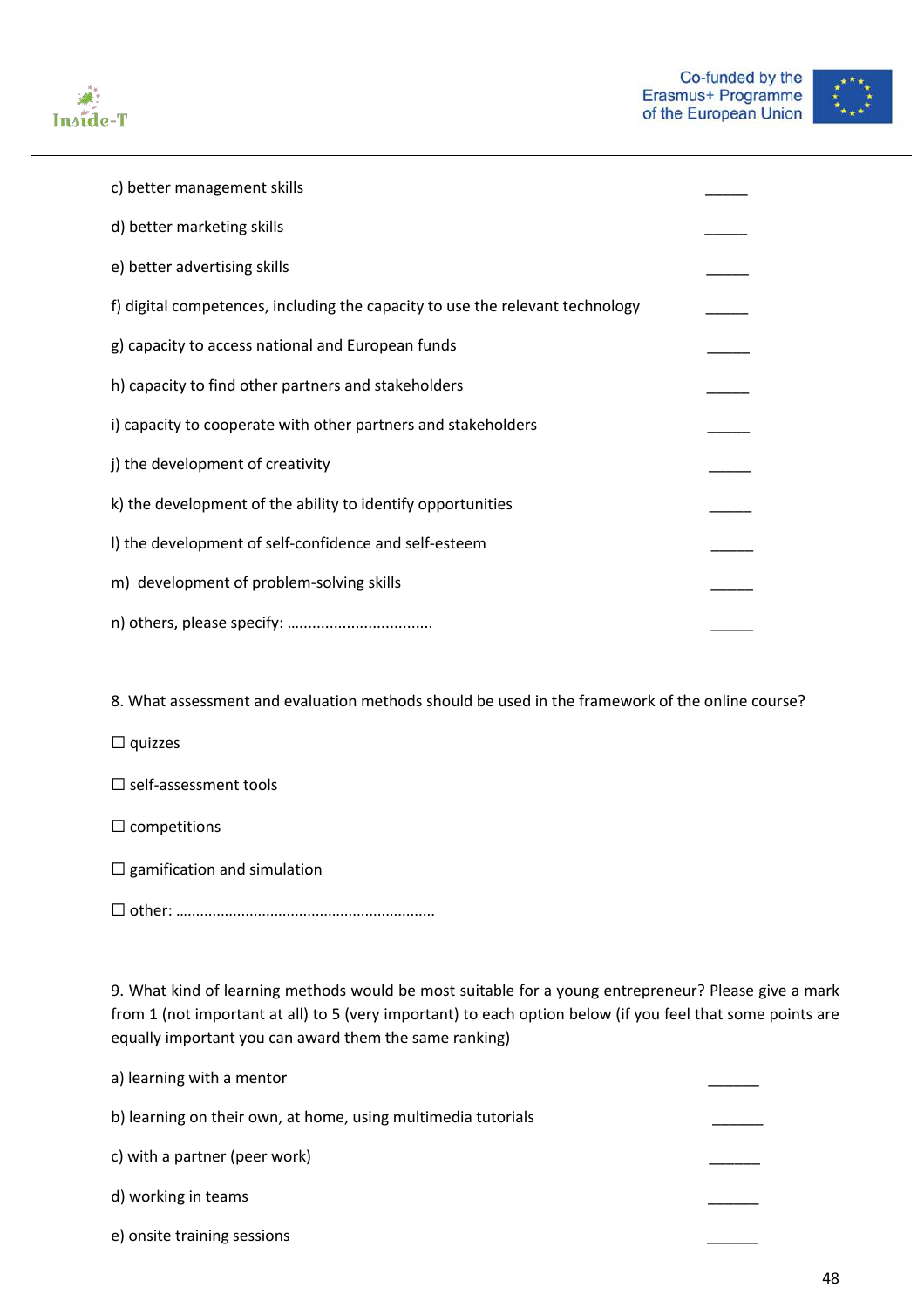



| c) better management skills                                                   |  |
|-------------------------------------------------------------------------------|--|
| d) better marketing skills                                                    |  |
| e) better advertising skills                                                  |  |
| f) digital competences, including the capacity to use the relevant technology |  |
| g) capacity to access national and European funds                             |  |
| h) capacity to find other partners and stakeholders                           |  |
| i) capacity to cooperate with other partners and stakeholders                 |  |
| j) the development of creativity                                              |  |
| k) the development of the ability to identify opportunities                   |  |
| I) the development of self-confidence and self-esteem                         |  |
| m) development of problem-solving skills                                      |  |
|                                                                               |  |

8. What assessment and evaluation methods should be used in the framework of the online course?

☐ quizzes

☐ self-assessment tools

- $\Box$  competitions
- $\Box$  gamification and simulation
- ☐ other: …............................................................

9. What kind of learning methods would be most suitable for a young entrepreneur? Please give a mark from 1 (not important at all) to 5 (very important) to each option below (if you feel that some points are equally important you can award them the same ranking)

| a) learning with a mentor                                     |  |
|---------------------------------------------------------------|--|
| b) learning on their own, at home, using multimedia tutorials |  |
| c) with a partner (peer work)                                 |  |
| d) working in teams                                           |  |
| e) onsite training sessions                                   |  |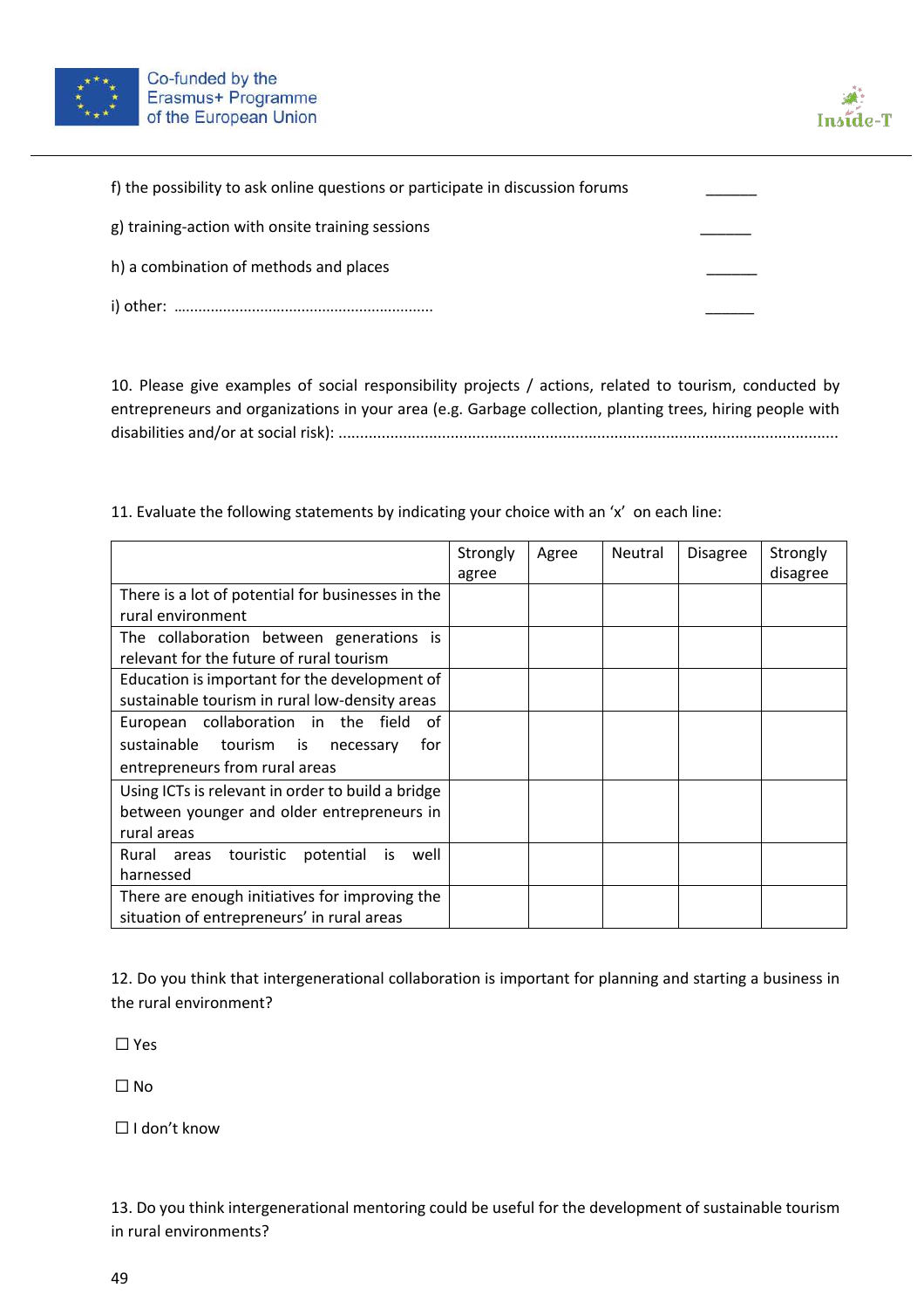



| f) the possibility to ask online questions or participate in discussion forums |  |
|--------------------------------------------------------------------------------|--|
| g) training-action with onsite training sessions                               |  |
| h) a combination of methods and places                                         |  |
|                                                                                |  |

10. Please give examples of social responsibility projects / actions, related to tourism, conducted by entrepreneurs and organizations in your area (e.g. Garbage collection, planting trees, hiring people with disabilities and/or at social risk): ....................................................................................................................

11. Evaluate the following statements by indicating your choice with an 'x' on each line:

|                                                        | Strongly<br>agree | Agree | Neutral | Disagree | Strongly<br>disagree |
|--------------------------------------------------------|-------------------|-------|---------|----------|----------------------|
| There is a lot of potential for businesses in the      |                   |       |         |          |                      |
| rural environment                                      |                   |       |         |          |                      |
| The collaboration between generations is               |                   |       |         |          |                      |
| relevant for the future of rural tourism               |                   |       |         |          |                      |
| Education is important for the development of          |                   |       |         |          |                      |
| sustainable tourism in rural low-density areas         |                   |       |         |          |                      |
| European collaboration in the field<br>0f              |                   |       |         |          |                      |
| sustainable tourism is<br>for<br>necessary             |                   |       |         |          |                      |
| entrepreneurs from rural areas                         |                   |       |         |          |                      |
| Using ICTs is relevant in order to build a bridge      |                   |       |         |          |                      |
| between younger and older entrepreneurs in             |                   |       |         |          |                      |
| rural areas                                            |                   |       |         |          |                      |
| Rural<br>touristic<br>potential<br>well<br>areas<br>is |                   |       |         |          |                      |
| harnessed                                              |                   |       |         |          |                      |
| There are enough initiatives for improving the         |                   |       |         |          |                      |
| situation of entrepreneurs' in rural areas             |                   |       |         |          |                      |

12. Do you think that intergenerational collaboration is important for planning and starting a business in the rural environment?

☐ Yes

 $\Box$  No

☐ I don't know

13. Do you think intergenerational mentoring could be useful for the development of sustainable tourism in rural environments?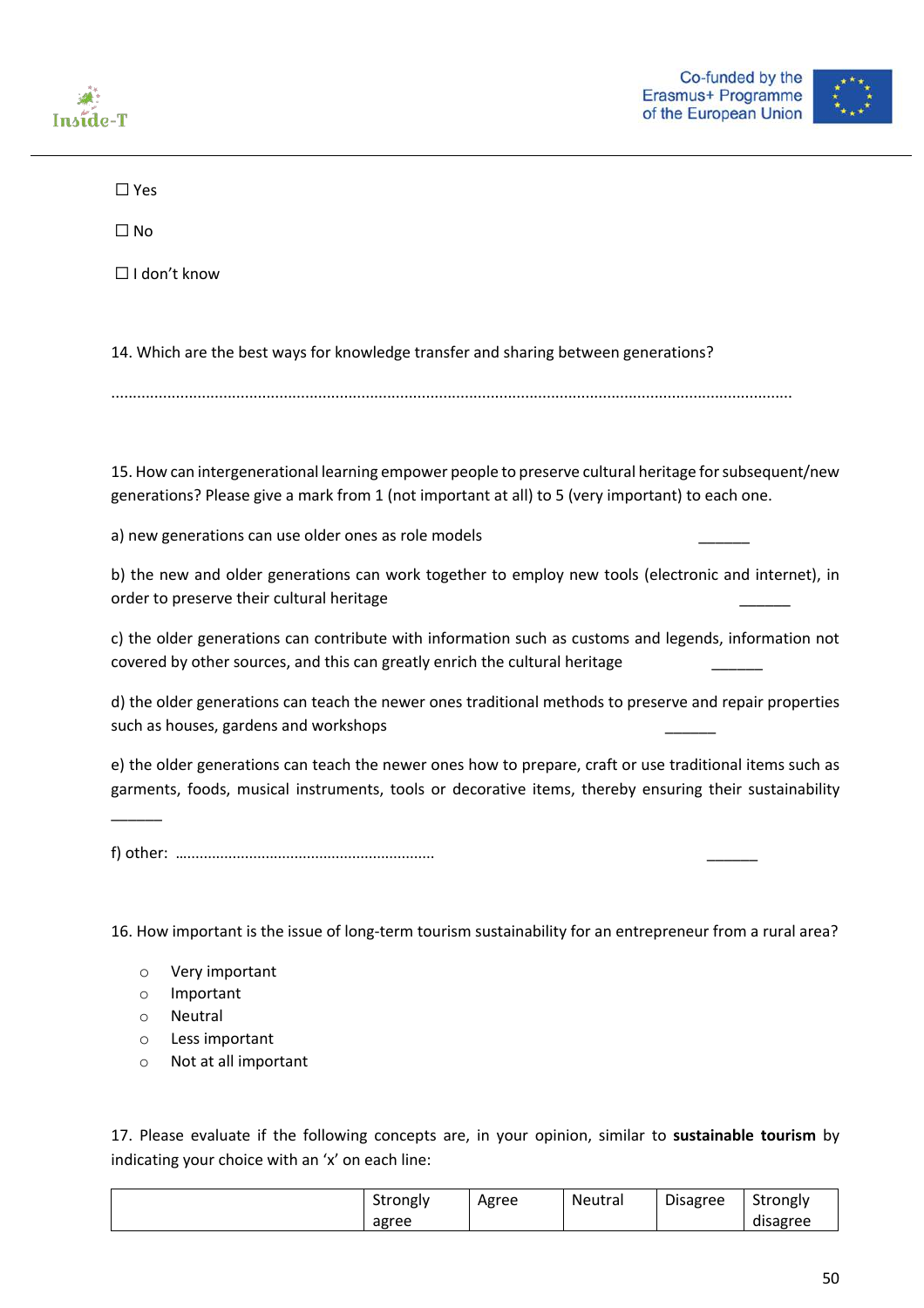



☐ Yes

☐ No

☐ I don't know

14. Which are the best ways for knowledge transfer and sharing between generations?

..............................................................................................................................................................

15. How can intergenerational learning empower people to preserve cultural heritage for subsequent/new generations? Please give a mark from 1 (not important at all) to 5 (very important) to each one.

a) new generations can use older ones as role models

b) the new and older generations can work together to employ new tools (electronic and internet), in order to preserve their cultural heritage

c) the older generations can contribute with information such as customs and legends, information not covered by other sources, and this can greatly enrich the cultural heritage

d) the older generations can teach the newer ones traditional methods to preserve and repair properties such as houses, gardens and workshops

e) the older generations can teach the newer ones how to prepare, craft or use traditional items such as garments, foods, musical instruments, tools or decorative items, thereby ensuring their sustainability

f) other: …............................................................ \_\_\_\_\_\_

16. How important is the issue of long-term tourism sustainability for an entrepreneur from a rural area?

- o Very important
- o Important
- o Neutral

 $\overline{\phantom{a}}$ 

- o Less important
- o Not at all important

17. Please evaluate if the following concepts are, in your opinion, similar to **sustainable tourism** by indicating your choice with an 'x' on each line:

| strongly | Agree | Neutral | <b>Disagree</b> | <sup>c+</sup> rongly |
|----------|-------|---------|-----------------|----------------------|
| agree    |       |         |                 | disagree             |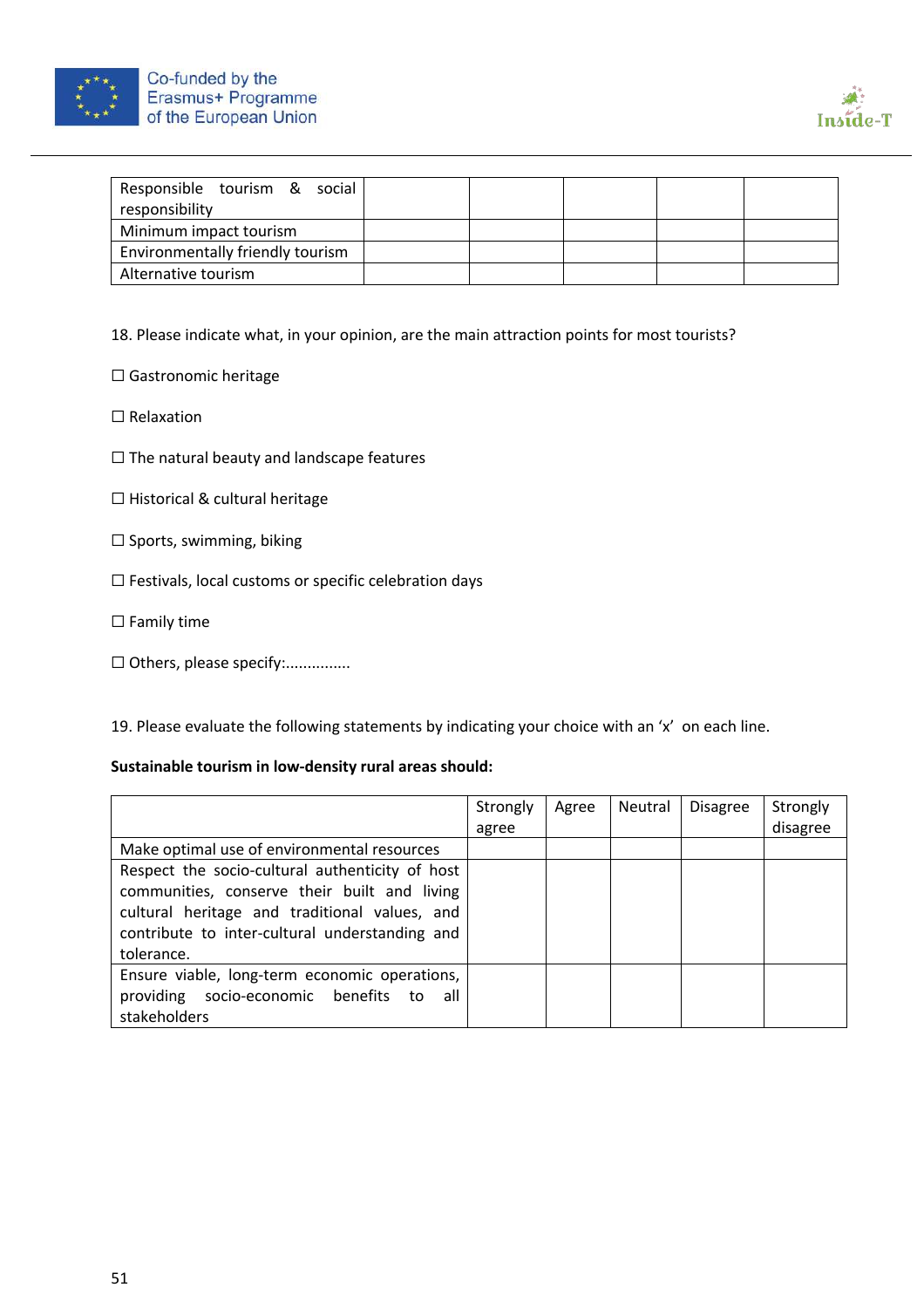



| Responsible tourism & social     |  |  |  |
|----------------------------------|--|--|--|
| responsibility                   |  |  |  |
| Minimum impact tourism           |  |  |  |
| Environmentally friendly tourism |  |  |  |
| Alternative tourism              |  |  |  |

18. Please indicate what, in your opinion, are the main attraction points for most tourists?

☐ Gastronomic heritage

☐ Relaxation

☐ The natural beauty and landscape features

☐ Historical & cultural heritage

☐ Sports, swimming, biking

☐ Festivals, local customs or specific celebration days

☐ Family time

□ Others, please specify:................

19. Please evaluate the following statements by indicating your choice with an 'x' on each line.

#### **Sustainable tourism in low-density rural areas should:**

|                                                                                                                                                                                                                  | Strongly<br>agree | Agree | Neutral | <b>Disagree</b> | Strongly<br>disagree |
|------------------------------------------------------------------------------------------------------------------------------------------------------------------------------------------------------------------|-------------------|-------|---------|-----------------|----------------------|
| Make optimal use of environmental resources                                                                                                                                                                      |                   |       |         |                 |                      |
| Respect the socio-cultural authenticity of host<br>communities, conserve their built and living<br>cultural heritage and traditional values, and<br>contribute to inter-cultural understanding and<br>tolerance. |                   |       |         |                 |                      |
| Ensure viable, long-term economic operations,<br>providing socio-economic benefits to<br>all<br>stakeholders                                                                                                     |                   |       |         |                 |                      |